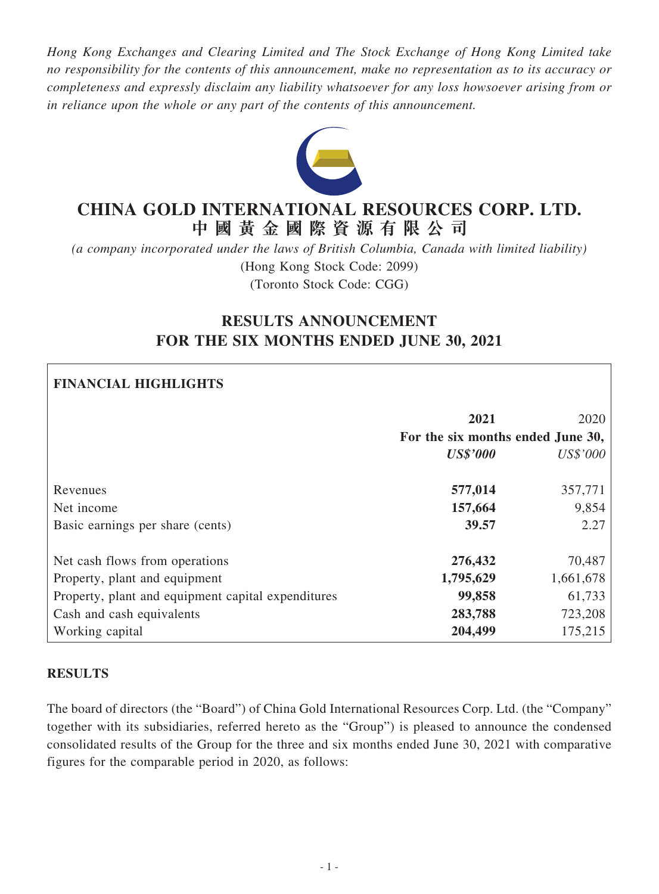*Hong Kong Exchanges and Clearing Limited and The Stock Exchange of Hong Kong Limited take no responsibility for the contents of this announcement, make no representation as to its accuracy or completeness and expressly disclaim any liability whatsoever for any loss howsoever arising from or in reliance upon the whole or any part of the contents of this announcement.*



# **CHINA GOLD INTERNATIONAL RESOURCES CORP. LTD. 中 國 黃 金 國 際 資 源 有 限 公 司**

*(a company incorporated under the laws of British Columbia, Canada with limited liability)* (Hong Kong Stock Code: 2099) (Toronto Stock Code: CGG)

# **RESULTS ANNOUNCEMENT FOR THE SIX MONTHS ENDED JUNE 30, 2021**

# **FINANCIAL HIGHLIGHTS**

|                                                    | 2021<br>For the six months ended June 30, | 2020      |
|----------------------------------------------------|-------------------------------------------|-----------|
|                                                    | <b>US\$'000</b>                           | US\$'000  |
| Revenues                                           | 577,014                                   | 357,771   |
| Net income                                         | 157,664                                   | 9,854     |
| Basic earnings per share (cents)                   | 39.57                                     | 2.27      |
| Net cash flows from operations                     | 276,432                                   | 70,487    |
| Property, plant and equipment                      | 1,795,629                                 | 1,661,678 |
| Property, plant and equipment capital expenditures | 99,858                                    | 61,733    |
| Cash and cash equivalents                          | 283,788                                   | 723,208   |
| Working capital                                    | 204,499                                   | 175,215   |

### **RESULTS**

The board of directors (the "Board") of China Gold International Resources Corp. Ltd. (the "Company" together with its subsidiaries, referred hereto as the "Group") is pleased to announce the condensed consolidated results of the Group for the three and six months ended June 30, 2021 with comparative figures for the comparable period in 2020, as follows: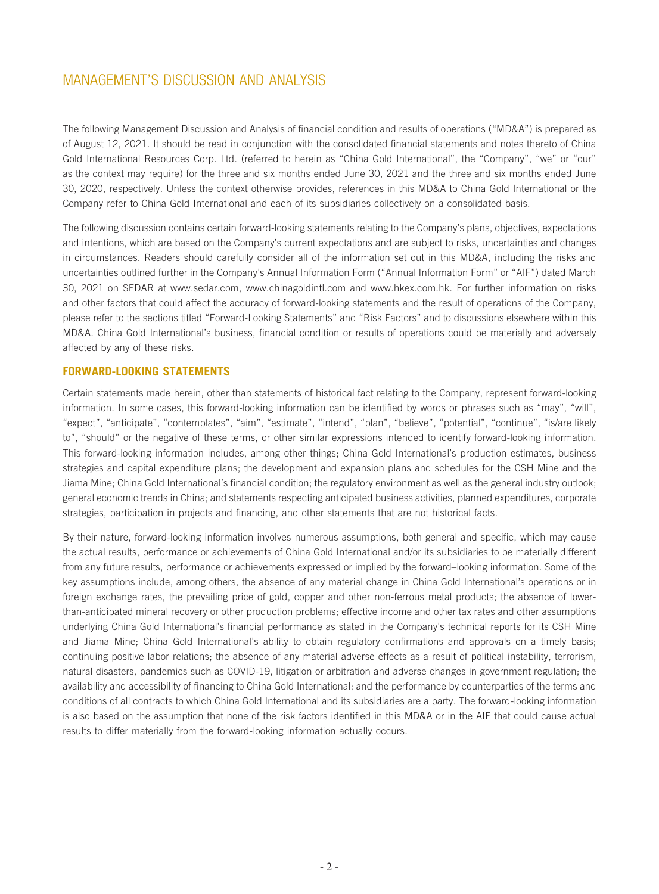The following Management Discussion and Analysis of financial condition and results of operations ("MD&A") is prepared as of August 12, 2021. It should be read in conjunction with the consolidated financial statements and notes thereto of China Gold International Resources Corp. Ltd. (referred to herein as "China Gold International", the "Company", "we" or "our" as the context may require) for the three and six months ended June 30, 2021 and the three and six months ended June 30, 2020, respectively. Unless the context otherwise provides, references in this MD&A to China Gold International or the Company refer to China Gold International and each of its subsidiaries collectively on a consolidated basis.

The following discussion contains certain forward-looking statements relating to the Company's plans, objectives, expectations and intentions, which are based on the Company's current expectations and are subject to risks, uncertainties and changes in circumstances. Readers should carefully consider all of the information set out in this MD&A, including the risks and uncertainties outlined further in the Company's Annual Information Form ("Annual Information Form" or "AIF") dated March 30, 2021 on SEDAR at www.sedar.com, www.chinagoldintl.com and www.hkex.com.hk. For further information on risks and other factors that could affect the accuracy of forward-looking statements and the result of operations of the Company, please refer to the sections titled "Forward-Looking Statements" and "Risk Factors" and to discussions elsewhere within this MD&A. China Gold International's business, financial condition or results of operations could be materially and adversely affected by any of these risks.

### **FORWARD-LOOKING STATEMENTS**

Certain statements made herein, other than statements of historical fact relating to the Company, represent forward-looking information. In some cases, this forward-looking information can be identified by words or phrases such as "may", "will", "expect", "anticipate", "contemplates", "aim", "estimate", "intend", "plan", "believe", "potential", "continue", "is/are likely to", "should" or the negative of these terms, or other similar expressions intended to identify forward-looking information. This forward-looking information includes, among other things; China Gold International's production estimates, business strategies and capital expenditure plans; the development and expansion plans and schedules for the CSH Mine and the Jiama Mine; China Gold International's financial condition; the regulatory environment as well as the general industry outlook; general economic trends in China; and statements respecting anticipated business activities, planned expenditures, corporate strategies, participation in projects and financing, and other statements that are not historical facts.

By their nature, forward-looking information involves numerous assumptions, both general and specific, which may cause the actual results, performance or achievements of China Gold International and/or its subsidiaries to be materially different from any future results, performance or achievements expressed or implied by the forward–looking information. Some of the key assumptions include, among others, the absence of any material change in China Gold International's operations or in foreign exchange rates, the prevailing price of gold, copper and other non-ferrous metal products; the absence of lowerthan-anticipated mineral recovery or other production problems; effective income and other tax rates and other assumptions underlying China Gold International's financial performance as stated in the Company's technical reports for its CSH Mine and Jiama Mine; China Gold International's ability to obtain regulatory confirmations and approvals on a timely basis; continuing positive labor relations; the absence of any material adverse effects as a result of political instability, terrorism, natural disasters, pandemics such as COVID-19, litigation or arbitration and adverse changes in government regulation; the availability and accessibility of financing to China Gold International; and the performance by counterparties of the terms and conditions of all contracts to which China Gold International and its subsidiaries are a party. The forward-looking information is also based on the assumption that none of the risk factors identified in this MD&A or in the AIF that could cause actual results to differ materially from the forward-looking information actually occurs.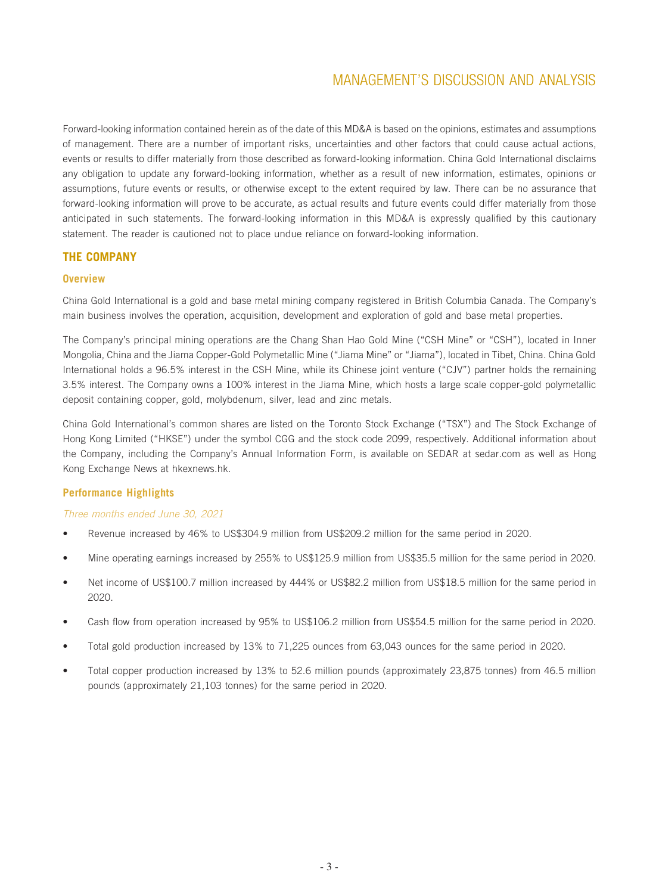Forward-looking information contained herein as of the date of this MD&A is based on the opinions, estimates and assumptions of management. There are a number of important risks, uncertainties and other factors that could cause actual actions, events or results to differ materially from those described as forward-looking information. China Gold International disclaims any obligation to update any forward-looking information, whether as a result of new information, estimates, opinions or assumptions, future events or results, or otherwise except to the extent required by law. There can be no assurance that forward-looking information will prove to be accurate, as actual results and future events could differ materially from those anticipated in such statements. The forward-looking information in this MD&A is expressly qualified by this cautionary statement. The reader is cautioned not to place undue reliance on forward-looking information.

### **THE COMPANY**

### **Overview**

China Gold International is a gold and base metal mining company registered in British Columbia Canada. The Company's main business involves the operation, acquisition, development and exploration of gold and base metal properties.

The Company's principal mining operations are the Chang Shan Hao Gold Mine ("CSH Mine" or "CSH"), located in Inner Mongolia, China and the Jiama Copper-Gold Polymetallic Mine ("Jiama Mine" or "Jiama"), located in Tibet, China. China Gold International holds a 96.5% interest in the CSH Mine, while its Chinese joint venture ("CJV") partner holds the remaining 3.5% interest. The Company owns a 100% interest in the Jiama Mine, which hosts a large scale copper-gold polymetallic deposit containing copper, gold, molybdenum, silver, lead and zinc metals.

China Gold International's common shares are listed on the Toronto Stock Exchange ("TSX") and The Stock Exchange of Hong Kong Limited ("HKSE") under the symbol CGG and the stock code 2099, respectively. Additional information about the Company, including the Company's Annual Information Form, is available on SEDAR at sedar.com as well as Hong Kong Exchange News at hkexnews.hk.

### **Performance Highlights**

### *Three months ended June 30, 2021*

- Revenue increased by 46% to US\$304.9 million from US\$209.2 million for the same period in 2020.
- Mine operating earnings increased by 255% to US\$125.9 million from US\$35.5 million for the same period in 2020.
- Net income of US\$100.7 million increased by 444% or US\$82.2 million from US\$18.5 million for the same period in 2020.
- Cash flow from operation increased by 95% to US\$106.2 million from US\$54.5 million for the same period in 2020.
- Total gold production increased by 13% to 71,225 ounces from 63,043 ounces for the same period in 2020.
- Total copper production increased by 13% to 52.6 million pounds (approximately 23,875 tonnes) from 46.5 million pounds (approximately 21,103 tonnes) for the same period in 2020.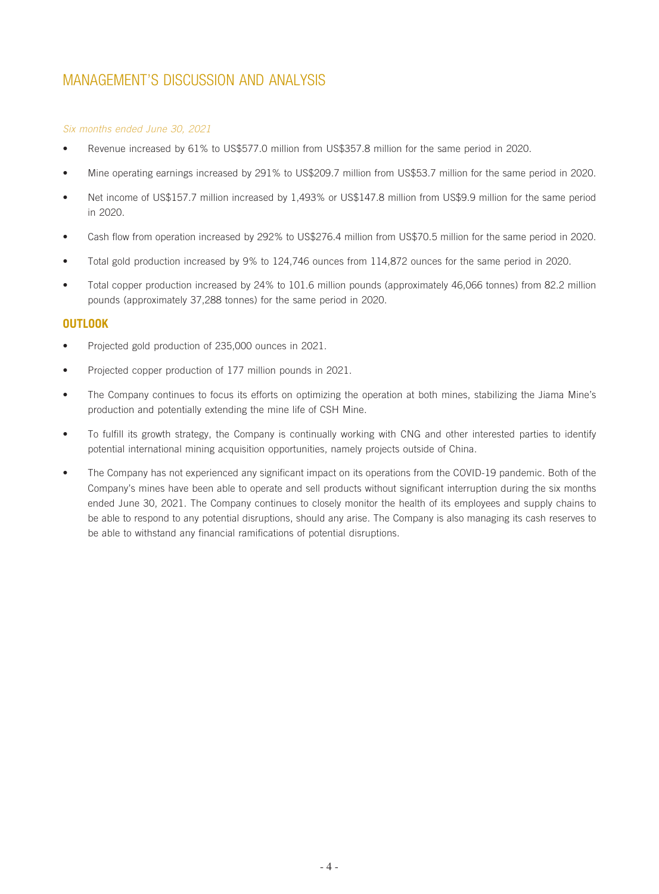### *Six months ended June 30, 2021*

- Revenue increased by 61% to US\$577.0 million from US\$357.8 million for the same period in 2020.
- Mine operating earnings increased by 291% to US\$209.7 million from US\$53.7 million for the same period in 2020.
- Net income of US\$157.7 million increased by 1,493% or US\$147.8 million from US\$9.9 million for the same period in 2020.
- Cash flow from operation increased by 292% to US\$276.4 million from US\$70.5 million for the same period in 2020.
- Total gold production increased by 9% to 124,746 ounces from 114,872 ounces for the same period in 2020.
- Total copper production increased by 24% to 101.6 million pounds (approximately 46,066 tonnes) from 82.2 million pounds (approximately 37,288 tonnes) for the same period in 2020.

### **OUTLOOK**

- Projected gold production of 235,000 ounces in 2021.
- Projected copper production of 177 million pounds in 2021.
- The Company continues to focus its efforts on optimizing the operation at both mines, stabilizing the Jiama Mine's production and potentially extending the mine life of CSH Mine.
- To fulfill its growth strategy, the Company is continually working with CNG and other interested parties to identify potential international mining acquisition opportunities, namely projects outside of China.
- The Company has not experienced any significant impact on its operations from the COVID-19 pandemic. Both of the Company's mines have been able to operate and sell products without significant interruption during the six months ended June 30, 2021. The Company continues to closely monitor the health of its employees and supply chains to be able to respond to any potential disruptions, should any arise. The Company is also managing its cash reserves to be able to withstand any financial ramifications of potential disruptions.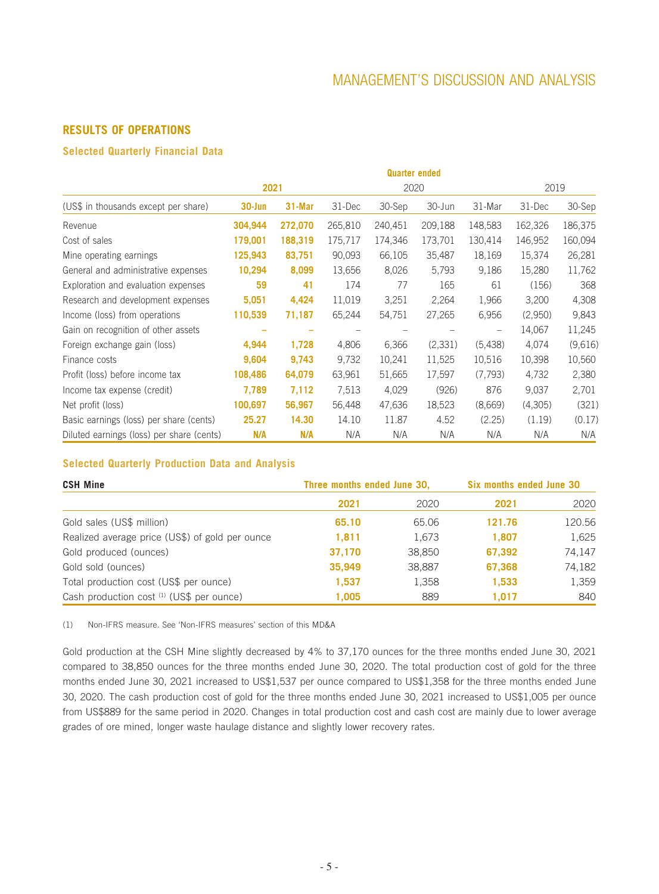### **RESULTS OF OPERATIONS**

### **Selected Quarterly Financial Data**

|                                           |            |         |         |         | <b>Quarter ended</b> |         |         |         |
|-------------------------------------------|------------|---------|---------|---------|----------------------|---------|---------|---------|
|                                           |            | 2021    |         |         | 2020                 |         | 2019    |         |
| (US\$ in thousands except per share)      | $30 - Jun$ | 31-Mar  | 31-Dec  | 30-Sep  | 30-Jun               | 31-Mar  | 31-Dec  | 30-Sep  |
| Revenue                                   | 304,944    | 272,070 | 265,810 | 240,451 | 209,188              | 148,583 | 162,326 | 186,375 |
| Cost of sales                             | 179,001    | 188,319 | 175,717 | 174,346 | 173,701              | 130,414 | 146,952 | 160,094 |
| Mine operating earnings                   | 125,943    | 83,751  | 90,093  | 66,105  | 35,487               | 18,169  | 15,374  | 26,281  |
| General and administrative expenses       | 10,294     | 8,099   | 13,656  | 8,026   | 5,793                | 9.186   | 15,280  | 11,762  |
| Exploration and evaluation expenses       | 59         | 41      | 174     | 77      | 165                  | 61      | (156)   | 368     |
| Research and development expenses         | 5,051      | 4,424   | 11,019  | 3,251   | 2,264                | 1,966   | 3,200   | 4,308   |
| Income (loss) from operations             | 110,539    | 71,187  | 65,244  | 54,751  | 27,265               | 6,956   | (2,950) | 9,843   |
| Gain on recognition of other assets       |            |         |         |         |                      |         | 14,067  | 11,245  |
| Foreign exchange gain (loss)              | 4,944      | 1,728   | 4,806   | 6,366   | (2,331)              | (5,438) | 4,074   | (9,616) |
| Finance costs                             | 9,604      | 9,743   | 9,732   | 10,241  | 11,525               | 10,516  | 10,398  | 10,560  |
| Profit (loss) before income tax           | 108,486    | 64,079  | 63,961  | 51,665  | 17,597               | (7,793) | 4,732   | 2,380   |
| Income tax expense (credit)               | 7,789      | 7,112   | 7,513   | 4,029   | (926)                | 876     | 9,037   | 2,701   |
| Net profit (loss)                         | 100,697    | 56,967  | 56,448  | 47,636  | 18,523               | (8,669) | (4,305) | (321)   |
| Basic earnings (loss) per share (cents)   | 25.27      | 14.30   | 14.10   | 11.87   | 4.52                 | (2.25)  | (1.19)  | (0.17)  |
| Diluted earnings (loss) per share (cents) | N/A        | N/A     | N/A     | N/A     | N/A                  | N/A     | N/A     | N/A     |

### **Selected Quarterly Production Data and Analysis**

| <b>CSH Mine</b>                                 | Three months ended June 30, |        | <b>Six months ended June 30</b> |        |
|-------------------------------------------------|-----------------------------|--------|---------------------------------|--------|
|                                                 | 2021                        | 2020   | 2021                            | 2020   |
| Gold sales (US\$ million)                       | 65.10                       | 65.06  | 121.76                          | 120.56 |
| Realized average price (US\$) of gold per ounce | 1,811                       | 1,673  | 1,807                           | 1,625  |
| Gold produced (ounces)                          | 37,170                      | 38,850 | 67,392                          | 74,147 |
| Gold sold (ounces)                              | 35,949                      | 38,887 | 67,368                          | 74,182 |
| Total production cost (US\$ per ounce)          | 1,537                       | 1,358  | 1,533                           | 1,359  |
| Cash production cost (1) (US\$ per ounce)       | 1,005                       | 889    | 1.017                           | 840    |

(1) Non-IFRS measure. See 'Non-IFRS measures' section of this MD&A

Gold production at the CSH Mine slightly decreased by 4% to 37,170 ounces for the three months ended June 30, 2021 compared to 38,850 ounces for the three months ended June 30, 2020. The total production cost of gold for the three months ended June 30, 2021 increased to US\$1,537 per ounce compared to US\$1,358 for the three months ended June 30, 2020. The cash production cost of gold for the three months ended June 30, 2021 increased to US\$1,005 per ounce from US\$889 for the same period in 2020. Changes in total production cost and cash cost are mainly due to lower average grades of ore mined, longer waste haulage distance and slightly lower recovery rates.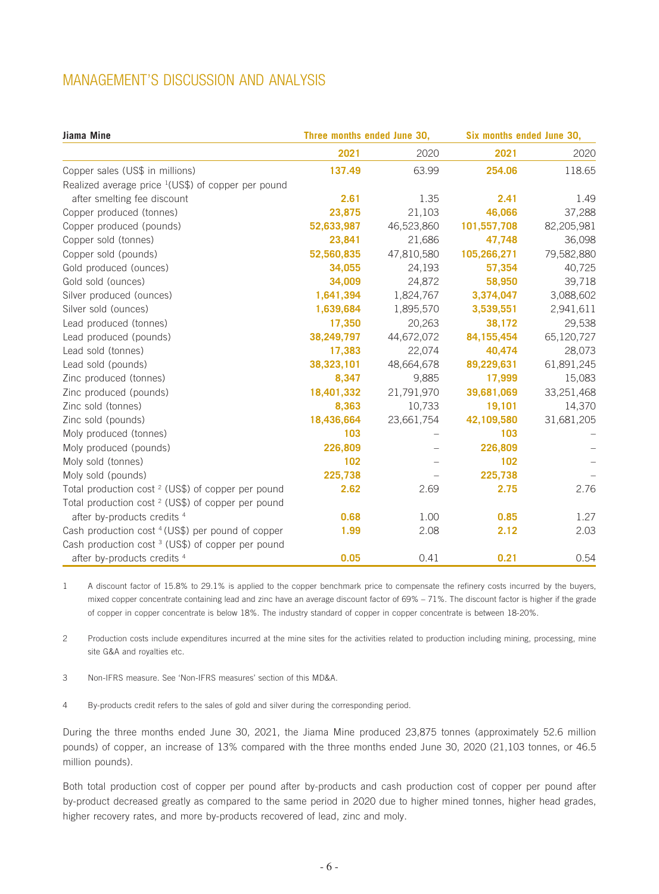| Jiama Mine                                                     | Three months ended June 30, |            | Six months ended June 30, |            |  |
|----------------------------------------------------------------|-----------------------------|------------|---------------------------|------------|--|
|                                                                | 2021                        | 2020       | 2021                      | 2020       |  |
| Copper sales (US\$ in millions)                                | 137.49                      | 63.99      | 254.06                    | 118.65     |  |
| Realized average price <sup>1</sup> (US\$) of copper per pound |                             |            |                           |            |  |
| after smelting fee discount                                    | 2.61                        | 1.35       | 2.41                      | 1.49       |  |
| Copper produced (tonnes)                                       | 23,875                      | 21,103     | 46,066                    | 37,288     |  |
| Copper produced (pounds)                                       | 52,633,987                  | 46,523,860 | 101,557,708               | 82,205,981 |  |
| Copper sold (tonnes)                                           | 23,841                      | 21,686     | 47,748                    | 36,098     |  |
| Copper sold (pounds)                                           | 52,560,835                  | 47,810,580 | 105,266,271               | 79,582,880 |  |
| Gold produced (ounces)                                         | 34,055                      | 24,193     | 57,354                    | 40,725     |  |
| Gold sold (ounces)                                             | 34,009                      | 24,872     | 58,950                    | 39,718     |  |
| Silver produced (ounces)                                       | 1,641,394                   | 1,824,767  | 3,374,047                 | 3,088,602  |  |
| Silver sold (ounces)                                           | 1,639,684                   | 1,895,570  | 3,539,551                 | 2,941,611  |  |
| Lead produced (tonnes)                                         | 17,350                      | 20,263     | 38,172                    | 29,538     |  |
| Lead produced (pounds)                                         | 38,249,797                  | 44,672,072 | 84, 155, 454              | 65,120,727 |  |
| Lead sold (tonnes)                                             | 17,383                      | 22,074     | 40,474                    | 28,073     |  |
| Lead sold (pounds)                                             | 38,323,101                  | 48,664,678 | 89,229,631                | 61,891,245 |  |
| Zinc produced (tonnes)                                         | 8,347                       | 9,885      | 17,999                    | 15,083     |  |
| Zinc produced (pounds)                                         | 18,401,332                  | 21,791,970 | 39,681,069                | 33,251,468 |  |
| Zinc sold (tonnes)                                             | 8,363                       | 10,733     | 19,101                    | 14,370     |  |
| Zinc sold (pounds)                                             | 18,436,664                  | 23,661,754 | 42,109,580                | 31,681,205 |  |
| Moly produced (tonnes)                                         | 103                         |            | 103                       |            |  |
| Moly produced (pounds)                                         | 226,809                     |            | 226,809                   |            |  |
| Moly sold (tonnes)                                             | 102                         |            | 102                       |            |  |
| Moly sold (pounds)                                             | 225,738                     |            | 225,738                   |            |  |
| Total production cost <sup>2</sup> (US\$) of copper per pound  | 2.62                        | 2.69       | 2.75                      | 2.76       |  |
| Total production cost <sup>2</sup> (US\$) of copper per pound  |                             |            |                           |            |  |
| after by-products credits <sup>4</sup>                         | 0.68                        | 1.00       | 0.85                      | 1.27       |  |
| Cash production cost <sup>4</sup> (US\$) per pound of copper   | 1.99                        | 2.08       | 2.12                      | 2.03       |  |
| Cash production cost <sup>3</sup> (US\$) of copper per pound   |                             |            |                           |            |  |
| after by-products credits <sup>4</sup>                         | 0.05                        | 0.41       | 0.21                      | 0.54       |  |

1 A discount factor of 15.8% to 29.1% is applied to the copper benchmark price to compensate the refinery costs incurred by the buyers, mixed copper concentrate containing lead and zinc have an average discount factor of 69% – 71%. The discount factor is higher if the grade of copper in copper concentrate is below 18%. The industry standard of copper in copper concentrate is between 18-20%.

2 Production costs include expenditures incurred at the mine sites for the activities related to production including mining, processing, mine site G&A and royalties etc.

3 Non-IFRS measure. See 'Non-IFRS measures' section of this MD&A.

4 By-products credit refers to the sales of gold and silver during the corresponding period.

During the three months ended June 30, 2021, the Jiama Mine produced 23,875 tonnes (approximately 52.6 million pounds) of copper, an increase of 13% compared with the three months ended June 30, 2020 (21,103 tonnes, or 46.5 million pounds).

Both total production cost of copper per pound after by-products and cash production cost of copper per pound after by-product decreased greatly as compared to the same period in 2020 due to higher mined tonnes, higher head grades, higher recovery rates, and more by-products recovered of lead, zinc and moly.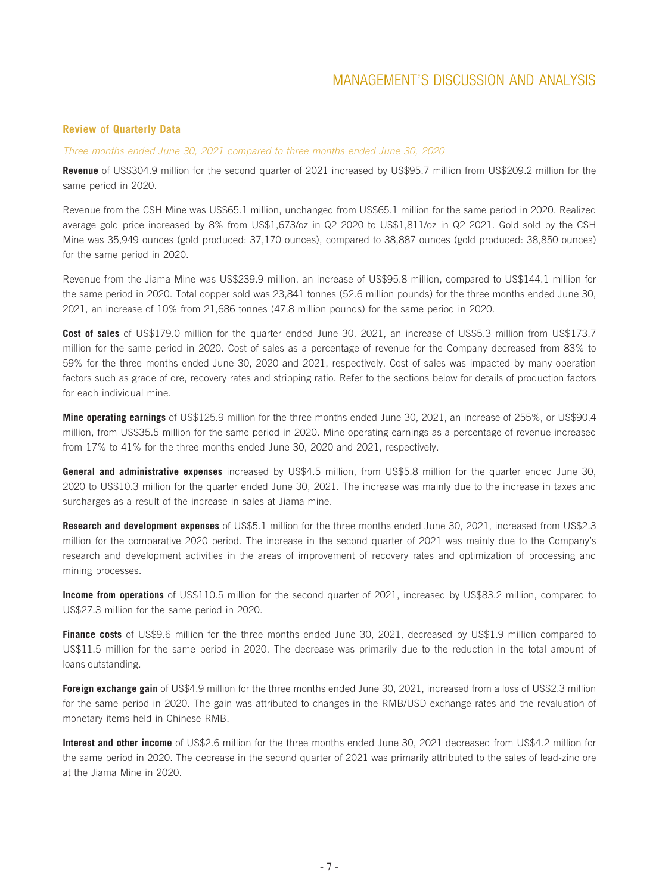### **Review of Quarterly Data**

#### *Three months ended June 30, 2021 compared to three months ended June 30, 2020*

**Revenue** of US\$304.9 million for the second quarter of 2021 increased by US\$95.7 million from US\$209.2 million for the same period in 2020.

Revenue from the CSH Mine was US\$65.1 million, unchanged from US\$65.1 million for the same period in 2020. Realized average gold price increased by 8% from US\$1,673/oz in Q2 2020 to US\$1,811/oz in Q2 2021. Gold sold by the CSH Mine was 35,949 ounces (gold produced: 37,170 ounces), compared to 38,887 ounces (gold produced: 38,850 ounces) for the same period in 2020.

Revenue from the Jiama Mine was US\$239.9 million, an increase of US\$95.8 million, compared to US\$144.1 million for the same period in 2020. Total copper sold was 23,841 tonnes (52.6 million pounds) for the three months ended June 30, 2021, an increase of 10% from 21,686 tonnes (47.8 million pounds) for the same period in 2020.

**Cost of sales** of US\$179.0 million for the quarter ended June 30, 2021, an increase of US\$5.3 million from US\$173.7 million for the same period in 2020. Cost of sales as a percentage of revenue for the Company decreased from 83% to 59% for the three months ended June 30, 2020 and 2021, respectively. Cost of sales was impacted by many operation factors such as grade of ore, recovery rates and stripping ratio. Refer to the sections below for details of production factors for each individual mine.

**Mine operating earnings** of US\$125.9 million for the three months ended June 30, 2021, an increase of 255%, or US\$90.4 million, from US\$35.5 million for the same period in 2020. Mine operating earnings as a percentage of revenue increased from 17% to 41% for the three months ended June 30, 2020 and 2021, respectively.

**General and administrative expenses** increased by US\$4.5 million, from US\$5.8 million for the quarter ended June 30, 2020 to US\$10.3 million for the quarter ended June 30, 2021. The increase was mainly due to the increase in taxes and surcharges as a result of the increase in sales at Jiama mine.

**Research and development expenses** of US\$5.1 million for the three months ended June 30, 2021, increased from US\$2.3 million for the comparative 2020 period. The increase in the second quarter of 2021 was mainly due to the Company's research and development activities in the areas of improvement of recovery rates and optimization of processing and mining processes.

**Income from operations** of US\$110.5 million for the second quarter of 2021, increased by US\$83.2 million, compared to US\$27.3 million for the same period in 2020.

**Finance costs** of US\$9.6 million for the three months ended June 30, 2021, decreased by US\$1.9 million compared to US\$11.5 million for the same period in 2020. The decrease was primarily due to the reduction in the total amount of loans outstanding.

**Foreign exchange gain** of US\$4.9 million for the three months ended June 30, 2021, increased from a loss of US\$2.3 million for the same period in 2020. The gain was attributed to changes in the RMB/USD exchange rates and the revaluation of monetary items held in Chinese RMB.

**Interest and other income** of US\$2.6 million for the three months ended June 30, 2021 decreased from US\$4.2 million for the same period in 2020. The decrease in the second quarter of 2021 was primarily attributed to the sales of lead-zinc ore at the Jiama Mine in 2020.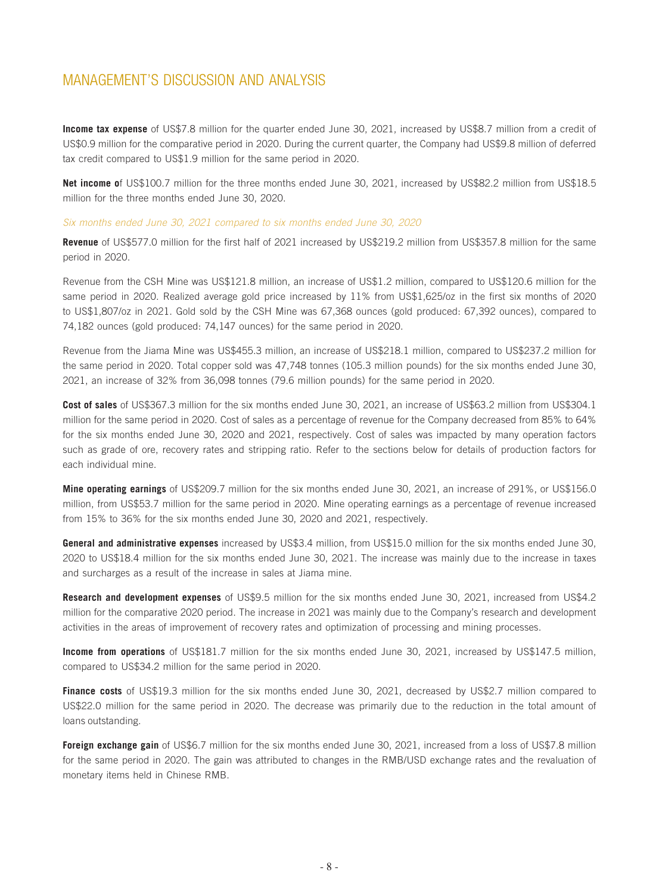**Income tax expense** of US\$7.8 million for the quarter ended June 30, 2021, increased by US\$8.7 million from a credit of US\$0.9 million for the comparative period in 2020. During the current quarter, the Company had US\$9.8 million of deferred tax credit compared to US\$1.9 million for the same period in 2020.

**Net income o**f US\$100.7 million for the three months ended June 30, 2021, increased by US\$82.2 million from US\$18.5 million for the three months ended June 30, 2020.

#### *Six months ended June 30, 2021 compared to six months ended June 30, 2020*

**Revenue** of US\$577.0 million for the first half of 2021 increased by US\$219.2 million from US\$357.8 million for the same period in 2020.

Revenue from the CSH Mine was US\$121.8 million, an increase of US\$1.2 million, compared to US\$120.6 million for the same period in 2020. Realized average gold price increased by 11% from US\$1,625/oz in the first six months of 2020 to US\$1,807/oz in 2021. Gold sold by the CSH Mine was 67,368 ounces (gold produced: 67,392 ounces), compared to 74,182 ounces (gold produced: 74,147 ounces) for the same period in 2020.

Revenue from the Jiama Mine was US\$455.3 million, an increase of US\$218.1 million, compared to US\$237.2 million for the same period in 2020. Total copper sold was 47,748 tonnes (105.3 million pounds) for the six months ended June 30, 2021, an increase of 32% from 36,098 tonnes (79.6 million pounds) for the same period in 2020.

**Cost of sales** of US\$367.3 million for the six months ended June 30, 2021, an increase of US\$63.2 million from US\$304.1 million for the same period in 2020. Cost of sales as a percentage of revenue for the Company decreased from 85% to 64% for the six months ended June 30, 2020 and 2021, respectively. Cost of sales was impacted by many operation factors such as grade of ore, recovery rates and stripping ratio. Refer to the sections below for details of production factors for each individual mine.

**Mine operating earnings** of US\$209.7 million for the six months ended June 30, 2021, an increase of 291%, or US\$156.0 million, from US\$53.7 million for the same period in 2020. Mine operating earnings as a percentage of revenue increased from 15% to 36% for the six months ended June 30, 2020 and 2021, respectively.

**General and administrative expenses** increased by US\$3.4 million, from US\$15.0 million for the six months ended June 30, 2020 to US\$18.4 million for the six months ended June 30, 2021. The increase was mainly due to the increase in taxes and surcharges as a result of the increase in sales at Jiama mine.

**Research and development expenses** of US\$9.5 million for the six months ended June 30, 2021, increased from US\$4.2 million for the comparative 2020 period. The increase in 2021 was mainly due to the Company's research and development activities in the areas of improvement of recovery rates and optimization of processing and mining processes.

**Income from operations** of US\$181.7 million for the six months ended June 30, 2021, increased by US\$147.5 million, compared to US\$34.2 million for the same period in 2020.

**Finance costs** of US\$19.3 million for the six months ended June 30, 2021, decreased by US\$2.7 million compared to US\$22.0 million for the same period in 2020. The decrease was primarily due to the reduction in the total amount of loans outstanding.

**Foreign exchange gain** of US\$6.7 million for the six months ended June 30, 2021, increased from a loss of US\$7.8 million for the same period in 2020. The gain was attributed to changes in the RMB/USD exchange rates and the revaluation of monetary items held in Chinese RMB.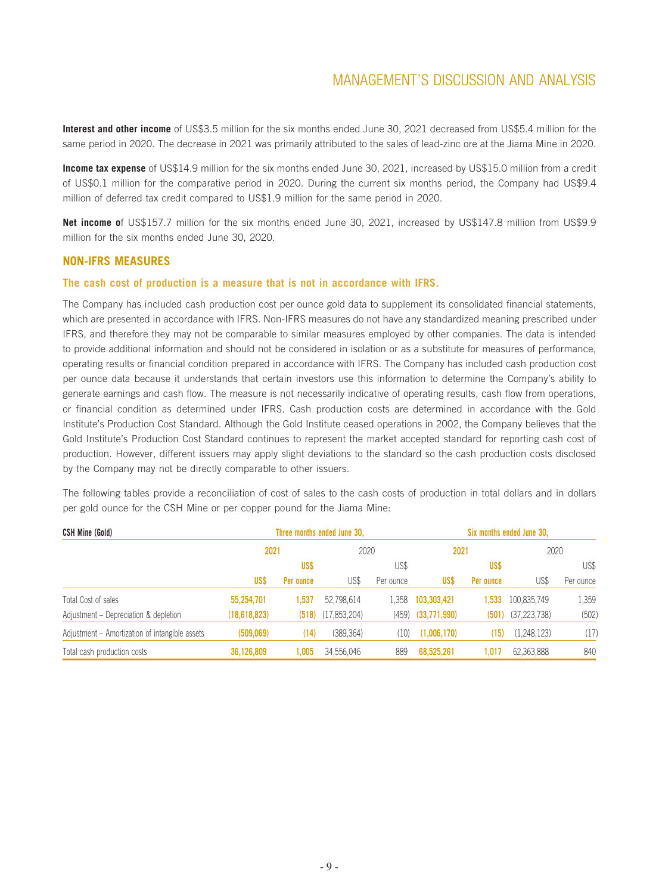**Interest and other income** of US\$3.5 million for the six months ended June 30, 2021 decreased from US\$5.4 million for the same period in 2020. The decrease in 2021 was primarily attributed to the sales of lead-zinc ore at the Jiama Mine in 2020.

**Income tax expense** of US\$14.9 million for the six months ended June 30, 2021, increased by US\$15.0 million from a credit of US\$0.1 million for the comparative period in 2020. During the current six months period, the Company had US\$9.4 million of deferred tax credit compared to US\$1.9 million for the same period in 2020.

**Net income o**f US\$157.7 million for the six months ended June 30, 2021, increased by US\$147.8 million from US\$9.9 million for the six months ended June 30, 2020.

### **NON-IFRS MEASURES**

### **The cash cost of production is a measure that is not in accordance with IFRS.**

The Company has included cash production cost per ounce gold data to supplement its consolidated financial statements, which are presented in accordance with IFRS. Non-IFRS measures do not have any standardized meaning prescribed under IFRS, and therefore they may not be comparable to similar measures employed by other companies. The data is intended to provide additional information and should not be considered in isolation or as a substitute for measures of performance, operating results or financial condition prepared in accordance with IFRS. The Company has included cash production cost per ounce data because it understands that certain investors use this information to determine the Company's ability to generate earnings and cash flow. The measure is not necessarily indicative of operating results, cash flow from operations, or financial condition as determined under IFRS. Cash production costs are determined in accordance with the Gold Institute's Production Cost Standard. Although the Gold Institute ceased operations in 2002, the Company believes that the Gold Institute's Production Cost Standard continues to represent the market accepted standard for reporting cash cost of production. However, different issuers may apply slight deviations to the standard so the cash production costs disclosed by the Company may not be directly comparable to other issuers.

The following tables provide a reconciliation of cost of sales to the cash costs of production in total dollars and in dollars per gold ounce for the CSH Mine or per copper pound for the Jiama Mine:

| <b>CSH Mine (Gold)</b>                         | Three months ended June 30, |            |                |           | Six months ended June 30. |            |                |           |
|------------------------------------------------|-----------------------------|------------|----------------|-----------|---------------------------|------------|----------------|-----------|
|                                                | 2021                        |            | 2020           |           | 2021                      |            | 2020           |           |
|                                                |                             | <b>USS</b> |                | US\$      |                           | <b>USS</b> |                | US\$      |
|                                                | US\$                        | Per ounce  | US\$           | Per ounce | US\$                      | Per ounce  | US\$           | Per ounce |
| Total Cost of sales                            | 55,254,701                  | 1.537      | 52.798.614     | 1.358     | 103,303,421               | 1.533      | 100.835.749    | 1,359     |
| Adjustment - Depreciation & depletion          | (18,618,823)                | (518)      | (17, 853, 204) |           | $(459)$ $(33,771,990)$    | (501)      | (37, 223, 738) | (502)     |
| Adjustment – Amortization of intangible assets | (509.069)                   | (14)       | (389.364)      | (10)      | (1,006,170)               | (15)       | (1,248,123)    | (17)      |
| Total cash production costs                    | 36,126,809                  | 1.005      | 34,556,046     | 889       | 68,525,261                | 1.017      | 62,363,888     | 840       |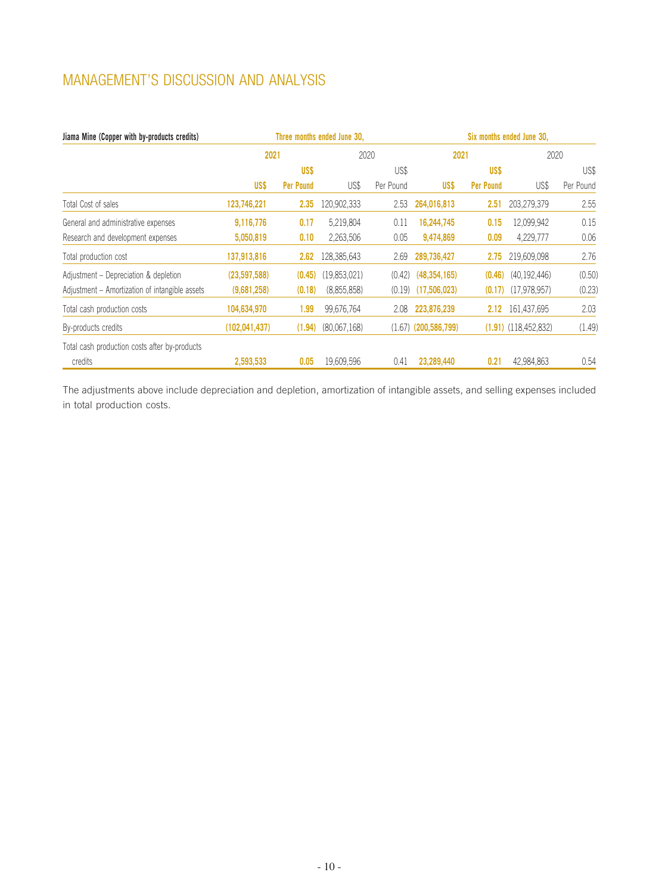| Jiama Mine (Copper with by-products credits)   | Three months ended June 30, |                  |              | Six months ended June 30, |                          |                   |                          |           |
|------------------------------------------------|-----------------------------|------------------|--------------|---------------------------|--------------------------|-------------------|--------------------------|-----------|
|                                                | 2021                        |                  | 2020         |                           | 2021                     |                   | 2020                     |           |
|                                                |                             | US\$             |              | US\$                      |                          | US\$              |                          | US\$      |
|                                                | US\$                        | <b>Per Pound</b> | US\$         | Per Pound                 | US\$                     | <b>Per Pound</b>  | US\$                     | Per Pound |
| Total Cost of sales                            | 123,746,221                 | 2.35             | 120,902,333  | 2.53                      | 264,016,813              | 2.51              | 203,279,379              | 2.55      |
| General and administrative expenses            | 9,116,776                   | 0.17             | 5,219,804    | 0.11                      | 16,244,745               | 0.15              | 12,099,942               | 0.15      |
| Research and development expenses              | 5,050,819                   | 0.10             | 2,263,506    | 0.05                      | 9,474,869                | 0.09              | 4,229,777                | 0.06      |
| Total production cost                          | 137,913,816                 | 2.62             | 128,385,643  | 2.69                      | 289,736,427              | 2.75              | 219,609,098              | 2.76      |
| Adjustment - Depreciation & depletion          | (23,597,588)                | (0.45)           | (19,853,021) | (0.42)                    | (48, 354, 165)           | (0.46)            | (40, 192, 446)           | (0.50)    |
| Adjustment – Amortization of intangible assets | (9,681,258)                 | (0.18)           | (8,855,858)  | (0.19)                    | (17,506,023)             | (0.17)            | (17.978.957)             | (0.23)    |
| Total cash production costs                    | 104,634,970                 | 1.99             | 99,676,764   | 2.08                      | 223,876,239              | 2.12 <sub>2</sub> | 161,437,695              | 2.03      |
| By-products credits                            | (102, 041, 437)             | (1.94)           | (80,067,168) |                           | $(1.67)$ $(200,586,799)$ |                   | $(1.91)$ $(118,452,832)$ | (1.49)    |
| Total cash production costs after by-products  |                             |                  |              |                           |                          |                   |                          |           |
| credits                                        | 2,593,533                   | 0.05             | 19,609,596   | 0.41                      | 23.289.440               | 0.21              | 42,984,863               | 0.54      |

The adjustments above include depreciation and depletion, amortization of intangible assets, and selling expenses included in total production costs.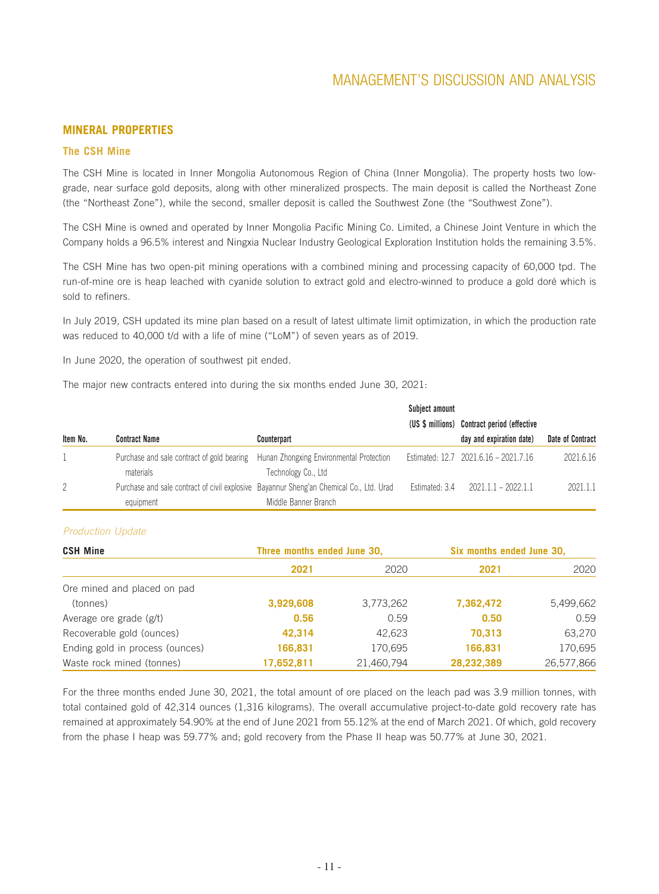### **MINERAL PROPERTIES**

### **The CSH Mine**

The CSH Mine is located in Inner Mongolia Autonomous Region of China (Inner Mongolia). The property hosts two lowgrade, near surface gold deposits, along with other mineralized prospects. The main deposit is called the Northeast Zone (the "Northeast Zone"), while the second, smaller deposit is called the Southwest Zone (the "Southwest Zone").

The CSH Mine is owned and operated by Inner Mongolia Pacific Mining Co. Limited, a Chinese Joint Venture in which the Company holds a 96.5% interest and Ningxia Nuclear Industry Geological Exploration Institution holds the remaining 3.5%.

The CSH Mine has two open-pit mining operations with a combined mining and processing capacity of 60,000 tpd. The run-of-mine ore is heap leached with cyanide solution to extract gold and electro-winned to produce a gold doré which is sold to refiners.

In July 2019, CSH updated its mine plan based on a result of latest ultimate limit optimization, in which the production rate was reduced to 40,000 t/d with a life of mine ("LoM") of seven years as of 2019.

In June 2020, the operation of southwest pit ended.

The major new contracts entered into during the six months ended June 30, 2021:

|                |                                                         |                                                                                         | Subject amount |                                             |                  |
|----------------|---------------------------------------------------------|-----------------------------------------------------------------------------------------|----------------|---------------------------------------------|------------------|
|                |                                                         |                                                                                         |                | (US \$ millions) Contract period (effective |                  |
| Item No.       | <b>Contract Name</b>                                    | <b>Counterpart</b>                                                                      |                | day and expiration date)                    | Date of Contract |
|                | Purchase and sale contract of gold bearing<br>materials | Hunan Zhongxing Environmental Protection<br>Technology Co., Ltd                         |                | Estimated: 12.7 2021.6.16 - 2021.7.16       | 2021.6.16        |
| $\overline{2}$ |                                                         | Purchase and sale contract of civil explosive Bayannur Sheng'an Chemical Co., Ltd. Urad | Estimated: 3.4 | $2021.1.1 - 2022.1.1$                       | 2021.1.1         |
|                | equipment                                               | Middle Banner Branch                                                                    |                |                                             |                  |

### *Production Update*

| <b>CSH Mine</b>                 | Three months ended June 30, |            |            | Six months ended June 30, |  |
|---------------------------------|-----------------------------|------------|------------|---------------------------|--|
|                                 | 2021                        | 2020       | 2021       | 2020                      |  |
| Ore mined and placed on pad     |                             |            |            |                           |  |
| (tonnes)                        | 3,929,608                   | 3,773,262  | 7,362,472  | 5,499,662                 |  |
| Average ore grade (g/t)         | 0.56                        | 0.59       | 0.50       | 0.59                      |  |
| Recoverable gold (ounces)       | 42,314                      | 42.623     | 70,313     | 63.270                    |  |
| Ending gold in process (ounces) | 166,831                     | 170,695    | 166,831    | 170,695                   |  |
| Waste rock mined (tonnes)       | 17,652,811                  | 21,460,794 | 28,232,389 | 26,577,866                |  |

For the three months ended June 30, 2021, the total amount of ore placed on the leach pad was 3.9 million tonnes, with total contained gold of 42,314 ounces (1,316 kilograms). The overall accumulative project-to-date gold recovery rate has remained at approximately 54.90% at the end of June 2021 from 55.12% at the end of March 2021. Of which, gold recovery from the phase I heap was 59.77% and; gold recovery from the Phase II heap was 50.77% at June 30, 2021.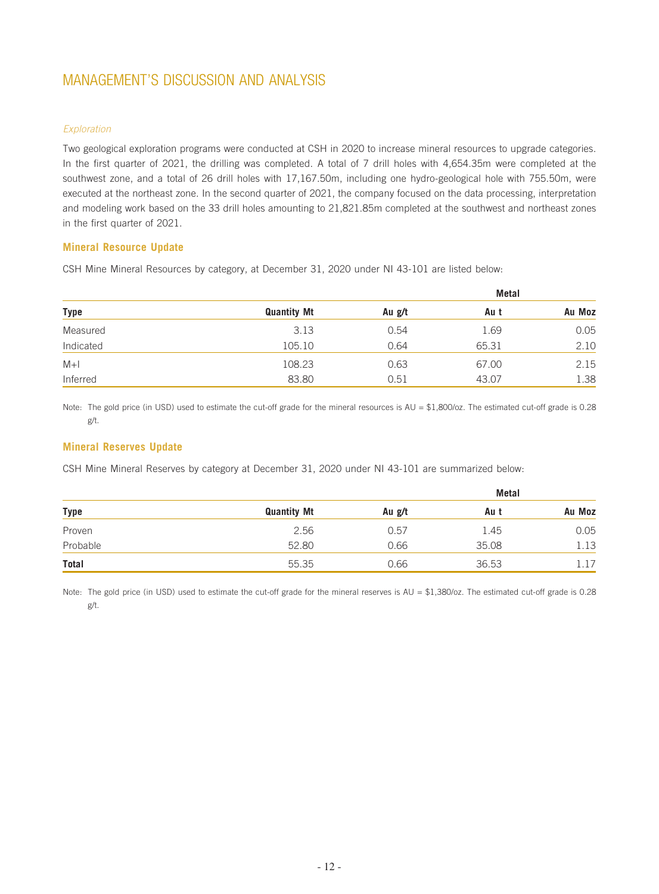### *Exploration*

Two geological exploration programs were conducted at CSH in 2020 to increase mineral resources to upgrade categories. In the first quarter of 2021, the drilling was completed. A total of 7 drill holes with 4,654.35m were completed at the southwest zone, and a total of 26 drill holes with 17,167.50m, including one hydro-geological hole with 755.50m, were executed at the northeast zone. In the second quarter of 2021, the company focused on the data processing, interpretation and modeling work based on the 33 drill holes amounting to 21,821.85m completed at the southwest and northeast zones in the first quarter of 2021.

### **Mineral Resource Update**

CSH Mine Mineral Resources by category, at December 31, 2020 under NI 43-101 are listed below:

|             |                    |        | Metal |        |  |
|-------------|--------------------|--------|-------|--------|--|
| <b>Type</b> | <b>Quantity Mt</b> | Au g/t | Au t  | Au Moz |  |
| Measured    | 3.13               | 0.54   | 1.69  | 0.05   |  |
| Indicated   | 105.10             | 0.64   | 65.31 | 2.10   |  |
| $M+1$       | 108.23             | 0.63   | 67.00 | 2.15   |  |
| Inferred    | 83.80              | 0.51   | 43.07 | 1.38   |  |

Note: The gold price (in USD) used to estimate the cut-off grade for the mineral resources is AU = \$1,800/oz. The estimated cut-off grade is 0.28 g/t.

### **Mineral Reserves Update**

CSH Mine Mineral Reserves by category at December 31, 2020 under NI 43-101 are summarized below:

|          |                    |        | <b>Metal</b> |        |
|----------|--------------------|--------|--------------|--------|
| Type     | <b>Quantity Mt</b> | Au g/t | Au t         | Au Moz |
| Proven   | 2.56               | 0.57   | 1.45         | 0.05   |
| Probable | 52.80              | 0.66   | 35.08        | 1.13   |
| Total    | 55.35              | 0.66   | 36.53        | 1.17   |

Note: The gold price (in USD) used to estimate the cut-off grade for the mineral reserves is AU = \$1,380/oz. The estimated cut-off grade is 0.28 g/t.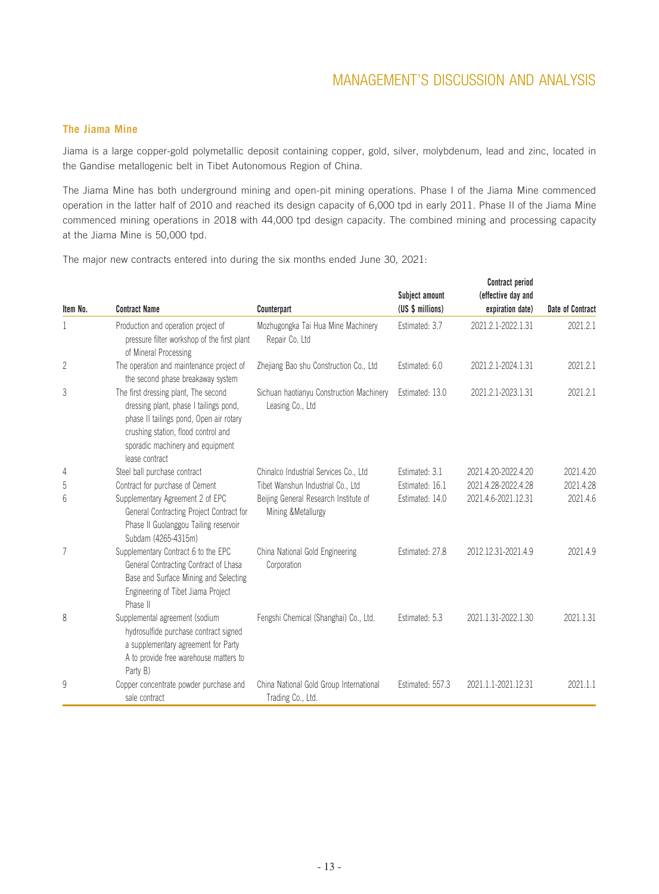### **The Jiama Mine**

Jiama is a large copper-gold polymetallic deposit containing copper, gold, silver, molybdenum, lead and zinc, located in the Gandise metallogenic belt in Tibet Autonomous Region of China.

The Jiama Mine has both underground mining and open-pit mining operations. Phase I of the Jiama Mine commenced operation in the latter half of 2010 and reached its design capacity of 6,000 tpd in early 2011. Phase II of the Jiama Mine commenced mining operations in 2018 with 44,000 tpd design capacity. The combined mining and processing capacity at the Jiama Mine is 50,000 tpd.

The major new contracts entered into during the six months ended June 30, 2021:

|          |                                                                                                                                                                                                                        |                                                              | Subject amount   | Contract period<br>(effective day and |                  |
|----------|------------------------------------------------------------------------------------------------------------------------------------------------------------------------------------------------------------------------|--------------------------------------------------------------|------------------|---------------------------------------|------------------|
| Item No. | <b>Contract Name</b>                                                                                                                                                                                                   | Counterpart                                                  | (US \$ millions) | expiration date)                      | Date of Contract |
| 1        | Production and operation project of<br>pressure filter workshop of the first plant<br>of Mineral Processing                                                                                                            | Mozhugongka Tai Hua Mine Machinery<br>Repair Co. Ltd         | Estimated: 3.7   | 2021.2.1-2022.1.31                    | 2021.2.1         |
| 2        | The operation and maintenance project of<br>the second phase breakaway system                                                                                                                                          | Zhejiang Bao shu Construction Co., Ltd.                      | Estimated: 6.0   | 2021.2.1-2024.1.31                    | 2021.2.1         |
| 3        | The first dressing plant, The second<br>dressing plant, phase I tailings pond,<br>phase II tailings pond, Open air rotary<br>crushing station, flood control and<br>sporadic machinery and equipment<br>lease contract | Sichuan haotianyu Construction Machinery<br>Leasing Co., Ltd | Estimated: 13.0  | 2021.2.1-2023.1.31                    | 2021.2.1         |
| 4        | Steel ball purchase contract                                                                                                                                                                                           | Chinalco Industrial Services Co., Ltd                        | Estimated: 3.1   | 2021.4.20-2022.4.20                   | 2021.4.20        |
| 5        | Contract for purchase of Cement                                                                                                                                                                                        | Tibet Wanshun Industrial Co., Ltd                            | Estimated: 16.1  | 2021.4.28-2022.4.28                   | 2021.4.28        |
| 6        | Supplementary Agreement 2 of EPC<br>General Contracting Project Contract for<br>Phase II Guolanggou Tailing reservoir<br>Subdam (4265-4315m)                                                                           | Beijing General Research Institute of<br>Mining & Metallurgy | Estimated: 14.0  | 2021.4.6-2021.12.31                   | 2021.4.6         |
| 7        | Supplementary Contract 6 to the EPC<br>General Contracting Contract of Lhasa<br>Base and Surface Mining and Selecting<br>Engineering of Tibet Jiama Project<br>Phase II                                                | China National Gold Engineering<br>Corporation               | Estimated: 27.8  | 2012.12.31-2021.4.9                   | 2021.4.9         |
| 8        | Supplemental agreement (sodium<br>hydrosulfide purchase contract signed<br>a supplementary agreement for Party<br>A to provide free warehouse matters to<br>Party B)                                                   | Fengshi Chemical (Shanghai) Co., Ltd.                        | Estimated: 5.3   | 2021.1.31-2022.1.30                   | 2021.1.31        |
| 9        | Copper concentrate powder purchase and<br>sale contract                                                                                                                                                                | China National Gold Group International<br>Trading Co., Ltd. | Estimated: 557.3 | 2021.1.1-2021.12.31                   | 2021.1.1         |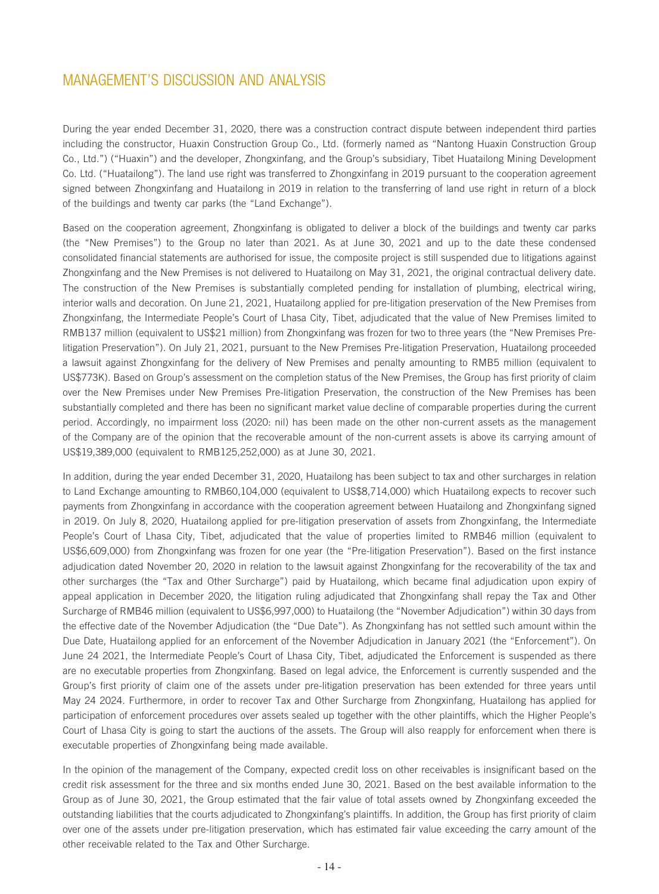During the year ended December 31, 2020, there was a construction contract dispute between independent third parties including the constructor, Huaxin Construction Group Co., Ltd. (formerly named as "Nantong Huaxin Construction Group Co., Ltd.") ("Huaxin") and the developer, Zhongxinfang, and the Group's subsidiary, Tibet Huatailong Mining Development Co. Ltd. ("Huatailong"). The land use right was transferred to Zhongxinfang in 2019 pursuant to the cooperation agreement signed between Zhongxinfang and Huatailong in 2019 in relation to the transferring of land use right in return of a block of the buildings and twenty car parks (the "Land Exchange").

Based on the cooperation agreement, Zhongxinfang is obligated to deliver a block of the buildings and twenty car parks (the "New Premises") to the Group no later than 2021. As at June 30, 2021 and up to the date these condensed consolidated financial statements are authorised for issue, the composite project is still suspended due to litigations against Zhongxinfang and the New Premises is not delivered to Huatailong on May 31, 2021, the original contractual delivery date. The construction of the New Premises is substantially completed pending for installation of plumbing, electrical wiring, interior walls and decoration. On June 21, 2021, Huatailong applied for pre-litigation preservation of the New Premises from Zhongxinfang, the Intermediate People's Court of Lhasa City, Tibet, adjudicated that the value of New Premises limited to RMB137 million (equivalent to US\$21 million) from Zhongxinfang was frozen for two to three years (the "New Premises Prelitigation Preservation"). On July 21, 2021, pursuant to the New Premises Pre-litigation Preservation, Huatailong proceeded a lawsuit against Zhongxinfang for the delivery of New Premises and penalty amounting to RMB5 million (equivalent to US\$773K). Based on Group's assessment on the completion status of the New Premises, the Group has first priority of claim over the New Premises under New Premises Pre-litigation Preservation, the construction of the New Premises has been substantially completed and there has been no significant market value decline of comparable properties during the current period. Accordingly, no impairment loss (2020: nil) has been made on the other non-current assets as the management of the Company are of the opinion that the recoverable amount of the non-current assets is above its carrying amount of US\$19,389,000 (equivalent to RMB125,252,000) as at June 30, 2021.

In addition, during the year ended December 31, 2020, Huatailong has been subject to tax and other surcharges in relation to Land Exchange amounting to RMB60,104,000 (equivalent to US\$8,714,000) which Huatailong expects to recover such payments from Zhongxinfang in accordance with the cooperation agreement between Huatailong and Zhongxinfang signed in 2019. On July 8, 2020, Huatailong applied for pre-litigation preservation of assets from Zhongxinfang, the Intermediate People's Court of Lhasa City, Tibet, adjudicated that the value of properties limited to RMB46 million (equivalent to US\$6,609,000) from Zhongxinfang was frozen for one year (the "Pre-litigation Preservation"). Based on the first instance adjudication dated November 20, 2020 in relation to the lawsuit against Zhongxinfang for the recoverability of the tax and other surcharges (the "Tax and Other Surcharge") paid by Huatailong, which became final adjudication upon expiry of appeal application in December 2020, the litigation ruling adjudicated that Zhongxinfang shall repay the Tax and Other Surcharge of RMB46 million (equivalent to US\$6,997,000) to Huatailong (the "November Adjudication") within 30 days from the effective date of the November Adjudication (the "Due Date"). As Zhongxinfang has not settled such amount within the Due Date, Huatailong applied for an enforcement of the November Adjudication in January 2021 (the "Enforcement"). On June 24 2021, the Intermediate People's Court of Lhasa City, Tibet, adjudicated the Enforcement is suspended as there are no executable properties from Zhongxinfang. Based on legal advice, the Enforcement is currently suspended and the Group's first priority of claim one of the assets under pre-litigation preservation has been extended for three years until May 24 2024. Furthermore, in order to recover Tax and Other Surcharge from Zhongxinfang, Huatailong has applied for participation of enforcement procedures over assets sealed up together with the other plaintiffs, which the Higher People's Court of Lhasa City is going to start the auctions of the assets. The Group will also reapply for enforcement when there is executable properties of Zhongxinfang being made available.

In the opinion of the management of the Company, expected credit loss on other receivables is insignificant based on the credit risk assessment for the three and six months ended June 30, 2021. Based on the best available information to the Group as of June 30, 2021, the Group estimated that the fair value of total assets owned by Zhongxinfang exceeded the outstanding liabilities that the courts adjudicated to Zhongxinfang's plaintiffs. In addition, the Group has first priority of claim over one of the assets under pre-litigation preservation, which has estimated fair value exceeding the carry amount of the other receivable related to the Tax and Other Surcharge.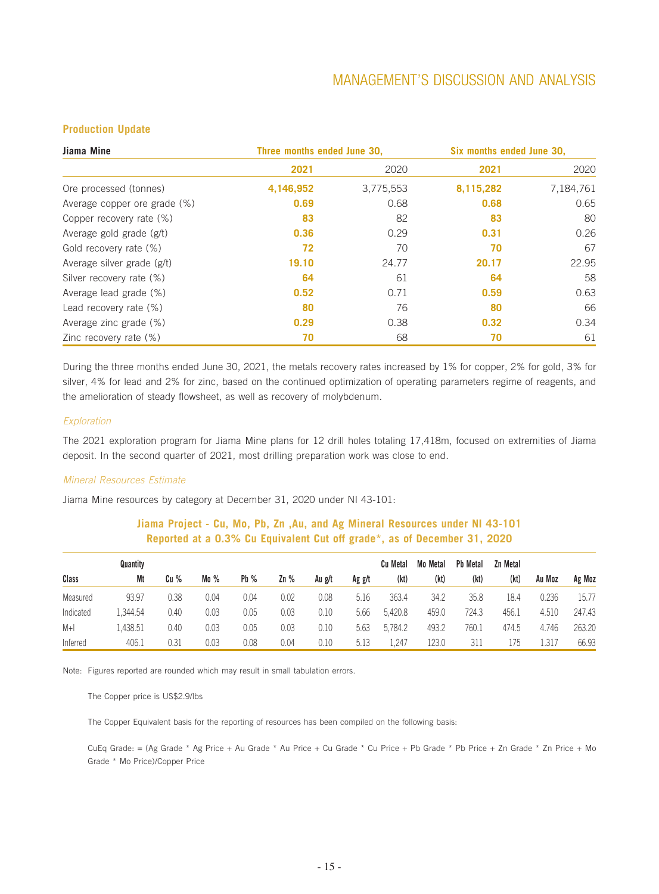### **Production Update**

| Jiama Mine                   | Three months ended June 30, |           | Six months ended June 30, |           |
|------------------------------|-----------------------------|-----------|---------------------------|-----------|
|                              | 2021                        | 2020      | 2021                      | 2020      |
| Ore processed (tonnes)       | 4,146,952                   | 3,775,553 | 8,115,282                 | 7,184,761 |
| Average copper ore grade (%) | 0.69                        | 0.68      | 0.68                      | 0.65      |
| Copper recovery rate (%)     | 83                          | 82        | 83                        | 80        |
| Average gold grade (g/t)     | 0.36                        | 0.29      | 0.31                      | 0.26      |
| Gold recovery rate (%)       | 72                          | 70        | 70                        | 67        |
| Average silver grade (g/t)   | 19.10                       | 24.77     | 20.17                     | 22.95     |
| Silver recovery rate (%)     | 64                          | 61        | 64                        | 58        |
| Average lead grade (%)       | 0.52                        | 0.71      | 0.59                      | 0.63      |
| Lead recovery rate (%)       | 80                          | 76        | 80                        | 66        |
| Average zinc grade (%)       | 0.29                        | 0.38      | 0.32                      | 0.34      |
| Zinc recovery rate (%)       | 70                          | 68        | 70                        | 61        |

During the three months ended June 30, 2021, the metals recovery rates increased by 1% for copper, 2% for gold, 3% for silver, 4% for lead and 2% for zinc, based on the continued optimization of operating parameters regime of reagents, and the amelioration of steady flowsheet, as well as recovery of molybdenum.

#### *Exploration*

The 2021 exploration program for Jiama Mine plans for 12 drill holes totaling 17,418m, focused on extremities of Jiama deposit. In the second quarter of 2021, most drilling preparation work was close to end.

#### *Mineral Resources Estimate*

Jiama Mine resources by category at December 31, 2020 under NI 43-101:

### **Jiama Project - Cu, Mo, Pb, Zn ,Au, and Ag Mineral Resources under NI 43-101 Reported at a 0.3% Cu Equivalent Cut off grade\*, as of December 31, 2020**

|           | Quantity |      |        |      |      |        | Ag g/t | Cu Metal<br>(kt) | Mo Metal<br>(kt) | <b>Pb Metal</b><br>(kt) | Zn Metal<br>(kt) |        |        |
|-----------|----------|------|--------|------|------|--------|--------|------------------|------------------|-------------------------|------------------|--------|--------|
| Class     | Mt       | Cu % | Mo $%$ | Pb%  | 2n%  | Au g/t |        |                  |                  |                         |                  | Au Moz | Ag Moz |
| Measured  | 93.97    | 0.38 | 0.04   | 0.04 | 0.02 | 0.08   | 5.16   | 363.4            | 34.2             | 35.8                    | 18.4             | 0.236  | 15.77  |
| Indicated | .344.54  | 0.40 | 0.03   | 0.05 | 0.03 | 0.10   | 5.66   | 5.420.8          | 459.0            | 724.3                   | 456.1            | 4.510  | 247.43 |
| $M+1$     | .438.51  | 0.40 | 0.03   | 0.05 | 0.03 | 0.10   | 5.63   | 5,784.2          | 493.2            | 760.1                   | 474.5            | 4.746  | 263.20 |
| Inferred  | 406.1    | 0.31 | 0.03   | 0.08 | 0.04 | 0.10   | 5.13   | . 247            | 123.0            | 311                     | 175              | 1.317  | 66.93  |

Note: Figures reported are rounded which may result in small tabulation errors.

The Copper price is US\$2.9/lbs

The Copper Equivalent basis for the reporting of resources has been compiled on the following basis:

CuEq Grade: = (Ag Grade \* Ag Price + Au Grade \* Au Price + Cu Grade \* Cu Price + Pb Grade \* Pb Price + Zn Grade \* Zn Price + Mo Grade \* Mo Price)/Copper Price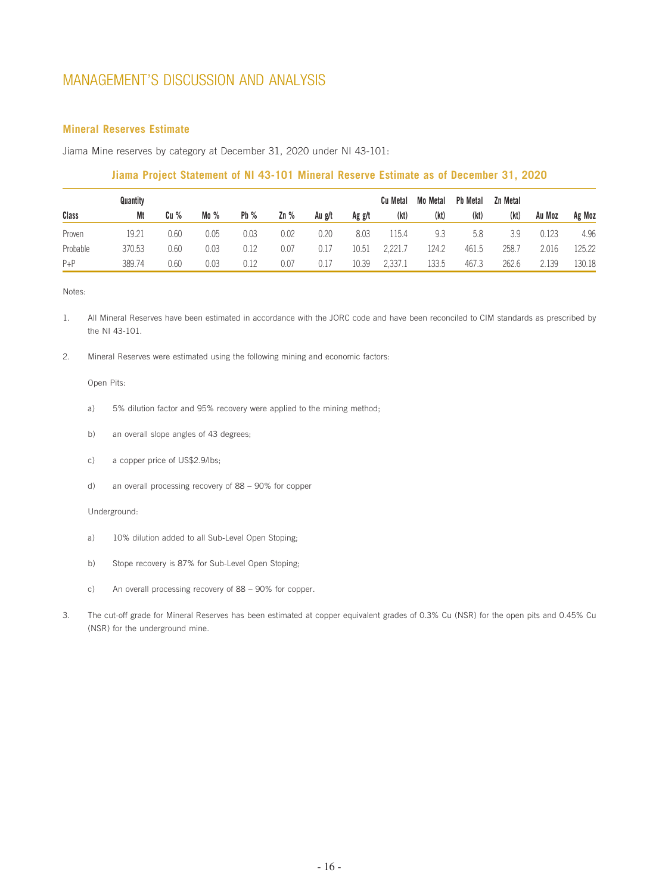### **Mineral Reserves Estimate**

Jiama Mine reserves by category at December 31, 2020 under NI 43-101:

### **Jiama Project Statement of NI 43-101 Mineral Reserve Estimate as of December 31, 2020**

|          | Quantity |      |      |      |      |        |        | <b>Cu Metal</b> | Mo Metal | <b>Pb Metal</b> | Zn Metal |        |        |
|----------|----------|------|------|------|------|--------|--------|-----------------|----------|-----------------|----------|--------|--------|
| Class    | Mt       | Cu % | Mo%  | Pb%  | 2n%  | Au g/t | Ag g/t | (kt)            | (kt)     | (kt)            | (kt)     | Au Moz | Ag Moz |
| Proven   | 19.21    | 0.60 | 0.05 | 0.03 | 0.02 | 0.20   | 8.03   | 115.4           | 9.3      | 5.8             | 3.9      | 0.123  | 4.96   |
| Probable | 370.53   | 0.60 | 0.03 | 0.12 | 0.07 | 0.17   | 10.51  | 2,221.7         | 124.2    | 461.5           | 258.7    | 2.016  | 125.22 |
| $P + P$  | 389.74   | 0.60 | 0.03 | 0.12 | 0.07 | 0.17   | 10.39  | 2,337.1         | 133.5    | 467.3           | 262.6    | 2.139  | 130.18 |

Notes:

- 1. All Mineral Reserves have been estimated in accordance with the JORC code and have been reconciled to CIM standards as prescribed by the NI 43-101.
- 2. Mineral Reserves were estimated using the following mining and economic factors:

#### Open Pits:

- a) 5% dilution factor and 95% recovery were applied to the mining method;
- b) an overall slope angles of 43 degrees;
- c) a copper price of US\$2.9/lbs;
- d) an overall processing recovery of 88 90% for copper

#### Underground:

- a) 10% dilution added to all Sub-Level Open Stoping;
- b) Stope recovery is 87% for Sub-Level Open Stoping;
- c) An overall processing recovery of 88 90% for copper.
- 3. The cut-off grade for Mineral Reserves has been estimated at copper equivalent grades of 0.3% Cu (NSR) for the open pits and 0.45% Cu (NSR) for the underground mine.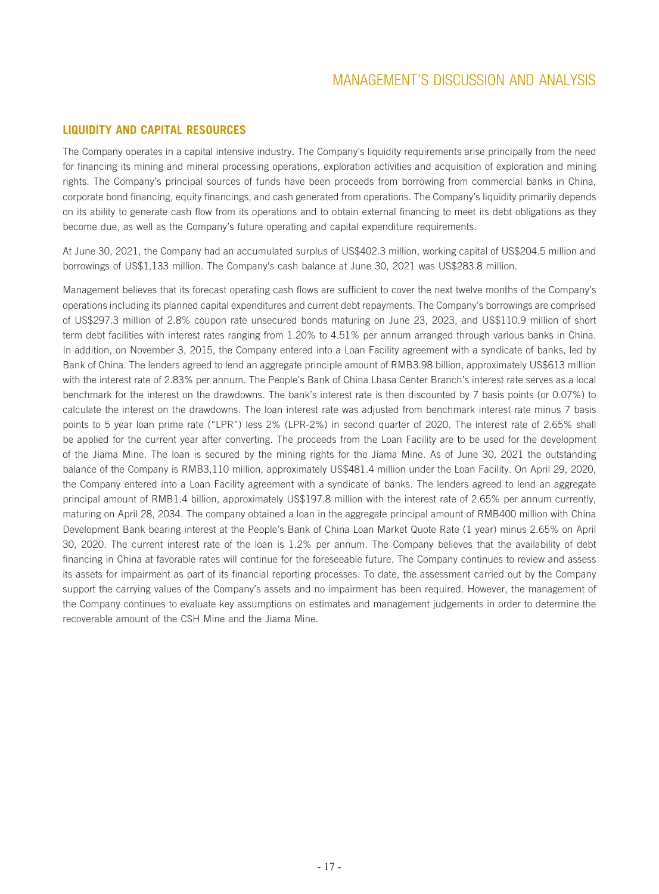### **LIQUIDITY AND CAPITAL RESOURCES**

The Company operates in a capital intensive industry. The Company's liquidity requirements arise principally from the need for financing its mining and mineral processing operations, exploration activities and acquisition of exploration and mining rights. The Company's principal sources of funds have been proceeds from borrowing from commercial banks in China, corporate bond financing, equity financings, and cash generated from operations. The Company's liquidity primarily depends on its ability to generate cash flow from its operations and to obtain external financing to meet its debt obligations as they become due, as well as the Company's future operating and capital expenditure requirements.

At June 30, 2021, the Company had an accumulated surplus of US\$402.3 million, working capital of US\$204.5 million and borrowings of US\$1,133 million. The Company's cash balance at June 30, 2021 was US\$283.8 million.

Management believes that its forecast operating cash flows are sufficient to cover the next twelve months of the Company's operations including its planned capital expenditures and current debt repayments. The Company's borrowings are comprised of US\$297.3 million of 2.8% coupon rate unsecured bonds maturing on June 23, 2023, and US\$110.9 million of short term debt facilities with interest rates ranging from 1.20% to 4.51% per annum arranged through various banks in China. In addition, on November 3, 2015, the Company entered into a Loan Facility agreement with a syndicate of banks, led by Bank of China. The lenders agreed to lend an aggregate principle amount of RMB3.98 billion, approximately US\$613 million with the interest rate of 2.83% per annum. The People's Bank of China Lhasa Center Branch's interest rate serves as a local benchmark for the interest on the drawdowns. The bank's interest rate is then discounted by 7 basis points (or 0.07%) to calculate the interest on the drawdowns. The loan interest rate was adjusted from benchmark interest rate minus 7 basis points to 5 year loan prime rate ("LPR") less 2% (LPR-2%) in second quarter of 2020. The interest rate of 2.65% shall be applied for the current year after converting. The proceeds from the Loan Facility are to be used for the development of the Jiama Mine. The loan is secured by the mining rights for the Jiama Mine. As of June 30, 2021 the outstanding balance of the Company is RMB3,110 million, approximately US\$481.4 million under the Loan Facility. On April 29, 2020, the Company entered into a Loan Facility agreement with a syndicate of banks. The lenders agreed to lend an aggregate principal amount of RMB1.4 billion, approximately US\$197.8 million with the interest rate of 2.65% per annum currently, maturing on April 28, 2034. The company obtained a loan in the aggregate principal amount of RMB400 million with China Development Bank bearing interest at the People's Bank of China Loan Market Quote Rate (1 year) minus 2.65% on April 30, 2020. The current interest rate of the loan is 1.2% per annum. The Company believes that the availability of debt financing in China at favorable rates will continue for the foreseeable future. The Company continues to review and assess its assets for impairment as part of its financial reporting processes. To date, the assessment carried out by the Company support the carrying values of the Company's assets and no impairment has been required. However, the management of the Company continues to evaluate key assumptions on estimates and management judgements in order to determine the recoverable amount of the CSH Mine and the Jiama Mine.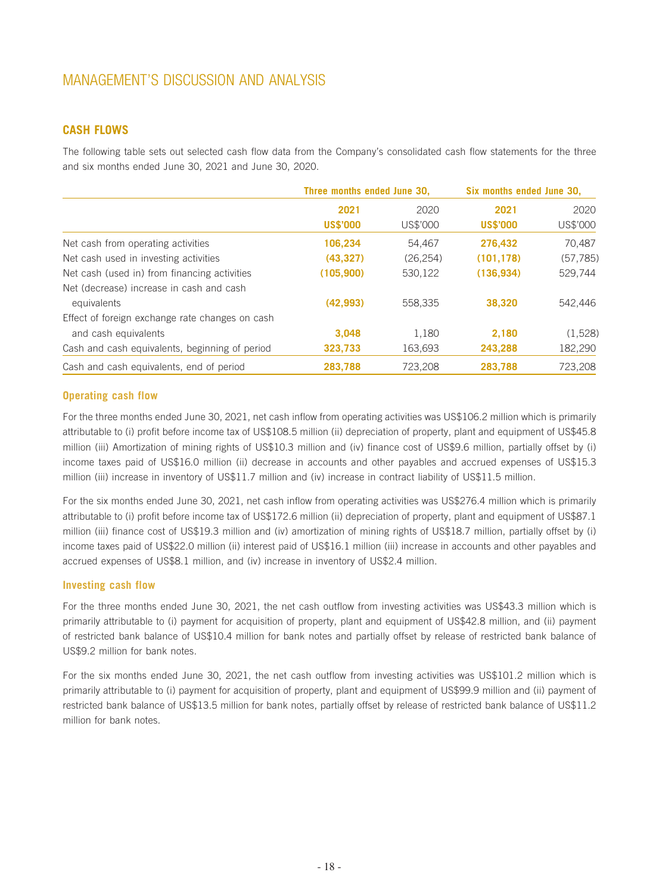### **CASH FLOWS**

The following table sets out selected cash flow data from the Company's consolidated cash flow statements for the three and six months ended June 30, 2021 and June 30, 2020.

|                                                 | Three months ended June 30, |           | Six months ended June 30, |           |
|-------------------------------------------------|-----------------------------|-----------|---------------------------|-----------|
|                                                 | 2021                        | 2020      | 2021                      | 2020      |
|                                                 | <b>US\$'000</b>             | US\$'000  | <b>US\$'000</b>           | US\$'000  |
| Net cash from operating activities              | 106.234                     | 54.467    | 276.432                   | 70.487    |
| Net cash used in investing activities           | (43, 327)                   | (26, 254) | (101, 178)                | (57, 785) |
| Net cash (used in) from financing activities    | (105, 900)                  | 530,122   | (136, 934)                | 529,744   |
| Net (decrease) increase in cash and cash        |                             |           |                           |           |
| equivalents                                     | (42, 993)                   | 558,335   | 38,320                    | 542,446   |
| Effect of foreign exchange rate changes on cash |                             |           |                           |           |
| and cash equivalents                            | 3.048                       | 1.180     | 2,180                     | (1,528)   |
| Cash and cash equivalents, beginning of period  | 323,733                     | 163,693   | 243,288                   | 182,290   |
| Cash and cash equivalents, end of period        | 283,788                     | 723,208   | 283,788                   | 723,208   |

### **Operating cash flow**

For the three months ended June 30, 2021, net cash inflow from operating activities was US\$106.2 million which is primarily attributable to (i) profit before income tax of US\$108.5 million (ii) depreciation of property, plant and equipment of US\$45.8 million (iii) Amortization of mining rights of US\$10.3 million and (iv) finance cost of US\$9.6 million, partially offset by (i) income taxes paid of US\$16.0 million (ii) decrease in accounts and other payables and accrued expenses of US\$15.3 million (iii) increase in inventory of US\$11.7 million and (iv) increase in contract liability of US\$11.5 million.

For the six months ended June 30, 2021, net cash inflow from operating activities was US\$276.4 million which is primarily attributable to (i) profit before income tax of US\$172.6 million (ii) depreciation of property, plant and equipment of US\$87.1 million (iii) finance cost of US\$19.3 million and (iv) amortization of mining rights of US\$18.7 million, partially offset by (i) income taxes paid of US\$22.0 million (ii) interest paid of US\$16.1 million (iii) increase in accounts and other payables and accrued expenses of US\$8.1 million, and (iv) increase in inventory of US\$2.4 million.

### **Investing cash flow**

For the three months ended June 30, 2021, the net cash outflow from investing activities was US\$43.3 million which is primarily attributable to (i) payment for acquisition of property, plant and equipment of US\$42.8 million, and (ii) payment of restricted bank balance of US\$10.4 million for bank notes and partially offset by release of restricted bank balance of US\$9.2 million for bank notes.

For the six months ended June 30, 2021, the net cash outflow from investing activities was US\$101.2 million which is primarily attributable to (i) payment for acquisition of property, plant and equipment of US\$99.9 million and (ii) payment of restricted bank balance of US\$13.5 million for bank notes, partially offset by release of restricted bank balance of US\$11.2 million for bank notes.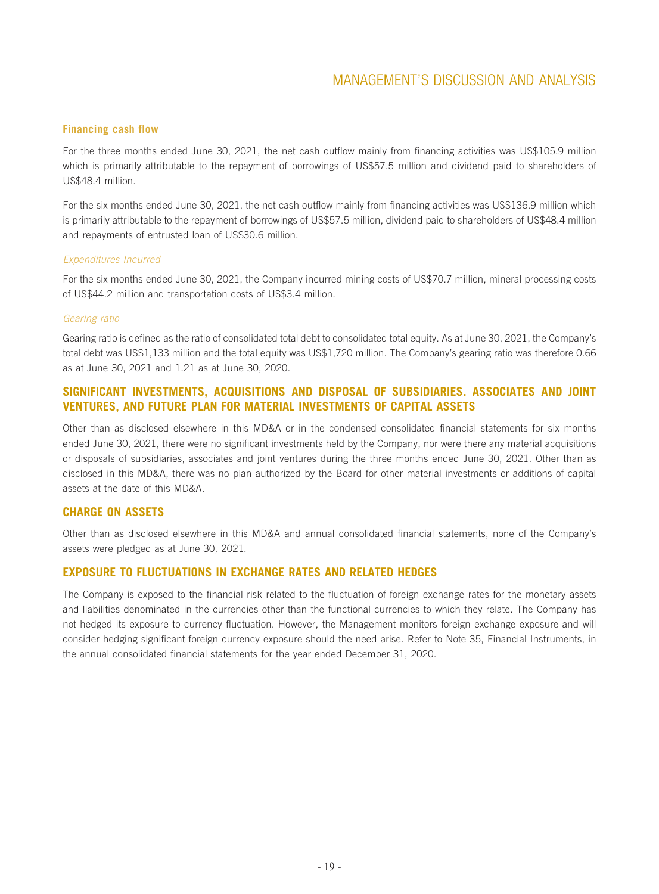### **Financing cash flow**

For the three months ended June 30, 2021, the net cash outflow mainly from financing activities was US\$105.9 million which is primarily attributable to the repayment of borrowings of US\$57.5 million and dividend paid to shareholders of US\$48.4 million.

For the six months ended June 30, 2021, the net cash outflow mainly from financing activities was US\$136.9 million which is primarily attributable to the repayment of borrowings of US\$57.5 million, dividend paid to shareholders of US\$48.4 million and repayments of entrusted loan of US\$30.6 million.

### *Expenditures Incurred*

For the six months ended June 30, 2021, the Company incurred mining costs of US\$70.7 million, mineral processing costs of US\$44.2 million and transportation costs of US\$3.4 million.

#### *Gearing ratio*

Gearing ratio is defined as the ratio of consolidated total debt to consolidated total equity. As at June 30, 2021, the Company's total debt was US\$1,133 million and the total equity was US\$1,720 million. The Company's gearing ratio was therefore 0.66 as at June 30, 2021 and 1.21 as at June 30, 2020.

### **SIGNIFICANT INVESTMENTS, ACQUISITIONS AND DISPOSAL OF SUBSIDIARIES. ASSOCIATES AND JOINT VENTURES, AND FUTURE PLAN FOR MATERIAL INVESTMENTS OF CAPITAL ASSETS**

Other than as disclosed elsewhere in this MD&A or in the condensed consolidated financial statements for six months ended June 30, 2021, there were no significant investments held by the Company, nor were there any material acquisitions or disposals of subsidiaries, associates and joint ventures during the three months ended June 30, 2021. Other than as disclosed in this MD&A, there was no plan authorized by the Board for other material investments or additions of capital assets at the date of this MD&A.

### **CHARGE ON ASSETS**

Other than as disclosed elsewhere in this MD&A and annual consolidated financial statements, none of the Company's assets were pledged as at June 30, 2021.

### **EXPOSURE TO FLUCTUATIONS IN EXCHANGE RATES AND RELATED HEDGES**

The Company is exposed to the financial risk related to the fluctuation of foreign exchange rates for the monetary assets and liabilities denominated in the currencies other than the functional currencies to which they relate. The Company has not hedged its exposure to currency fluctuation. However, the Management monitors foreign exchange exposure and will consider hedging significant foreign currency exposure should the need arise. Refer to Note 35, Financial Instruments, in the annual consolidated financial statements for the year ended December 31, 2020.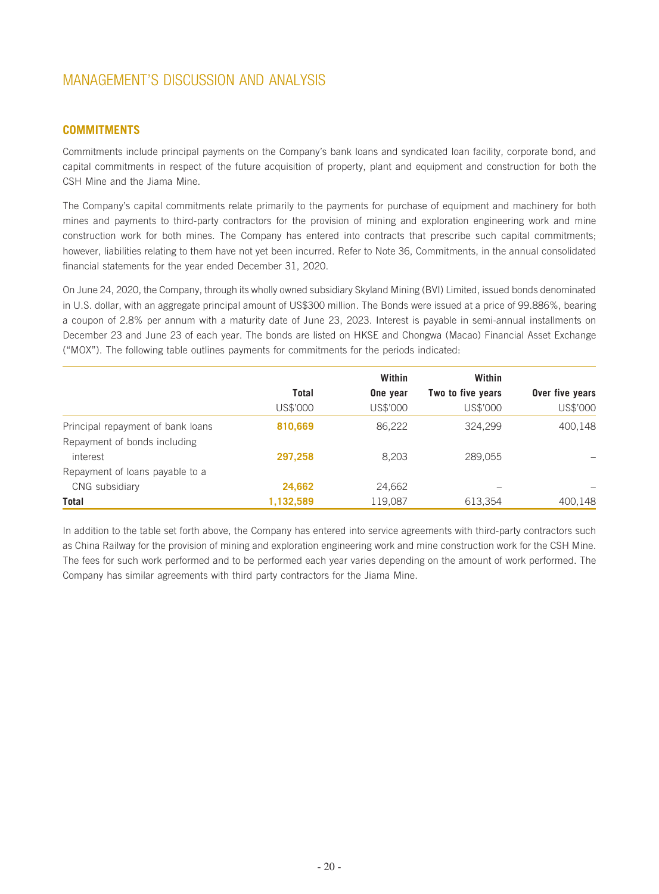### **COMMITMENTS**

Commitments include principal payments on the Company's bank loans and syndicated loan facility, corporate bond, and capital commitments in respect of the future acquisition of property, plant and equipment and construction for both the CSH Mine and the Jiama Mine.

The Company's capital commitments relate primarily to the payments for purchase of equipment and machinery for both mines and payments to third-party contractors for the provision of mining and exploration engineering work and mine construction work for both mines. The Company has entered into contracts that prescribe such capital commitments; however, liabilities relating to them have not yet been incurred. Refer to Note 36, Commitments, in the annual consolidated financial statements for the year ended December 31, 2020.

On June 24, 2020, the Company, through its wholly owned subsidiary Skyland Mining (BVI) Limited, issued bonds denominated in U.S. dollar, with an aggregate principal amount of US\$300 million. The Bonds were issued at a price of 99.886%, bearing a coupon of 2.8% per annum with a maturity date of June 23, 2023. Interest is payable in semi-annual installments on December 23 and June 23 of each year. The bonds are listed on HKSE and Chongwa (Macao) Financial Asset Exchange ("MOX"). The following table outlines payments for commitments for the periods indicated:

|                                   |           | Within   | Within            |                 |
|-----------------------------------|-----------|----------|-------------------|-----------------|
|                                   | Total     | One year | Two to five years | Over five years |
|                                   | US\$'000  | US\$'000 | US\$'000          | US\$'000        |
| Principal repayment of bank loans | 810,669   | 86,222   | 324.299           | 400,148         |
| Repayment of bonds including      |           |          |                   |                 |
| interest                          | 297,258   | 8,203    | 289,055           |                 |
| Repayment of loans payable to a   |           |          |                   |                 |
| CNG subsidiary                    | 24,662    | 24,662   |                   |                 |
| Total                             | 1,132,589 | 119,087  | 613,354           | 400,148         |

In addition to the table set forth above, the Company has entered into service agreements with third-party contractors such as China Railway for the provision of mining and exploration engineering work and mine construction work for the CSH Mine. The fees for such work performed and to be performed each year varies depending on the amount of work performed. The Company has similar agreements with third party contractors for the Jiama Mine.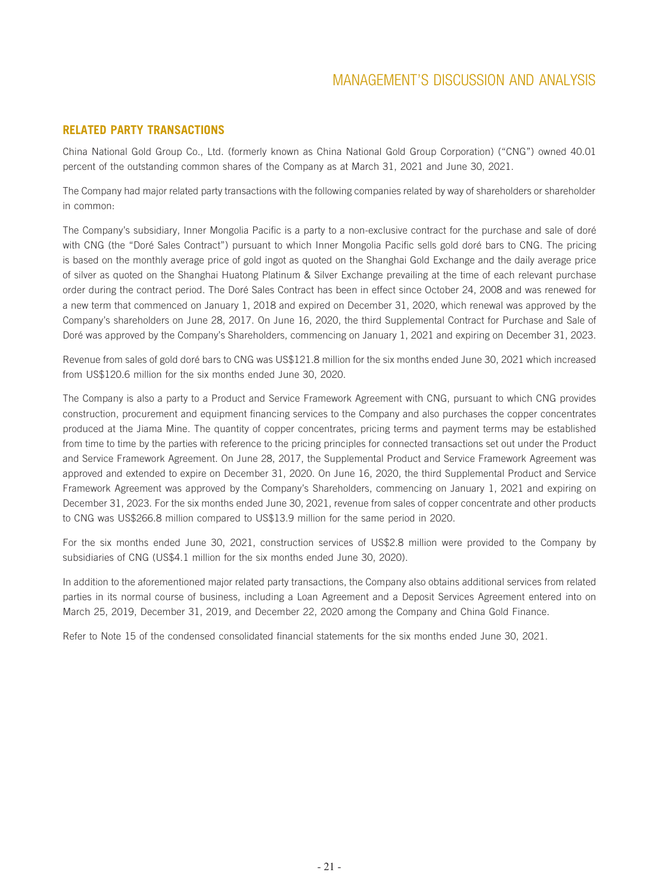### **RELATED PARTY TRANSACTIONS**

China National Gold Group Co., Ltd. (formerly known as China National Gold Group Corporation) ("CNG") owned 40.01 percent of the outstanding common shares of the Company as at March 31, 2021 and June 30, 2021.

The Company had major related party transactions with the following companies related by way of shareholders or shareholder in common:

The Company's subsidiary, Inner Mongolia Pacific is a party to a non-exclusive contract for the purchase and sale of doré with CNG (the "Doré Sales Contract") pursuant to which Inner Mongolia Pacific sells gold doré bars to CNG. The pricing is based on the monthly average price of gold ingot as quoted on the Shanghai Gold Exchange and the daily average price of silver as quoted on the Shanghai Huatong Platinum & Silver Exchange prevailing at the time of each relevant purchase order during the contract period. The Doré Sales Contract has been in effect since October 24, 2008 and was renewed for a new term that commenced on January 1, 2018 and expired on December 31, 2020, which renewal was approved by the Company's shareholders on June 28, 2017. On June 16, 2020, the third Supplemental Contract for Purchase and Sale of Doré was approved by the Company's Shareholders, commencing on January 1, 2021 and expiring on December 31, 2023.

Revenue from sales of gold doré bars to CNG was US\$121.8 million for the six months ended June 30, 2021 which increased from US\$120.6 million for the six months ended June 30, 2020.

The Company is also a party to a Product and Service Framework Agreement with CNG, pursuant to which CNG provides construction, procurement and equipment financing services to the Company and also purchases the copper concentrates produced at the Jiama Mine. The quantity of copper concentrates, pricing terms and payment terms may be established from time to time by the parties with reference to the pricing principles for connected transactions set out under the Product and Service Framework Agreement. On June 28, 2017, the Supplemental Product and Service Framework Agreement was approved and extended to expire on December 31, 2020. On June 16, 2020, the third Supplemental Product and Service Framework Agreement was approved by the Company's Shareholders, commencing on January 1, 2021 and expiring on December 31, 2023. For the six months ended June 30, 2021, revenue from sales of copper concentrate and other products to CNG was US\$266.8 million compared to US\$13.9 million for the same period in 2020.

For the six months ended June 30, 2021, construction services of US\$2.8 million were provided to the Company by subsidiaries of CNG (US\$4.1 million for the six months ended June 30, 2020).

In addition to the aforementioned major related party transactions, the Company also obtains additional services from related parties in its normal course of business, including a Loan Agreement and a Deposit Services Agreement entered into on March 25, 2019, December 31, 2019, and December 22, 2020 among the Company and China Gold Finance.

Refer to Note 15 of the condensed consolidated financial statements for the six months ended June 30, 2021.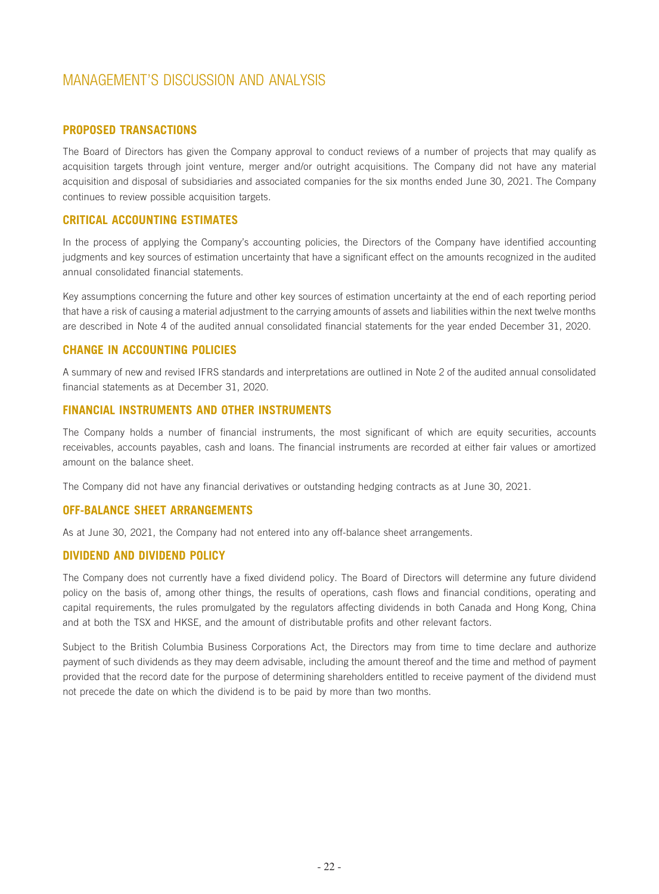### **PROPOSED TRANSACTIONS**

The Board of Directors has given the Company approval to conduct reviews of a number of projects that may qualify as acquisition targets through joint venture, merger and/or outright acquisitions. The Company did not have any material acquisition and disposal of subsidiaries and associated companies for the six months ended June 30, 2021. The Company continues to review possible acquisition targets.

### **CRITICAL ACCOUNTING ESTIMATES**

In the process of applying the Company's accounting policies, the Directors of the Company have identified accounting judgments and key sources of estimation uncertainty that have a significant effect on the amounts recognized in the audited annual consolidated financial statements.

Key assumptions concerning the future and other key sources of estimation uncertainty at the end of each reporting period that have a risk of causing a material adjustment to the carrying amounts of assets and liabilities within the next twelve months are described in Note 4 of the audited annual consolidated financial statements for the year ended December 31, 2020.

### **CHANGE IN ACCOUNTING POLICIES**

A summary of new and revised IFRS standards and interpretations are outlined in Note 2 of the audited annual consolidated financial statements as at December 31, 2020.

### **FINANCIAL INSTRUMENTS AND OTHER INSTRUMENTS**

The Company holds a number of financial instruments, the most significant of which are equity securities, accounts receivables, accounts payables, cash and loans. The financial instruments are recorded at either fair values or amortized amount on the balance sheet.

The Company did not have any financial derivatives or outstanding hedging contracts as at June 30, 2021.

### **OFF-BALANCE SHEET ARRANGEMENTS**

As at June 30, 2021, the Company had not entered into any off-balance sheet arrangements.

### **DIVIDEND AND DIVIDEND POLICY**

The Company does not currently have a fixed dividend policy. The Board of Directors will determine any future dividend policy on the basis of, among other things, the results of operations, cash flows and financial conditions, operating and capital requirements, the rules promulgated by the regulators affecting dividends in both Canada and Hong Kong, China and at both the TSX and HKSE, and the amount of distributable profits and other relevant factors.

Subject to the British Columbia Business Corporations Act, the Directors may from time to time declare and authorize payment of such dividends as they may deem advisable, including the amount thereof and the time and method of payment provided that the record date for the purpose of determining shareholders entitled to receive payment of the dividend must not precede the date on which the dividend is to be paid by more than two months.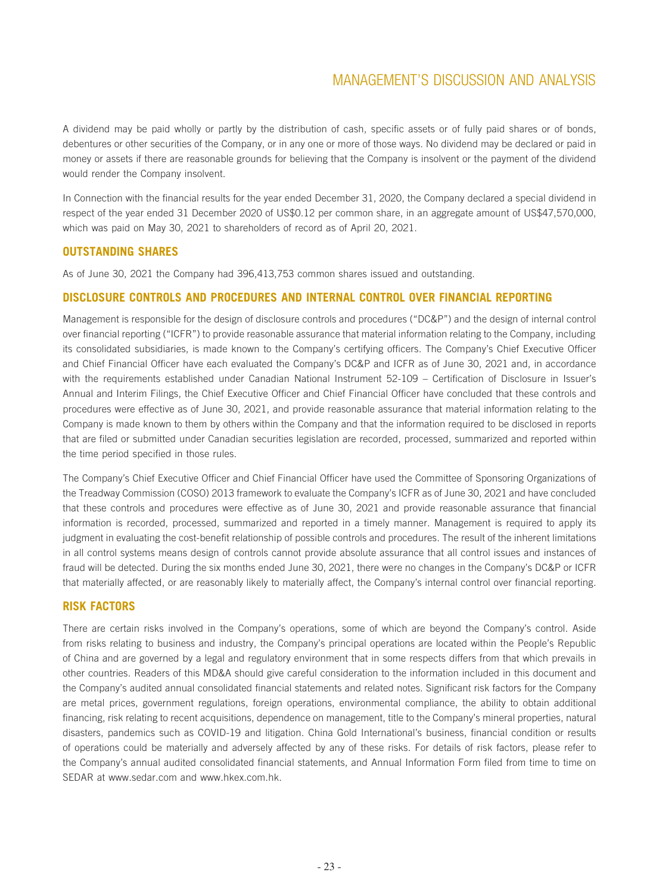A dividend may be paid wholly or partly by the distribution of cash, specific assets or of fully paid shares or of bonds, debentures or other securities of the Company, or in any one or more of those ways. No dividend may be declared or paid in money or assets if there are reasonable grounds for believing that the Company is insolvent or the payment of the dividend would render the Company insolvent.

In Connection with the financial results for the year ended December 31, 2020, the Company declared a special dividend in respect of the year ended 31 December 2020 of US\$0.12 per common share, in an aggregate amount of US\$47,570,000, which was paid on May 30, 2021 to shareholders of record as of April 20, 2021.

### **OUTSTANDING SHARES**

As of June 30, 2021 the Company had 396,413,753 common shares issued and outstanding.

### **DISCLOSURE CONTROLS AND PROCEDURES AND INTERNAL CONTROL OVER FINANCIAL REPORTING**

Management is responsible for the design of disclosure controls and procedures ("DC&P") and the design of internal control over financial reporting ("ICFR") to provide reasonable assurance that material information relating to the Company, including its consolidated subsidiaries, is made known to the Company's certifying officers. The Company's Chief Executive Officer and Chief Financial Officer have each evaluated the Company's DC&P and ICFR as of June 30, 2021 and, in accordance with the requirements established under Canadian National Instrument 52-109 – Certification of Disclosure in Issuer's Annual and Interim Filings, the Chief Executive Officer and Chief Financial Officer have concluded that these controls and procedures were effective as of June 30, 2021, and provide reasonable assurance that material information relating to the Company is made known to them by others within the Company and that the information required to be disclosed in reports that are filed or submitted under Canadian securities legislation are recorded, processed, summarized and reported within the time period specified in those rules.

The Company's Chief Executive Officer and Chief Financial Officer have used the Committee of Sponsoring Organizations of the Treadway Commission (COSO) 2013 framework to evaluate the Company's ICFR as of June 30, 2021 and have concluded that these controls and procedures were effective as of June 30, 2021 and provide reasonable assurance that financial information is recorded, processed, summarized and reported in a timely manner. Management is required to apply its judgment in evaluating the cost-benefit relationship of possible controls and procedures. The result of the inherent limitations in all control systems means design of controls cannot provide absolute assurance that all control issues and instances of fraud will be detected. During the six months ended June 30, 2021, there were no changes in the Company's DC&P or ICFR that materially affected, or are reasonably likely to materially affect, the Company's internal control over financial reporting.

### **RISK FACTORS**

There are certain risks involved in the Company's operations, some of which are beyond the Company's control. Aside from risks relating to business and industry, the Company's principal operations are located within the People's Republic of China and are governed by a legal and regulatory environment that in some respects differs from that which prevails in other countries. Readers of this MD&A should give careful consideration to the information included in this document and the Company's audited annual consolidated financial statements and related notes. Significant risk factors for the Company are metal prices, government regulations, foreign operations, environmental compliance, the ability to obtain additional financing, risk relating to recent acquisitions, dependence on management, title to the Company's mineral properties, natural disasters, pandemics such as COVID-19 and litigation. China Gold International's business, financial condition or results of operations could be materially and adversely affected by any of these risks. For details of risk factors, please refer to the Company's annual audited consolidated financial statements, and Annual Information Form filed from time to time on SEDAR at www.sedar.com and www.hkex.com.hk.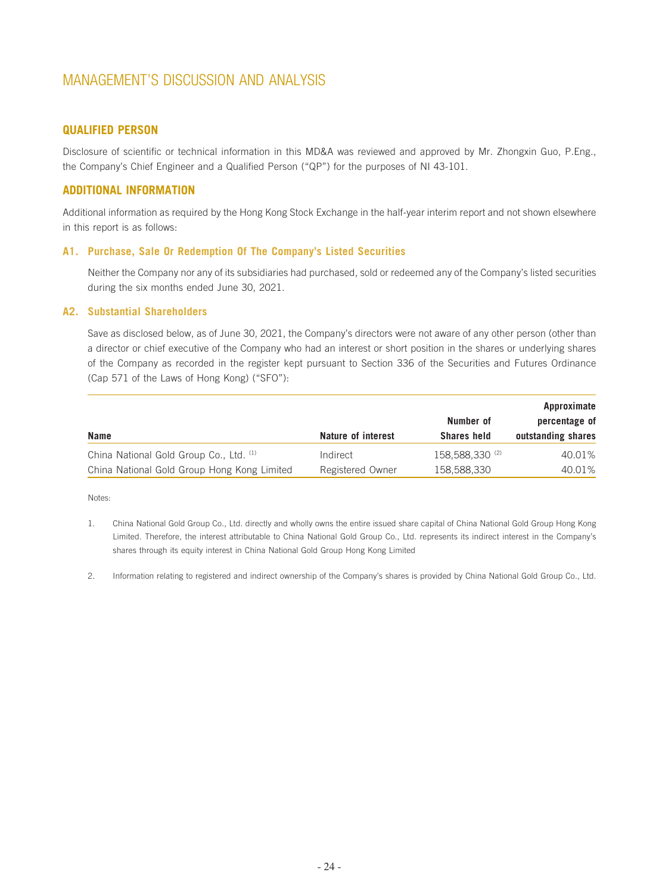### **QUALIFIED PERSON**

Disclosure of scientific or technical information in this MD&A was reviewed and approved by Mr. Zhongxin Guo, P.Eng., the Company's Chief Engineer and a Qualified Person ("QP") for the purposes of NI 43-101.

### **ADDITIONAL INFORMATION**

Additional information as required by the Hong Kong Stock Exchange in the half-year interim report and not shown elsewhere in this report is as follows:

### **A1. Purchase, Sale Or Redemption Of The Company's Listed Securities**

Neither the Company nor any of its subsidiaries had purchased, sold or redeemed any of the Company's listed securities during the six months ended June 30, 2021.

#### **A2. Substantial Shareholders**

Save as disclosed below, as of June 30, 2021, the Company's directors were not aware of any other person (other than a director or chief executive of the Company who had an interest or short position in the shares or underlying shares of the Company as recorded in the register kept pursuant to Section 336 of the Securities and Futures Ordinance (Cap 571 of the Laws of Hong Kong) ("SFO"):

|                                             |                    |                    | Approximate        |  |
|---------------------------------------------|--------------------|--------------------|--------------------|--|
|                                             |                    | Number of          | percentage of      |  |
| <b>Name</b>                                 | Nature of interest | <b>Shares held</b> | outstanding shares |  |
| China National Gold Group Co., Ltd. (1)     | Indirect           | 158,588,330 (2)    | 40.01%             |  |
| China National Gold Group Hong Kong Limited | Registered Owner   | 158,588,330        | 40.01%             |  |

Notes:

- 1. China National Gold Group Co., Ltd. directly and wholly owns the entire issued share capital of China National Gold Group Hong Kong Limited. Therefore, the interest attributable to China National Gold Group Co., Ltd. represents its indirect interest in the Company's shares through its equity interest in China National Gold Group Hong Kong Limited
- 2. Information relating to registered and indirect ownership of the Company's shares is provided by China National Gold Group Co., Ltd.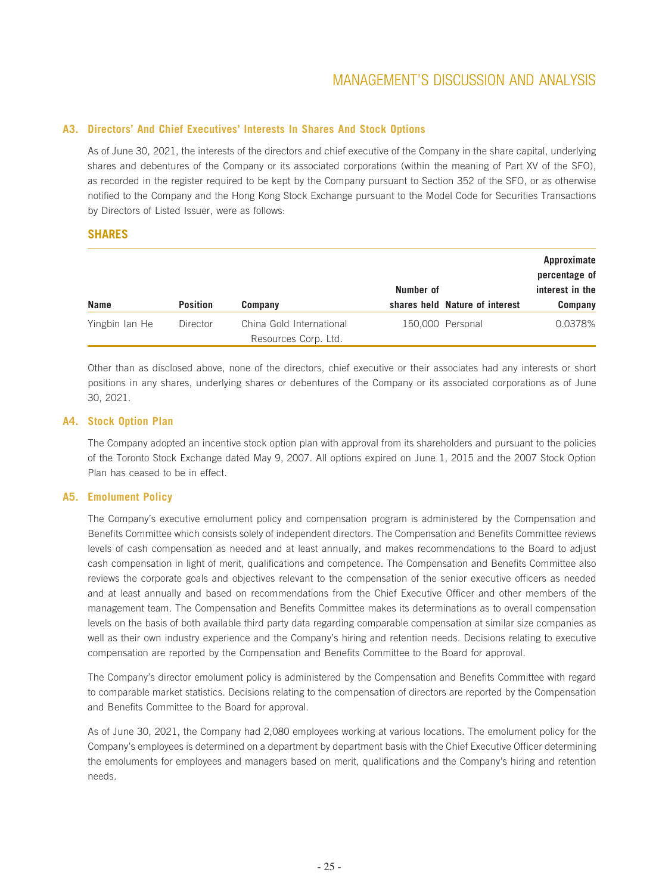### **A3. Directors' And Chief Executives' Interests In Shares And Stock Options**

As of June 30, 2021, the interests of the directors and chief executive of the Company in the share capital, underlying shares and debentures of the Company or its associated corporations (within the meaning of Part XV of the SFO), as recorded in the register required to be kept by the Company pursuant to Section 352 of the SFO, or as otherwise notified to the Company and the Hong Kong Stock Exchange pursuant to the Model Code for Securities Transactions by Directors of Listed Issuer, were as follows:

### **SHARES**

|                |                 |                          | Number of |                                | Approximate<br>percentage of<br>interest in the |
|----------------|-----------------|--------------------------|-----------|--------------------------------|-------------------------------------------------|
| <b>Name</b>    | <b>Position</b> | Company                  |           | shares held Nature of interest | Company                                         |
| Yingbin Ian He | Director        | China Gold International |           | 150,000 Personal               | 0.0378%                                         |
|                |                 | Resources Corp. Ltd.     |           |                                |                                                 |

Other than as disclosed above, none of the directors, chief executive or their associates had any interests or short positions in any shares, underlying shares or debentures of the Company or its associated corporations as of June 30, 2021.

### **A4. Stock Option Plan**

The Company adopted an incentive stock option plan with approval from its shareholders and pursuant to the policies of the Toronto Stock Exchange dated May 9, 2007. All options expired on June 1, 2015 and the 2007 Stock Option Plan has ceased to be in effect.

### **A5. Emolument Policy**

The Company's executive emolument policy and compensation program is administered by the Compensation and Benefits Committee which consists solely of independent directors. The Compensation and Benefits Committee reviews levels of cash compensation as needed and at least annually, and makes recommendations to the Board to adjust cash compensation in light of merit, qualifications and competence. The Compensation and Benefits Committee also reviews the corporate goals and objectives relevant to the compensation of the senior executive officers as needed and at least annually and based on recommendations from the Chief Executive Officer and other members of the management team. The Compensation and Benefits Committee makes its determinations as to overall compensation levels on the basis of both available third party data regarding comparable compensation at similar size companies as well as their own industry experience and the Company's hiring and retention needs. Decisions relating to executive compensation are reported by the Compensation and Benefits Committee to the Board for approval.

The Company's director emolument policy is administered by the Compensation and Benefits Committee with regard to comparable market statistics. Decisions relating to the compensation of directors are reported by the Compensation and Benefits Committee to the Board for approval.

As of June 30, 2021, the Company had 2,080 employees working at various locations. The emolument policy for the Company's employees is determined on a department by department basis with the Chief Executive Officer determining the emoluments for employees and managers based on merit, qualifications and the Company's hiring and retention needs.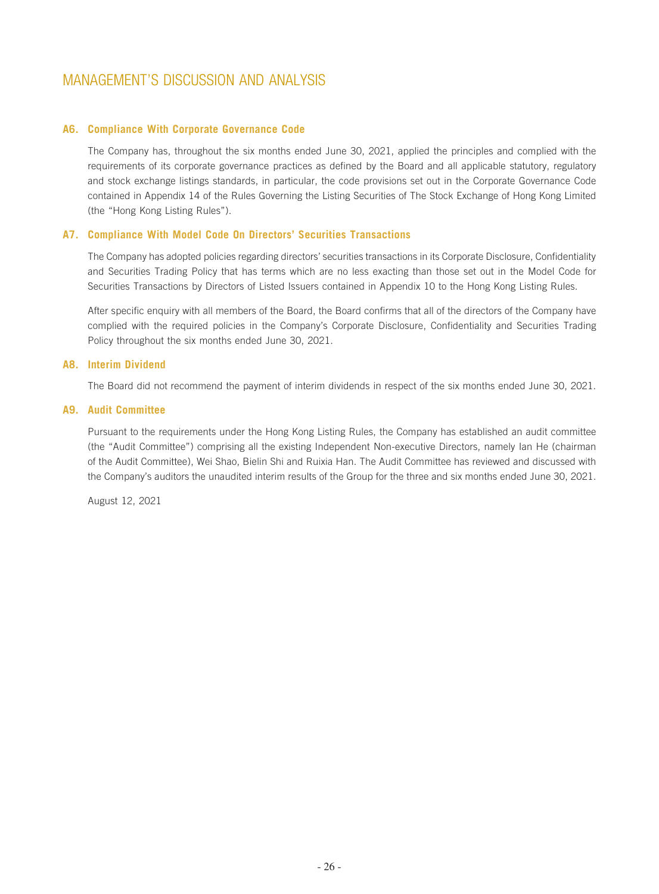### **A6. Compliance With Corporate Governance Code**

The Company has, throughout the six months ended June 30, 2021, applied the principles and complied with the requirements of its corporate governance practices as defined by the Board and all applicable statutory, regulatory and stock exchange listings standards, in particular, the code provisions set out in the Corporate Governance Code contained in Appendix 14 of the Rules Governing the Listing Securities of The Stock Exchange of Hong Kong Limited (the "Hong Kong Listing Rules").

### **A7. Compliance With Model Code On Directors' Securities Transactions**

The Company has adopted policies regarding directors' securities transactions in its Corporate Disclosure, Confidentiality and Securities Trading Policy that has terms which are no less exacting than those set out in the Model Code for Securities Transactions by Directors of Listed Issuers contained in Appendix 10 to the Hong Kong Listing Rules.

After specific enquiry with all members of the Board, the Board confirms that all of the directors of the Company have complied with the required policies in the Company's Corporate Disclosure, Confidentiality and Securities Trading Policy throughout the six months ended June 30, 2021.

### **A8. Interim Dividend**

The Board did not recommend the payment of interim dividends in respect of the six months ended June 30, 2021.

### **A9. Audit Committee**

Pursuant to the requirements under the Hong Kong Listing Rules, the Company has established an audit committee (the "Audit Committee") comprising all the existing Independent Non-executive Directors, namely Ian He (chairman of the Audit Committee), Wei Shao, Bielin Shi and Ruixia Han. The Audit Committee has reviewed and discussed with the Company's auditors the unaudited interim results of the Group for the three and six months ended June 30, 2021.

August 12, 2021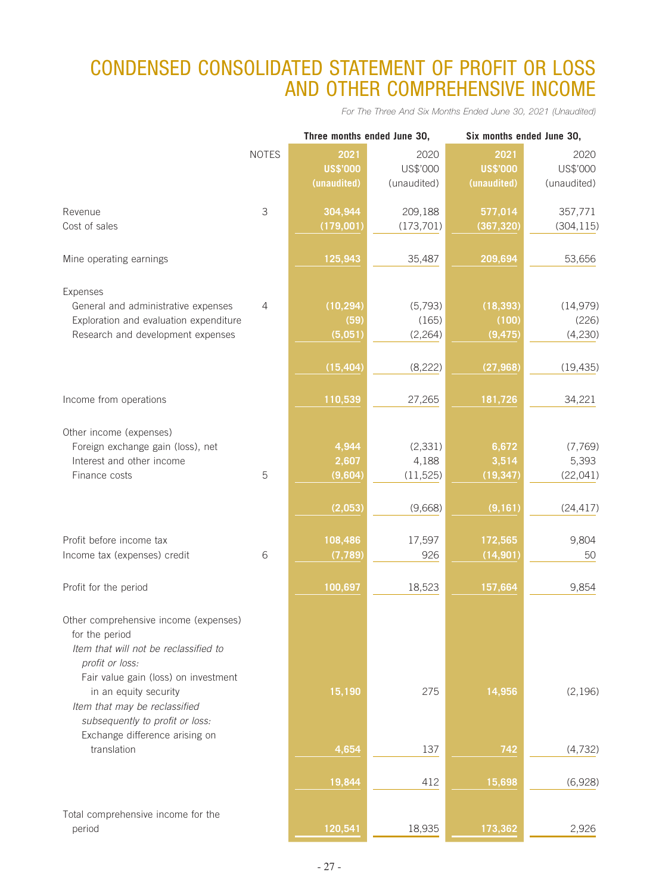# CONDENSED CONSOLIDATED STATEMENT OF PROFIT OR LOSS AND OTHER COMPREHENSIVE INCOME

*For The Three And Six Months Ended June 30, 2021 (Unaudited)*

|                                                 |                |                 | Three months ended June 30, |                 | Six months ended June 30, |  |
|-------------------------------------------------|----------------|-----------------|-----------------------------|-----------------|---------------------------|--|
|                                                 | <b>NOTES</b>   | 2021            | 2020                        | 2021            | 2020                      |  |
|                                                 |                | <b>US\$'000</b> | US\$'000                    | <b>US\$'000</b> | US\$'000                  |  |
|                                                 |                | (unaudited)     | (unaudited)                 | (unaudited)     | (unaudited)               |  |
|                                                 |                |                 |                             |                 |                           |  |
| Revenue                                         | 3              | 304,944         | 209,188                     | 577,014         | 357,771                   |  |
| Cost of sales                                   |                | (179,001)       | (173, 701)                  | (367, 320)      | (304, 115)                |  |
| Mine operating earnings                         |                | 125,943         | 35,487                      | 209,694         | 53,656                    |  |
|                                                 |                |                 |                             |                 |                           |  |
| Expenses<br>General and administrative expenses | $\overline{4}$ | (10, 294)       | (5,793)                     | (18, 393)       | (14, 979)                 |  |
| Exploration and evaluation expenditure          |                | (59)            | (165)                       | (100)           | (226)                     |  |
| Research and development expenses               |                | (5,051)         | (2, 264)                    | (9, 475)        | (4,230)                   |  |
|                                                 |                |                 |                             |                 |                           |  |
|                                                 |                | (15, 404)       | (8, 222)                    | (27, 968)       | (19, 435)                 |  |
|                                                 |                |                 |                             |                 |                           |  |
| Income from operations                          |                | 110,539         | 27,265                      | 181,726         | 34,221                    |  |
| Other income (expenses)                         |                |                 |                             |                 |                           |  |
| Foreign exchange gain (loss), net               |                | 4,944           | (2, 331)                    | 6,672           | (7,769)                   |  |
| Interest and other income                       |                | 2,607           | 4,188                       | 3,514           | 5,393                     |  |
| Finance costs                                   | 5              | (9,604)         | (11, 525)                   | (19, 347)       | (22, 041)                 |  |
|                                                 |                |                 |                             |                 |                           |  |
|                                                 |                | (2,053)         | (9,668)                     | (9, 161)        | (24, 417)                 |  |
|                                                 |                |                 |                             |                 |                           |  |
| Profit before income tax                        |                | 108,486         | 17,597                      | 172,565         | 9,804                     |  |
| Income tax (expenses) credit                    | 6              | (7, 789)        | 926                         | (14, 901)       | 50                        |  |
| Profit for the period                           |                | 100,697         | 18,523                      | 157,664         | 9,854                     |  |
|                                                 |                |                 |                             |                 |                           |  |
| Other comprehensive income (expenses)           |                |                 |                             |                 |                           |  |
| for the period                                  |                |                 |                             |                 |                           |  |
| Item that will not be reclassified to           |                |                 |                             |                 |                           |  |
| profit or loss:                                 |                |                 |                             |                 |                           |  |
| Fair value gain (loss) on investment            |                |                 |                             |                 |                           |  |
| in an equity security                           |                | 15,190          | 275                         | 14,956          | (2, 196)                  |  |
| Item that may be reclassified                   |                |                 |                             |                 |                           |  |
| subsequently to profit or loss:                 |                |                 |                             |                 |                           |  |
| Exchange difference arising on                  |                |                 |                             |                 |                           |  |
| translation                                     |                | 4,654           | 137                         | 742             | (4, 732)                  |  |
|                                                 |                | 19,844          | 412                         | 15,698          | (6,928)                   |  |
|                                                 |                |                 |                             |                 |                           |  |
| Total comprehensive income for the              |                |                 |                             |                 |                           |  |
| period                                          |                | 120,541         | 18,935                      | 173,362         | 2,926                     |  |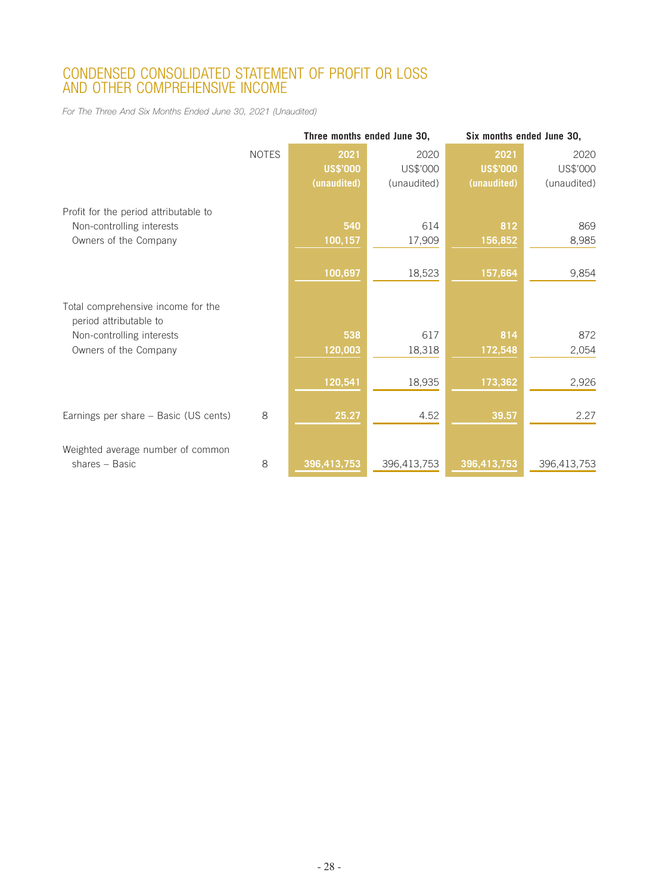# CONDENSED CONSOLIDATED STATEMENT OF PROFIT OR LOSS AND OTHER COMPREHENSIVE INCOME

*For The Three And Six Months Ended June 30, 2021 (Unaudited)*

|                                       |              |                 | Three months ended June 30, | Six months ended June 30, |             |
|---------------------------------------|--------------|-----------------|-----------------------------|---------------------------|-------------|
|                                       | <b>NOTES</b> | 2021            | 2020                        | 2021                      | 2020        |
|                                       |              | <b>US\$'000</b> | US\$'000                    | <b>US\$'000</b>           | US\$'000    |
|                                       |              | (unaudited)     | (unaudited)                 | (unaudited)               | (unaudited) |
|                                       |              |                 |                             |                           |             |
| Profit for the period attributable to |              |                 |                             |                           |             |
| Non-controlling interests             |              | 540             | 614                         | 812                       | 869         |
| Owners of the Company                 |              | 100,157         | 17,909                      | 156,852                   | 8,985       |
|                                       |              |                 |                             |                           |             |
|                                       |              | 100,697         | 18,523                      | 157,664                   | 9,854       |
|                                       |              |                 |                             |                           |             |
| Total comprehensive income for the    |              |                 |                             |                           |             |
| period attributable to                |              |                 |                             |                           |             |
| Non-controlling interests             |              | 538             | 617                         | 814                       | 872         |
| Owners of the Company                 |              | 120,003         | 18,318                      | 172,548                   | 2,054       |
|                                       |              |                 |                             |                           |             |
|                                       |              | 120,541         | 18,935                      | 173,362                   | 2,926       |
|                                       |              |                 |                             |                           |             |
| Earnings per share - Basic (US cents) | 8            | 25.27           | 4.52                        | 39.57                     | 2.27        |
|                                       |              |                 |                             |                           |             |
| Weighted average number of common     |              |                 |                             |                           |             |
| shares - Basic                        | 8            | 396,413,753     |                             | 396,413,753               |             |
|                                       |              |                 | 396,413,753                 |                           | 396,413,753 |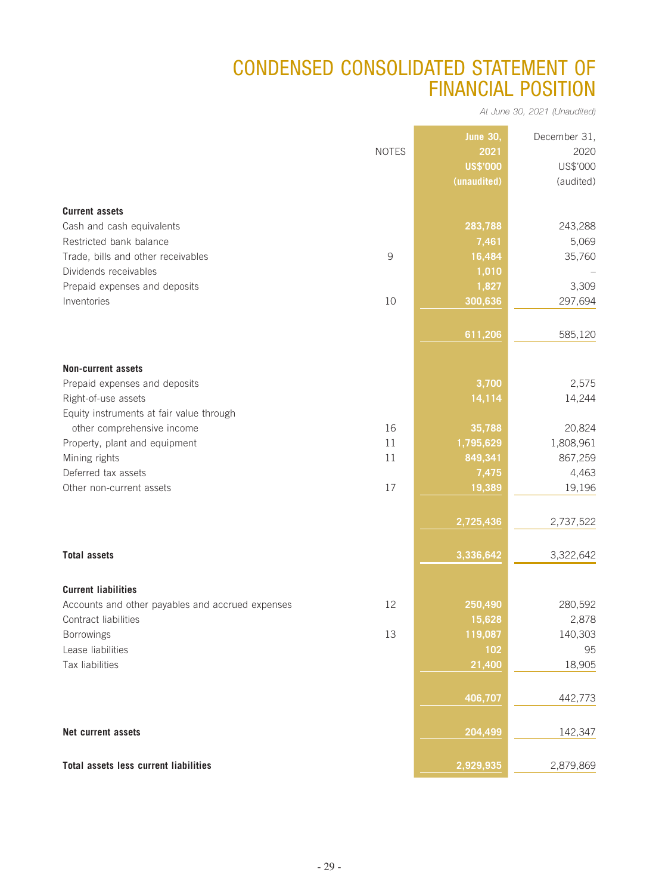# CONDENSED CONSOLIDATED STATEMENT OF FINANCIAL POSITION

*At June 30, 2021 (Unaudited)*

|                                                  |              | <b>June 30,</b> | December 31, |
|--------------------------------------------------|--------------|-----------------|--------------|
|                                                  | <b>NOTES</b> | 2021            | 2020         |
|                                                  |              | <b>US\$'000</b> | US\$'000     |
|                                                  |              | (unaudited)     | (audited)    |
|                                                  |              |                 |              |
| <b>Current assets</b>                            |              |                 |              |
| Cash and cash equivalents                        |              | 283,788         | 243,288      |
| Restricted bank balance                          |              | 7,461           | 5,069        |
| Trade, bills and other receivables               | 9            | 16,484          | 35,760       |
| Dividends receivables                            |              | 1,010           |              |
| Prepaid expenses and deposits                    |              | 1,827           | 3,309        |
| Inventories                                      | 10           | 300,636         | 297,694      |
|                                                  |              |                 |              |
|                                                  |              | 611,206         | 585,120      |
|                                                  |              |                 |              |
| <b>Non-current assets</b>                        |              |                 |              |
| Prepaid expenses and deposits                    |              | 3,700           | 2,575        |
| Right-of-use assets                              |              | 14,114          | 14,244       |
| Equity instruments at fair value through         |              |                 |              |
| other comprehensive income                       | 16           | 35,788          | 20,824       |
| Property, plant and equipment                    | 11           | 1,795,629       | 1,808,961    |
| Mining rights                                    | 11           | 849,341         | 867,259      |
| Deferred tax assets                              |              | 7,475           | 4,463        |
| Other non-current assets                         | 17           | 19,389          | 19,196       |
|                                                  |              |                 |              |
|                                                  |              |                 |              |
|                                                  |              | 2,725,436       | 2,737,522    |
|                                                  |              |                 |              |
| <b>Total assets</b>                              |              | 3,336,642       | 3,322,642    |
|                                                  |              |                 |              |
| <b>Current liabilities</b>                       |              |                 |              |
| Accounts and other payables and accrued expenses | 12           | 250,490         | 280,592      |
| Contract liabilities                             |              | 15,628          | 2,878        |
| Borrowings                                       | 13           | 119,087         | 140,303      |
| Lease liabilities                                |              | 102             | 95           |
| Tax liabilities                                  |              | 21,400          | 18,905       |
|                                                  |              |                 |              |
|                                                  |              | 406,707         | 442,773      |
|                                                  |              |                 |              |
| Net current assets                               |              | 204,499         | 142,347      |
|                                                  |              |                 |              |
| Total assets less current liabilities            |              | 2,929,935       | 2,879,869    |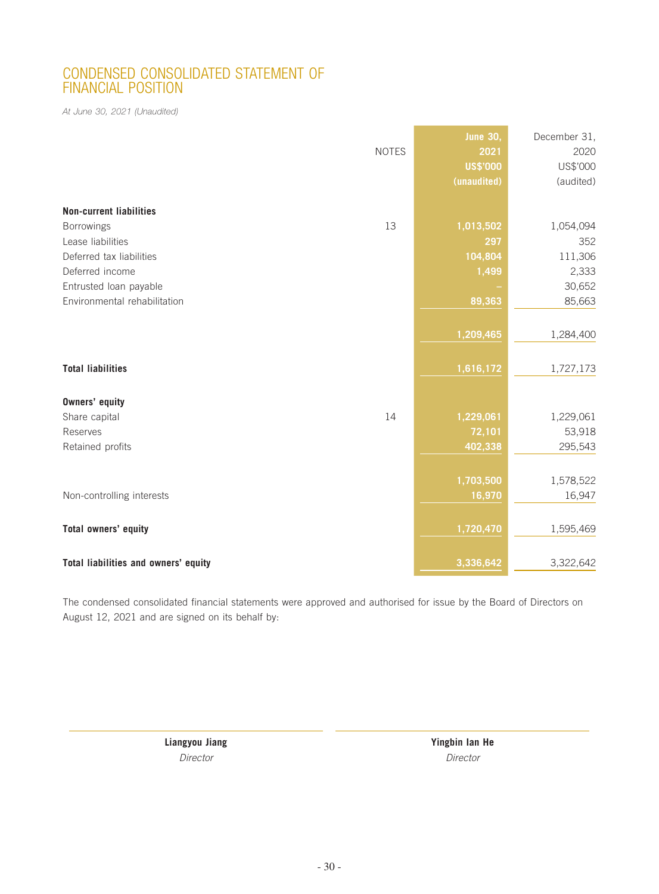## CONDENSED CONSOLIDATED STATEMENT OF FINANCIAL POSITION

*At June 30, 2021 (Unaudited)*

|                                      | <b>NOTES</b> | <b>June 30,</b><br>2021<br><b>US\$'000</b><br>(unaudited) | December 31,<br>2020<br>US\$'000<br>(audited) |
|--------------------------------------|--------------|-----------------------------------------------------------|-----------------------------------------------|
| <b>Non-current liabilities</b>       |              |                                                           |                                               |
| Borrowings                           | 13           | 1,013,502                                                 | 1,054,094                                     |
| Lease liabilities                    |              | 297                                                       | 352                                           |
| Deferred tax liabilities             |              | 104,804                                                   | 111,306                                       |
| Deferred income                      |              | 1,499                                                     | 2,333                                         |
| Entrusted loan payable               |              |                                                           | 30,652                                        |
| Environmental rehabilitation         |              | 89,363                                                    | 85,663                                        |
|                                      |              |                                                           |                                               |
|                                      |              | 1,209,465                                                 | 1,284,400                                     |
|                                      |              |                                                           |                                               |
| <b>Total liabilities</b>             |              | 1,616,172                                                 | 1,727,173                                     |
| <b>Owners' equity</b>                |              |                                                           |                                               |
| Share capital                        | 14           | 1,229,061                                                 | 1,229,061                                     |
| Reserves                             |              | 72,101                                                    | 53,918                                        |
| Retained profits                     |              | 402,338                                                   | 295,543                                       |
|                                      |              |                                                           |                                               |
|                                      |              | 1,703,500                                                 | 1,578,522                                     |
| Non-controlling interests            |              | 16,970                                                    | 16,947                                        |
|                                      |              |                                                           |                                               |
| Total owners' equity                 |              | 1,720,470                                                 | 1,595,469                                     |
| Total liabilities and owners' equity |              | 3,336,642                                                 | 3,322,642                                     |

The condensed consolidated financial statements were approved and authorised for issue by the Board of Directors on August 12, 2021 and are signed on its behalf by:

**Liangyou Jiang Yingbin Ian He** *Director Director*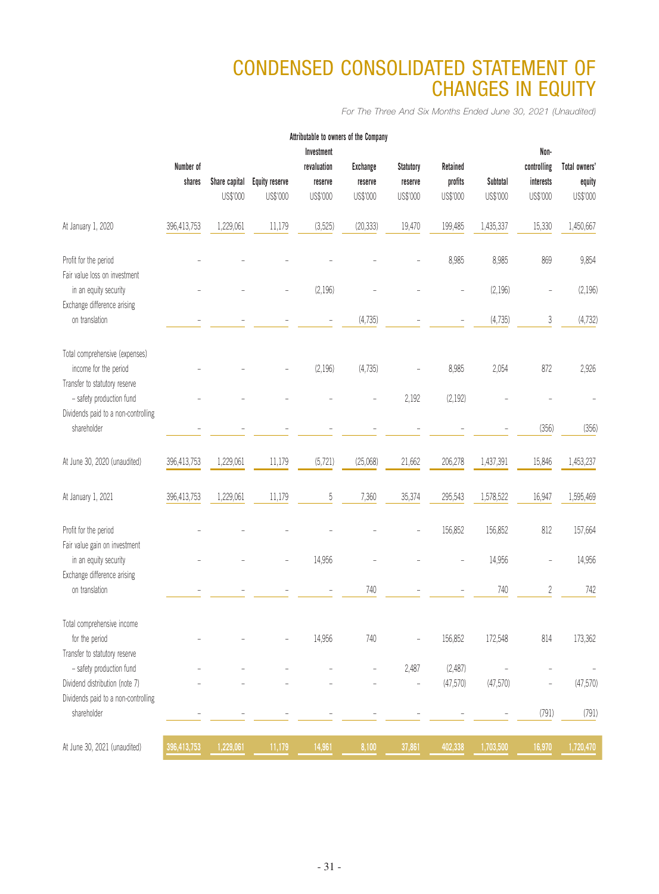# CONDENSED CONSOLIDATED STATEMENT OF CHANGES IN EQUITY

*For The Three And Six Months Ended June 30, 2021 (Unaudited)*

|                                                                                          |             |               |                       | Attributable to owners of the Company |                   |                  |          |           |                          |               |
|------------------------------------------------------------------------------------------|-------------|---------------|-----------------------|---------------------------------------|-------------------|------------------|----------|-----------|--------------------------|---------------|
|                                                                                          |             |               |                       | Investment                            |                   |                  |          |           | Non-                     |               |
|                                                                                          | Number of   |               |                       | revaluation                           | <b>Exchange</b>   | <b>Statutory</b> | Retained |           | controlling              | Total owners' |
|                                                                                          | shares      | Share capital | <b>Equity reserve</b> | reserve                               | reserve           | reserve          | profits  | Subtotal  | interests                | equity        |
|                                                                                          |             | US\$'000      | US\$'000              | US\$'000                              | US\$'000          | US\$'000         | US\$'000 | US\$'000  | US\$'000                 | US\$'000      |
| At January 1, 2020                                                                       | 396,413,753 | 1,229,061     | 11,179                | (3,525)                               | (20, 333)         | 19,470           | 199,485  | 1,435,337 | 15,330                   | 1,450,667     |
| Profit for the period<br>Fair value loss on investment                                   |             |               |                       |                                       |                   |                  | 8,985    | 8,985     | 869                      | 9,854         |
| in an equity security<br>Exchange difference arising                                     |             |               |                       | (2, 196)                              |                   |                  |          | (2, 196)  |                          | (2, 196)      |
| on translation                                                                           |             |               |                       |                                       | (4,735)           |                  |          | (4,735)   | 3                        | (4, 732)      |
| Total comprehensive (expenses)<br>income for the period<br>Transfer to statutory reserve |             |               |                       | (2, 196)                              | (4,735)           |                  | 8,985    | 2,054     | 872                      | 2,926         |
| - safety production fund<br>Dividends paid to a non-controlling                          |             |               |                       |                                       |                   | 2,192            | (2, 192) |           |                          |               |
| shareholder                                                                              |             |               |                       |                                       |                   |                  |          |           | (356)                    | (356)         |
| At June 30, 2020 (unaudited)                                                             | 396,413,753 | 1,229,061     | 11,179                | (5, 721)                              | (25,068)          | 21,662           | 206,278  | 1,437,391 | 15,846                   | 1,453,237     |
| At January 1, 2021                                                                       | 396,413,753 | 1,229,061     | 11,179                | 5                                     | 7,360             | 35,374           | 295,543  | 1,578,522 | 16,947                   | 1,595,469     |
| Profit for the period<br>Fair value gain on investment                                   |             |               |                       |                                       |                   |                  | 156,852  | 156,852   | 812                      | 157,664       |
| in an equity security<br>Exchange difference arising                                     |             |               |                       | 14,956                                |                   |                  |          | 14,956    | L,                       | 14,956        |
| on translation                                                                           |             |               |                       |                                       | 740               |                  |          | 740       | $\overline{c}$           | 742           |
| Total comprehensive income<br>for the period<br>Transfer to statutory reserve            |             |               |                       | 14,956                                | 740               | ÷,               | 156,852  | 172,548   | 814                      | 173,362       |
| - safety production fund                                                                 |             |               |                       |                                       | $\qquad \qquad -$ | 2,487            | (2,487)  |           |                          |               |
| Dividend distribution (note 7)<br>Dividends paid to a non-controlling                    |             |               |                       |                                       |                   | $\frac{1}{2}$    | (47,570) | (47, 570) | $\overline{\phantom{0}}$ | (47,570)      |
| shareholder                                                                              |             |               |                       |                                       |                   |                  |          |           | (791)                    | (791)         |
| At June 30, 2021 (unaudited)                                                             | 396,413,753 | 1,229,061     | 11,179                | 14,961                                | 8,100             | 37,861           | 402,338  | 1,703,500 | 16,970                   | 1,720,470     |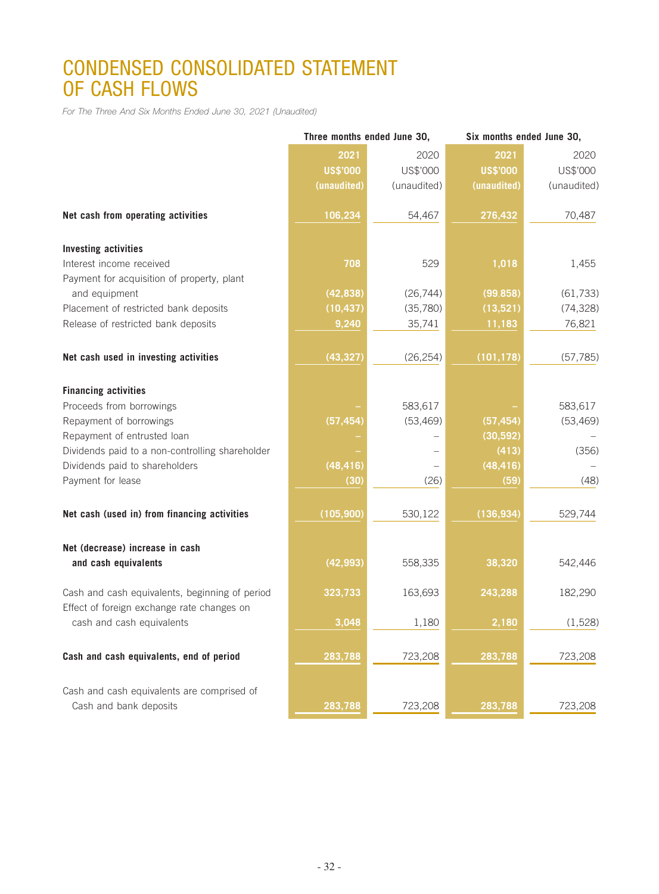# CONDENSED CONSOLIDATED STATEMENT OF CASH FLOWS

*For The Three And Six Months Ended June 30, 2021 (Unaudited)*

|                                                                                              | Three months ended June 30, |                          |                 | Six months ended June 30, |  |
|----------------------------------------------------------------------------------------------|-----------------------------|--------------------------|-----------------|---------------------------|--|
|                                                                                              | 2021                        | 2020                     | 2021            | 2020                      |  |
|                                                                                              | <b>US\$'000</b>             | US\$'000                 | <b>US\$'000</b> | US\$'000                  |  |
|                                                                                              | (unaudited)                 | (unaudited)              | (unaudited)     | (unaudited)               |  |
| Net cash from operating activities                                                           | 106, 234                    | 54,467                   | 276,432         | 70,487                    |  |
| <b>Investing activities</b>                                                                  |                             |                          |                 |                           |  |
| Interest income received                                                                     | 708                         | 529                      | 1,018           | 1,455                     |  |
| Payment for acquisition of property, plant                                                   |                             |                          |                 |                           |  |
| and equipment                                                                                | (42, 838)                   | (26, 744)                | (99, 858)       | (61, 733)                 |  |
| Placement of restricted bank deposits                                                        | (10, 437)                   | (35,780)                 | (13,521)        | (74, 328)                 |  |
| Release of restricted bank deposits                                                          | 9,240                       | 35,741                   | 11,183          | 76,821                    |  |
| Net cash used in investing activities                                                        | (43, 327)                   | (26, 254)                | (101, 178)      | (57, 785)                 |  |
| <b>Financing activities</b>                                                                  |                             |                          |                 |                           |  |
| Proceeds from borrowings                                                                     |                             | 583,617                  |                 | 583,617                   |  |
| Repayment of borrowings                                                                      | (57, 454)                   | (53, 469)                | (57, 454)       | (53, 469)                 |  |
| Repayment of entrusted loan                                                                  |                             |                          | (30, 592)       |                           |  |
| Dividends paid to a non-controlling shareholder                                              |                             | $\overline{\phantom{0}}$ | (413)           | (356)                     |  |
| Dividends paid to shareholders                                                               | (48, 416)                   |                          | (48, 416)       |                           |  |
| Payment for lease                                                                            | (30)                        | (26)                     | (59)            | (48)                      |  |
| Net cash (used in) from financing activities                                                 | (105, 900)                  | 530,122                  | (136, 934)      | 529,744                   |  |
| Net (decrease) increase in cash                                                              |                             |                          |                 |                           |  |
| and cash equivalents                                                                         | (42, 993)                   | 558,335                  | 38,320          | 542,446                   |  |
| Cash and cash equivalents, beginning of period<br>Effect of foreign exchange rate changes on | 323,733                     | 163,693                  | 243,288         | 182,290                   |  |
| cash and cash equivalents                                                                    | 3,048                       | 1,180                    | 2,180           | (1,528)                   |  |
| Cash and cash equivalents, end of period                                                     | 283,788                     | 723,208                  | 283,788         | 723,208                   |  |
| Cash and cash equivalents are comprised of<br>Cash and bank deposits                         | 283,788                     | 723,208                  | 283,788         |                           |  |
|                                                                                              |                             |                          |                 | 723,208                   |  |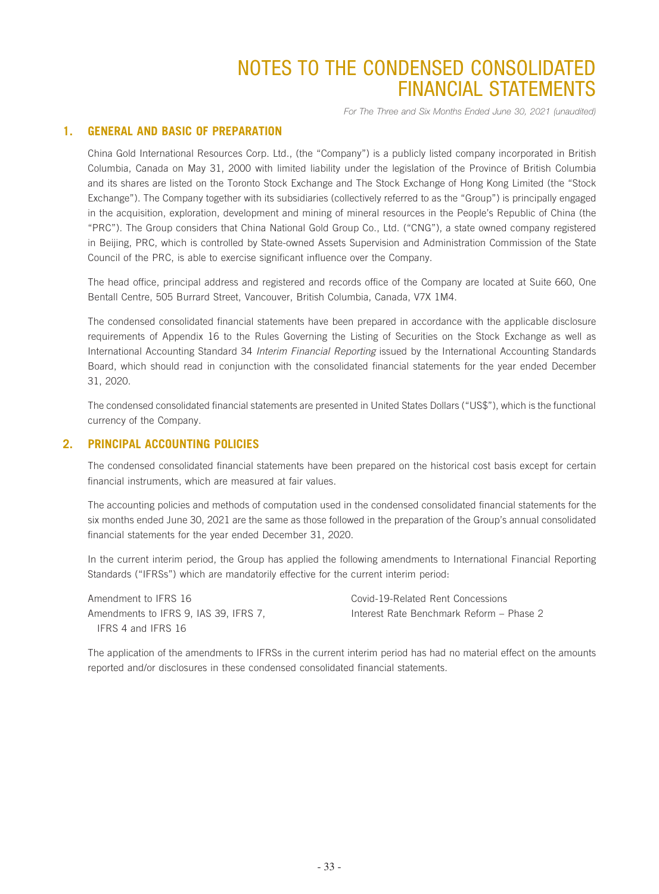*For The Three and Six Months Ended June 30, 2021 (unaudited)*

### **1. GENERAL AND BASIC OF PREPARATION**

China Gold International Resources Corp. Ltd., (the "Company") is a publicly listed company incorporated in British Columbia, Canada on May 31, 2000 with limited liability under the legislation of the Province of British Columbia and its shares are listed on the Toronto Stock Exchange and The Stock Exchange of Hong Kong Limited (the "Stock Exchange"). The Company together with its subsidiaries (collectively referred to as the "Group") is principally engaged in the acquisition, exploration, development and mining of mineral resources in the People's Republic of China (the "PRC"). The Group considers that China National Gold Group Co., Ltd. ("CNG"), a state owned company registered in Beijing, PRC, which is controlled by State-owned Assets Supervision and Administration Commission of the State Council of the PRC, is able to exercise significant influence over the Company.

The head office, principal address and registered and records office of the Company are located at Suite 660, One Bentall Centre, 505 Burrard Street, Vancouver, British Columbia, Canada, V7X 1M4.

The condensed consolidated financial statements have been prepared in accordance with the applicable disclosure requirements of Appendix 16 to the Rules Governing the Listing of Securities on the Stock Exchange as well as International Accounting Standard 34 *Interim Financial Reporting* issued by the International Accounting Standards Board, which should read in conjunction with the consolidated financial statements for the year ended December 31, 2020.

The condensed consolidated financial statements are presented in United States Dollars ("US\$"), which is the functional currency of the Company.

### **2. PRINCIPAL ACCOUNTING POLICIES**

The condensed consolidated financial statements have been prepared on the historical cost basis except for certain financial instruments, which are measured at fair values.

The accounting policies and methods of computation used in the condensed consolidated financial statements for the six months ended June 30, 2021 are the same as those followed in the preparation of the Group's annual consolidated financial statements for the year ended December 31, 2020.

In the current interim period, the Group has applied the following amendments to International Financial Reporting Standards ("IFRSs") which are mandatorily effective for the current interim period:

Amendment to IFRS 16 Covid-19-Related Rent Concessions Amendments to IFRS 9, IAS 39, IFRS 7, IFRS 4 and IFRS 16

Interest Rate Benchmark Reform – Phase 2

The application of the amendments to IFRSs in the current interim period has had no material effect on the amounts reported and/or disclosures in these condensed consolidated financial statements.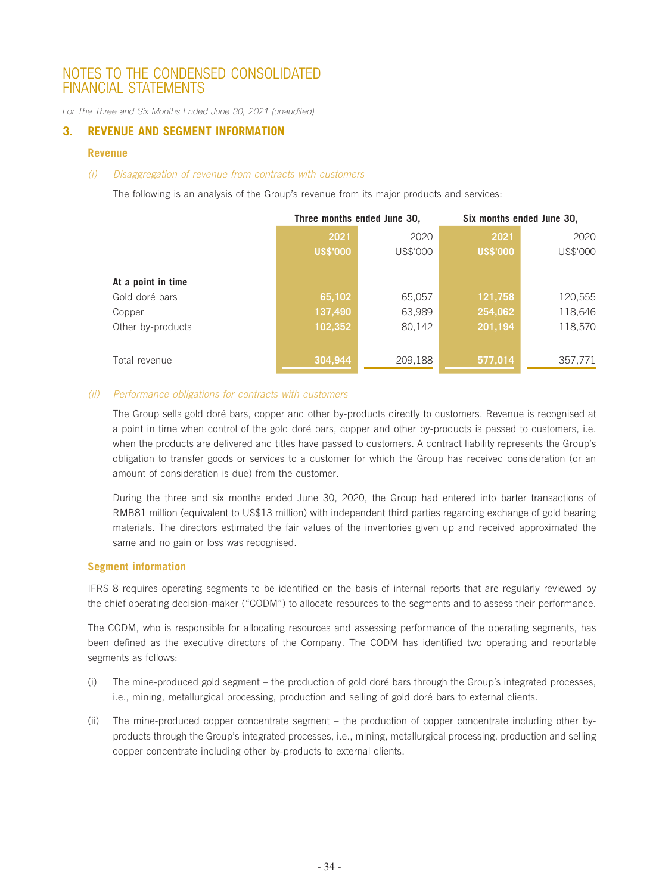*For The Three and Six Months Ended June 30, 2021 (unaudited)*

### **3. REVENUE AND SEGMENT INFORMATION**

#### **Revenue**

#### *(i) Disaggregation of revenue from contracts with customers*

The following is an analysis of the Group's revenue from its major products and services:

|                    | Three months ended June 30, |          | Six months ended June 30, |          |
|--------------------|-----------------------------|----------|---------------------------|----------|
|                    | 2021                        | 2020     | 2021                      | 2020     |
|                    | <b>US\$'000</b>             | US\$'000 | <b>US\$'000</b>           | US\$'000 |
| At a point in time |                             |          |                           |          |
| Gold doré bars     | 65,102                      | 65,057   | 121,758                   | 120,555  |
| Copper             | 137,490                     | 63,989   | 254,062                   | 118,646  |
| Other by-products  | 102,352                     | 80,142   | 201,194                   | 118,570  |
| Total revenue      | 304,944                     | 209,188  | 577,014                   | 357,771  |

#### *(ii) Performance obligations for contracts with customers*

The Group sells gold doré bars, copper and other by-products directly to customers. Revenue is recognised at a point in time when control of the gold doré bars, copper and other by-products is passed to customers, i.e. when the products are delivered and titles have passed to customers. A contract liability represents the Group's obligation to transfer goods or services to a customer for which the Group has received consideration (or an amount of consideration is due) from the customer.

During the three and six months ended June 30, 2020, the Group had entered into barter transactions of RMB81 million (equivalent to US\$13 million) with independent third parties regarding exchange of gold bearing materials. The directors estimated the fair values of the inventories given up and received approximated the same and no gain or loss was recognised.

### **Segment information**

IFRS 8 requires operating segments to be identified on the basis of internal reports that are regularly reviewed by the chief operating decision-maker ("CODM") to allocate resources to the segments and to assess their performance.

The CODM, who is responsible for allocating resources and assessing performance of the operating segments, has been defined as the executive directors of the Company. The CODM has identified two operating and reportable segments as follows:

- (i) The mine-produced gold segment the production of gold doré bars through the Group's integrated processes, i.e., mining, metallurgical processing, production and selling of gold doré bars to external clients.
- (ii) The mine-produced copper concentrate segment the production of copper concentrate including other byproducts through the Group's integrated processes, i.e., mining, metallurgical processing, production and selling copper concentrate including other by-products to external clients.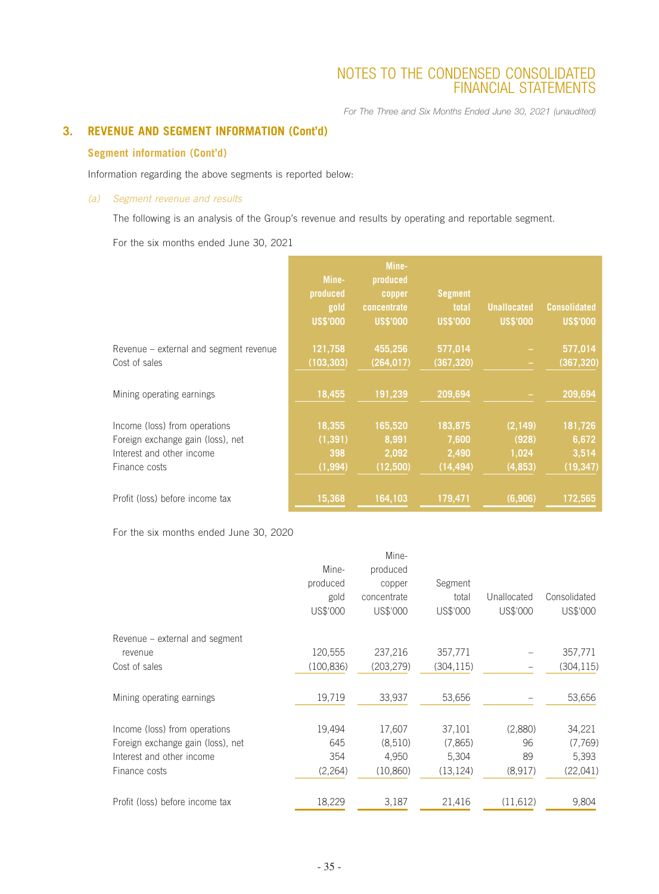*For The Three and Six Months Ended June 30, 2021 (unaudited)*

### **3. REVENUE AND SEGMENT INFORMATION (Cont'd)**

### **Segment information (Cont'd)**

Information regarding the above segments is reported below:

### *(a) Segment revenue and results*

The following is an analysis of the Group's revenue and results by operating and reportable segment.

For the six months ended June 30, 2021

|                                                                                                                  | Mine-<br>produced<br>gold<br><b>US\$'000</b> | Mine-<br>produced<br>copper<br>concentrate<br><b>US\$'000</b> | <b>Segment</b><br>total<br><b>US\$'000</b> | <b>Unallocated</b><br><b>US\$'000</b>  | <b>Consolidated</b><br><b>US\$'000</b> |
|------------------------------------------------------------------------------------------------------------------|----------------------------------------------|---------------------------------------------------------------|--------------------------------------------|----------------------------------------|----------------------------------------|
| Revenue – external and segment revenue<br>Cost of sales                                                          | 121,758<br>(103, 303)                        | 455,256<br>(264, 017)                                         | 577,014<br>(367, 320)                      |                                        | 577,014<br>(367, 320)                  |
| Mining operating earnings                                                                                        | 18,455                                       | 191,239                                                       | 209,694                                    |                                        | 209,694                                |
| Income (loss) from operations<br>Foreign exchange gain (loss), net<br>Interest and other income<br>Finance costs | 18,355<br>(1, 391)<br>398<br>(1, 994)        | 165,520<br>8,991<br>2,092<br>(12,500)                         | 183,875<br>7,600<br>2,490<br>(14, 494)     | (2, 149)<br>(928)<br>1,024<br>(4, 853) | 181,726<br>6,672<br>3,514<br>(19, 347) |
| Profit (loss) before income tax                                                                                  | 15,368                                       | 164,103                                                       | 179,471                                    | (6, 906)                               | 172,565                                |

For the six months ended June 30, 2020

| Mine-      | produced    |            |             |              |
|------------|-------------|------------|-------------|--------------|
| produced   | copper      | Segment    |             |              |
| gold       | concentrate | total      | Unallocated | Consolidated |
| US\$'000   | US\$'000    | US\$'000   | US\$'000    | US\$'000     |
|            |             |            |             |              |
| 120,555    | 237,216     | 357,771    |             | 357,771      |
| (100, 836) | (203, 279)  | (304, 115) |             | (304, 115)   |
| 19,719     | 33,937      | 53,656     |             | 53,656       |
| 19,494     | 17,607      | 37,101     | (2,880)     | 34,221       |
| 645        | (8,510)     | (7,865)    | 96          | (7,769)      |
| 354        | 4,950       | 5,304      | 89          | 5,393        |
| (2,264)    | (10,860)    | (13, 124)  | (8,917)     | (22,041)     |
| 18,229     | 3,187       | 21,416     | (11,612)    | 9,804        |
|            |             | Mine-      |             |              |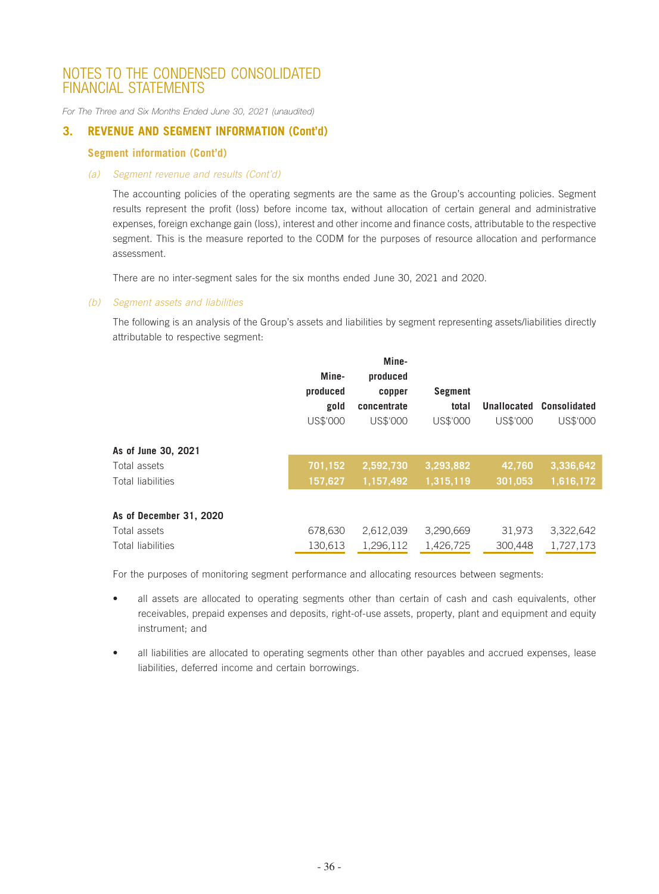*For The Three and Six Months Ended June 30, 2021 (unaudited)*

### **3. REVENUE AND SEGMENT INFORMATION (Cont'd)**

### **Segment information (Cont'd)**

### *(a) Segment revenue and results (Cont'd)*

The accounting policies of the operating segments are the same as the Group's accounting policies. Segment results represent the profit (loss) before income tax, without allocation of certain general and administrative expenses, foreign exchange gain (loss), interest and other income and finance costs, attributable to the respective segment. This is the measure reported to the CODM for the purposes of resource allocation and performance assessment.

There are no inter-segment sales for the six months ended June 30, 2021 and 2020.

### *(b) Segment assets and liabilities*

The following is an analysis of the Group's assets and liabilities by segment representing assets/liabilities directly attributable to respective segment:

|                         | Mine-<br>produced<br>gold<br>US\$'000 | Mine-<br>produced<br>copper<br>concentrate<br>US\$'000 | <b>Segment</b><br>total<br>US\$'000 | Unallocated<br>US\$'000 | <b>Consolidated</b><br>US\$'000 |
|-------------------------|---------------------------------------|--------------------------------------------------------|-------------------------------------|-------------------------|---------------------------------|
| As of June 30, 2021     |                                       |                                                        |                                     |                         |                                 |
| Total assets            | 701,152                               | 2,592,730                                              | 3,293,882                           | 42,760                  | 3,336,642                       |
| Total liabilities       | 157,627                               | 1,157,492                                              | 1,315,119                           | 301,053                 | 1,616,172                       |
| As of December 31, 2020 |                                       |                                                        |                                     |                         |                                 |
| Total assets            | 678,630                               | 2,612,039                                              | 3,290,669                           | 31,973                  | 3,322,642                       |
| Total liabilities       | 130.613                               | 1,296,112                                              | 1,426,725                           | 300.448                 | 1,727,173                       |

For the purposes of monitoring segment performance and allocating resources between segments:

- all assets are allocated to operating segments other than certain of cash and cash equivalents, other receivables, prepaid expenses and deposits, right-of-use assets, property, plant and equipment and equity instrument; and
- all liabilities are allocated to operating segments other than other payables and accrued expenses, lease liabilities, deferred income and certain borrowings.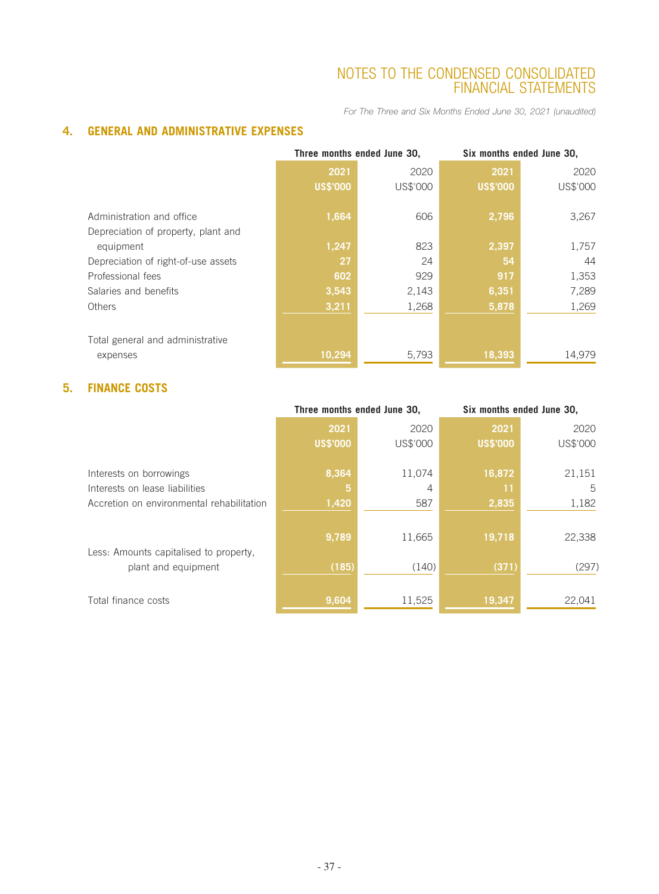*For The Three and Six Months Ended June 30, 2021 (unaudited)*

### **4. GENERAL AND ADMINISTRATIVE EXPENSES**

|                                     | Three months ended June 30, |          | Six months ended June 30, |          |  |
|-------------------------------------|-----------------------------|----------|---------------------------|----------|--|
|                                     | 2021                        | 2020     | 2021                      | 2020     |  |
|                                     | <b>US\$'000</b>             | US\$'000 | <b>US\$'000</b>           | US\$'000 |  |
| Administration and office           | 1,664                       | 606      | 2,796                     | 3,267    |  |
| Depreciation of property, plant and |                             |          |                           |          |  |
| equipment                           | 1,247                       | 823      | 2,397                     | 1,757    |  |
| Depreciation of right-of-use assets | 27                          | 24       | 54                        | 44       |  |
| Professional fees                   | 602                         | 929      | 917                       | 1,353    |  |
| Salaries and benefits               | 3,543                       | 2,143    | 6,351                     | 7,289    |  |
| Others                              | 3,211                       | 1,268    | 5,878                     | 1,269    |  |
|                                     |                             |          |                           |          |  |
| Total general and administrative    |                             |          |                           |          |  |
| expenses                            | 10,294                      | 5,793    | 18,393                    | 14,979   |  |

### **5. FINANCE COSTS**

| 2020     |
|----------|
| US\$'000 |
|          |
| 21,151   |
| 5        |
| 1,182    |
|          |
| 22,338   |
|          |
| (297)    |
|          |
| 22,041   |
|          |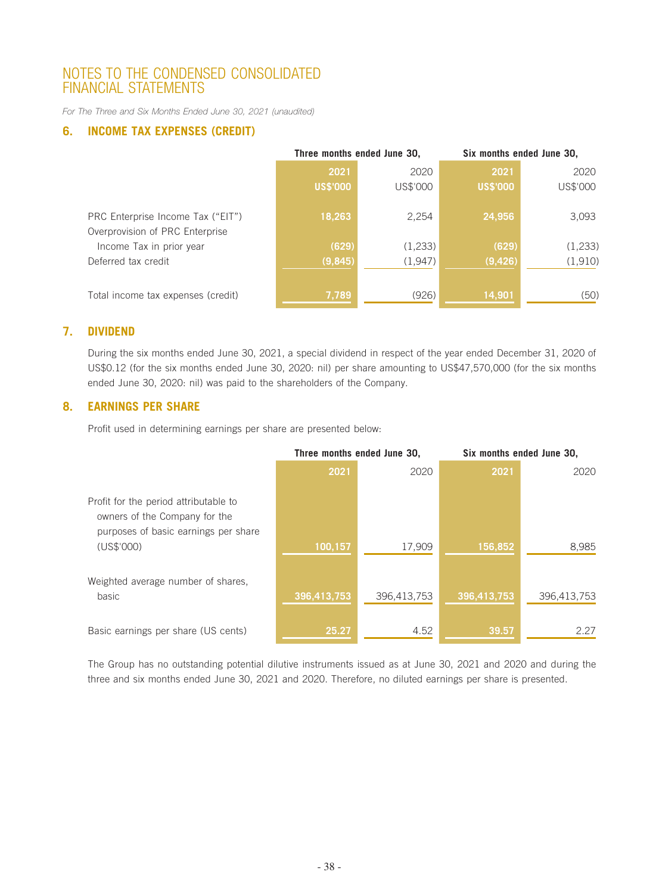*For The Three and Six Months Ended June 30, 2021 (unaudited)*

### **6. INCOME TAX EXPENSES (CREDIT)**

|                                    | Three months ended June 30, |          | Six months ended June 30, |          |
|------------------------------------|-----------------------------|----------|---------------------------|----------|
|                                    | 2021                        | 2020     | 2021                      | 2020     |
|                                    | <b>US\$'000</b>             | US\$'000 | <b>US\$'000</b>           | US\$'000 |
|                                    |                             |          |                           |          |
| PRC Enterprise Income Tax ("EIT")  | 18,263                      | 2,254    | 24,956                    | 3,093    |
| Overprovision of PRC Enterprise    |                             |          |                           |          |
| Income Tax in prior year           | (629)                       | (1,233)  | (629)                     | (1, 233) |
| Deferred tax credit                | (9, 845)                    | (1,947)  | (9,426)                   | (1, 910) |
|                                    |                             |          |                           |          |
| Total income tax expenses (credit) | 7,789                       | (926)    | 14,901                    | (50)     |

### **7. DIVIDEND**

During the six months ended June 30, 2021, a special dividend in respect of the year ended December 31, 2020 of US\$0.12 (for the six months ended June 30, 2020: nil) per share amounting to US\$47,570,000 (for the six months ended June 30, 2020: nil) was paid to the shareholders of the Company.

### **8. EARNINGS PER SHARE**

Profit used in determining earnings per share are presented below:

|                                                                                                                | Three months ended June 30, |             | Six months ended June 30, |             |
|----------------------------------------------------------------------------------------------------------------|-----------------------------|-------------|---------------------------|-------------|
|                                                                                                                | 2021                        | 2020        | 2021                      | 2020        |
| Profit for the period attributable to<br>owners of the Company for the<br>purposes of basic earnings per share |                             |             |                           |             |
| (US\$'000)                                                                                                     | 100,157                     | 17,909      | 156,852                   | 8,985       |
| Weighted average number of shares.<br>basic                                                                    | 396,413,753                 | 396,413,753 | 396,413,753               | 396,413,753 |
| Basic earnings per share (US cents)                                                                            | 25.27                       | 4.52        | 39.57                     | 2.27        |

The Group has no outstanding potential dilutive instruments issued as at June 30, 2021 and 2020 and during the three and six months ended June 30, 2021 and 2020. Therefore, no diluted earnings per share is presented.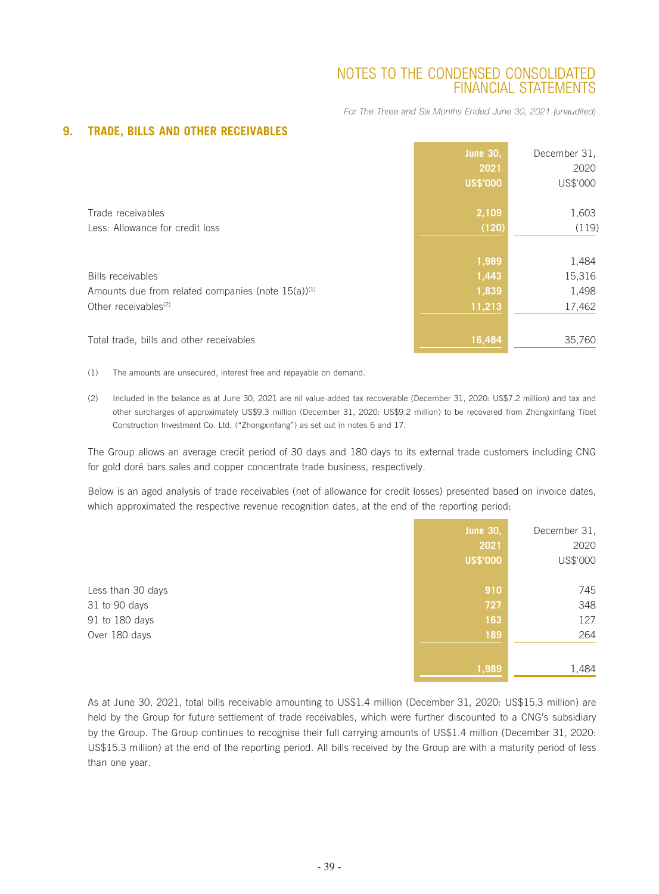*For The Three and Six Months Ended June 30, 2021 (unaudited)*

|                                                                | <b>June 30,</b><br>2021<br><b>US\$'000</b> | December 31.<br>2020<br>US\$'000 |
|----------------------------------------------------------------|--------------------------------------------|----------------------------------|
| Trade receivables                                              | 2,109                                      | 1,603                            |
| Less: Allowance for credit loss                                | (120)                                      | (119)                            |
|                                                                | 1,989                                      | 1,484                            |
| <b>Bills receivables</b>                                       | 1,443                                      | 15,316                           |
| Amounts due from related companies (note 15(a)) <sup>(1)</sup> | 1,839                                      | 1,498                            |
| Other receivables <sup>(2)</sup>                               | 11,213                                     | 17,462                           |
| Total trade, bills and other receivables                       | 16,484                                     | 35,760                           |

### **9. TRADE, BILLS AND OTHER RECEIVABLES**

(1) The amounts are unsecured, interest free and repayable on demand.

(2) Included in the balance as at June 30, 2021 are nil value-added tax recoverable (December 31, 2020: US\$7.2 million) and tax and other surcharges of approximately US\$9.3 million (December 31, 2020: US\$9.2 million) to be recovered from Zhongxinfang Tibet Construction Investment Co. Ltd. ("Zhongxinfang") as set out in notes 6 and 17.

The Group allows an average credit period of 30 days and 180 days to its external trade customers including CNG for gold doré bars sales and copper concentrate trade business, respectively.

Below is an aged analysis of trade receivables (net of allowance for credit losses) presented based on invoice dates, which approximated the respective revenue recognition dates, at the end of the reporting period:

|                   | <b>June 30,</b> | December 31, |
|-------------------|-----------------|--------------|
|                   | 2021            | 2020         |
|                   | <b>US\$'000</b> | US\$'000     |
|                   |                 |              |
| Less than 30 days | 910             | 745          |
| 31 to 90 days     | 727             | 348          |
| 91 to 180 days    | 163             | 127          |
| Over 180 days     | 189             | 264          |
|                   |                 |              |
|                   | 1,989           | 1,484        |

As at June 30, 2021, total bills receivable amounting to US\$1.4 million (December 31, 2020: US\$15.3 million) are held by the Group for future settlement of trade receivables, which were further discounted to a CNG's subsidiary by the Group. The Group continues to recognise their full carrying amounts of US\$1.4 million (December 31, 2020: US\$15.3 million) at the end of the reporting period. All bills received by the Group are with a maturity period of less than one year.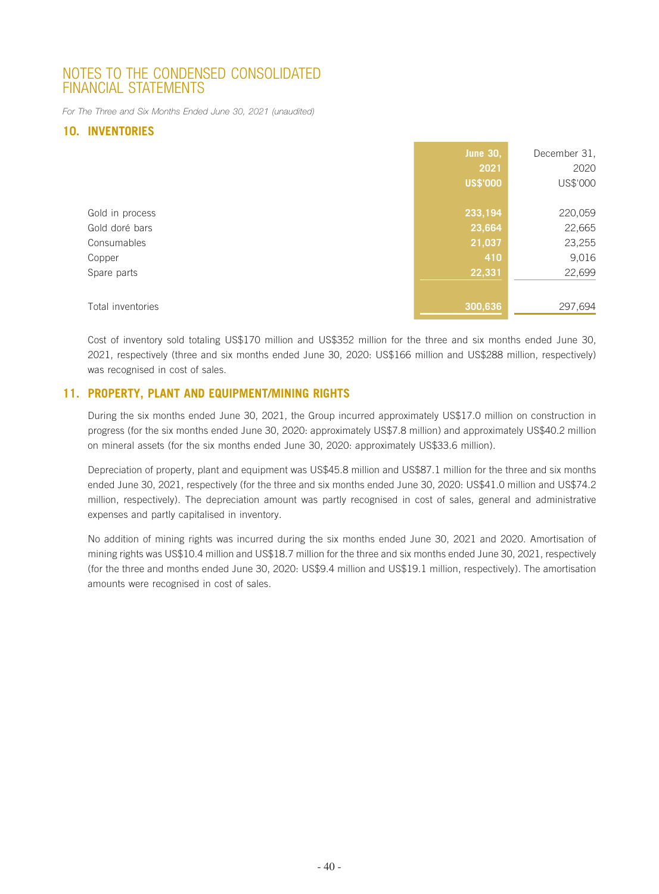*For The Three and Six Months Ended June 30, 2021 (unaudited)*

### **10. INVENTORIES**

|                   | <b>June 30,</b><br>2021<br><b>US\$'000</b> | December 31,<br>2020<br>US\$'000 |
|-------------------|--------------------------------------------|----------------------------------|
| Gold in process   | 233,194                                    | 220,059                          |
| Gold doré bars    | 23,664                                     | 22,665                           |
| Consumables       | 21,037                                     | 23,255                           |
|                   |                                            |                                  |
| Copper            | 410                                        | 9,016                            |
| Spare parts       | 22,331                                     | 22,699                           |
|                   |                                            |                                  |
| Total inventories | 300,636                                    | 297,694                          |

Cost of inventory sold totaling US\$170 million and US\$352 million for the three and six months ended June 30, 2021, respectively (three and six months ended June 30, 2020: US\$166 million and US\$288 million, respectively) was recognised in cost of sales.

### **11. PROPERTY, PLANT AND EQUIPMENT/MINING RIGHTS**

During the six months ended June 30, 2021, the Group incurred approximately US\$17.0 million on construction in progress (for the six months ended June 30, 2020: approximately US\$7.8 million) and approximately US\$40.2 million on mineral assets (for the six months ended June 30, 2020: approximately US\$33.6 million).

Depreciation of property, plant and equipment was US\$45.8 million and US\$87.1 million for the three and six months ended June 30, 2021, respectively (for the three and six months ended June 30, 2020: US\$41.0 million and US\$74.2 million, respectively). The depreciation amount was partly recognised in cost of sales, general and administrative expenses and partly capitalised in inventory.

No addition of mining rights was incurred during the six months ended June 30, 2021 and 2020. Amortisation of mining rights was US\$10.4 million and US\$18.7 million for the three and six months ended June 30, 2021, respectively (for the three and months ended June 30, 2020: US\$9.4 million and US\$19.1 million, respectively). The amortisation amounts were recognised in cost of sales.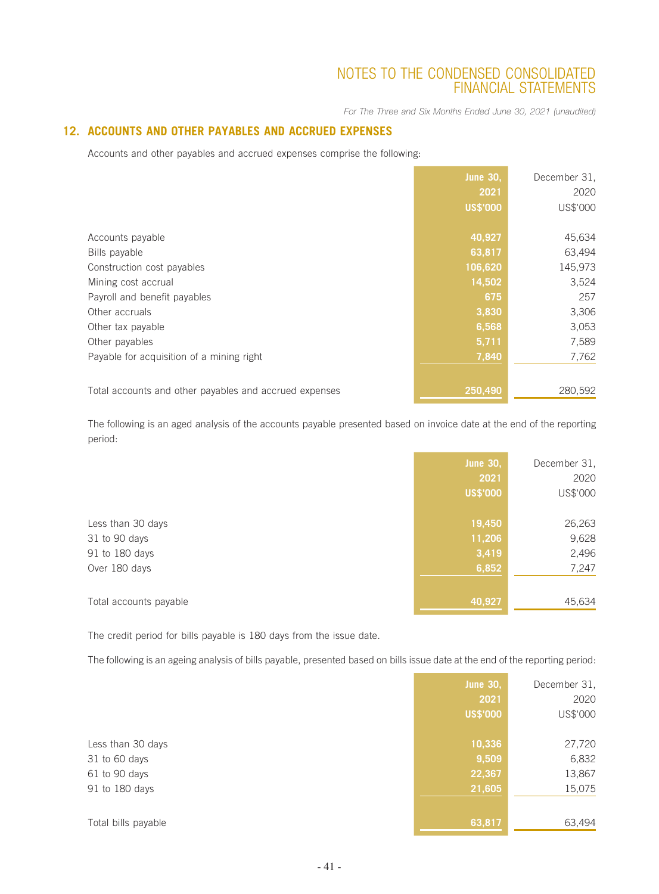*For The Three and Six Months Ended June 30, 2021 (unaudited)*

### **12. ACCOUNTS AND OTHER PAYABLES AND ACCRUED EXPENSES**

Accounts and other payables and accrued expenses comprise the following:

|                                                        | <b>June 30,</b> | December 31, |
|--------------------------------------------------------|-----------------|--------------|
|                                                        | 2021            | 2020         |
|                                                        | <b>US\$'000</b> | US\$'000     |
|                                                        |                 |              |
| Accounts payable                                       | 40,927          | 45,634       |
| Bills payable                                          | 63,817          | 63,494       |
| Construction cost payables                             | 106,620         | 145,973      |
| Mining cost accrual                                    | 14,502          | 3,524        |
| Payroll and benefit payables                           | 675             | 257          |
| Other accruals                                         | 3,830           | 3,306        |
| Other tax payable                                      | 6,568           | 3,053        |
| Other payables                                         | 5,711           | 7,589        |
| Payable for acquisition of a mining right              | 7,840           | 7,762        |
|                                                        |                 |              |
| Total accounts and other payables and accrued expenses | 250,490         | 280,592      |

The following is an aged analysis of the accounts payable presented based on invoice date at the end of the reporting period:

|                        | <b>June 30,</b> | December 31, |
|------------------------|-----------------|--------------|
|                        | 2021            | 2020         |
|                        | <b>US\$'000</b> | US\$'000     |
|                        |                 |              |
| Less than 30 days      | 19,450          | 26,263       |
| 31 to 90 days          | 11,206          | 9,628        |
| 91 to 180 days         | 3,419           | 2,496        |
| Over 180 days          | 6,852           | 7,247        |
|                        |                 |              |
| Total accounts payable | 40,927          | 45,634       |

The credit period for bills payable is 180 days from the issue date.

The following is an ageing analysis of bills payable, presented based on bills issue date at the end of the reporting period:

|                     | <b>June 30,</b> | December 31, |
|---------------------|-----------------|--------------|
|                     | 2021            | 2020         |
|                     | <b>US\$'000</b> | US\$'000     |
|                     |                 |              |
| Less than 30 days   | 10,336          | 27,720       |
| 31 to 60 days       | 9,509           | 6,832        |
| 61 to 90 days       | 22,367          | 13,867       |
| 91 to 180 days      | 21,605          | 15,075       |
|                     |                 |              |
| Total bills payable | 63,817          | 63,494       |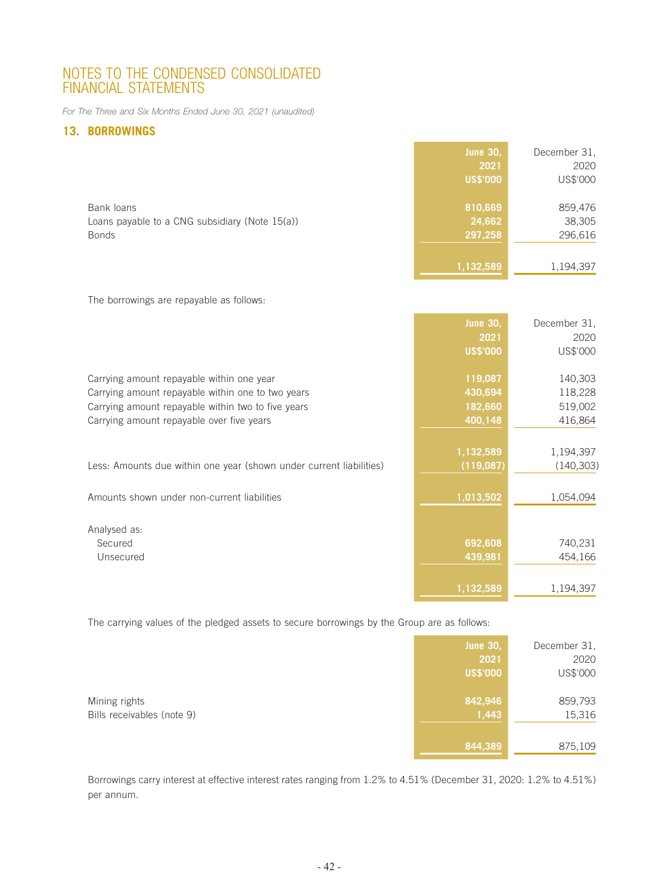*For The Three and Six Months Ended June 30, 2021 (unaudited)*

### **13. BORROWINGS**

|                                                                              | <b>June 30,</b><br>2021<br><b>US\$'000</b> | December 31,<br>2020<br>US\$'000 |
|------------------------------------------------------------------------------|--------------------------------------------|----------------------------------|
| Bank loans<br>Loans payable to a CNG subsidiary (Note 15(a))<br><b>Bonds</b> | 810,669<br>24,662<br>297,258               | 859,476<br>38,305<br>296,616     |
|                                                                              | 1,132,589                                  | 1,194,397                        |

The borrowings are repayable as follows:

|                                                                     | <b>June 30,</b> | December 31. |
|---------------------------------------------------------------------|-----------------|--------------|
|                                                                     | 2021            | 2020         |
|                                                                     | <b>US\$'000</b> | US\$'000     |
| Carrying amount repayable within one year                           | 119,087         | 140,303      |
| Carrying amount repayable within one to two years                   | 430,694         | 118,228      |
| Carrying amount repayable within two to five years                  | 182,660         | 519,002      |
| Carrying amount repayable over five years                           | 400,148         | 416,864      |
|                                                                     |                 |              |
|                                                                     | 1,132,589       | 1,194,397    |
| Less: Amounts due within one year (shown under current liabilities) | (119,087)       | (140, 303)   |
|                                                                     |                 |              |
| Amounts shown under non-current liabilities                         | 1,013,502       | 1,054,094    |
|                                                                     |                 |              |
| Analysed as:                                                        |                 |              |
| Secured                                                             | 692,608         | 740,231      |
| Unsecured                                                           | 439,981         | 454,166      |
|                                                                     |                 |              |
|                                                                     | 1,132,589       | 1,194,397    |

The carrying values of the pledged assets to secure borrowings by the Group are as follows:

|                                             | <b>June 30,</b><br>2021 | December 31,<br>2020 |
|---------------------------------------------|-------------------------|----------------------|
|                                             | <b>US\$'000</b>         | US\$'000             |
| Mining rights<br>Bills receivables (note 9) | 842,946<br>1,443        | 859,793<br>15,316    |
|                                             | 844,389                 | 875,109              |

Borrowings carry interest at effective interest rates ranging from 1.2% to 4.51% (December 31, 2020: 1.2% to 4.51%) per annum.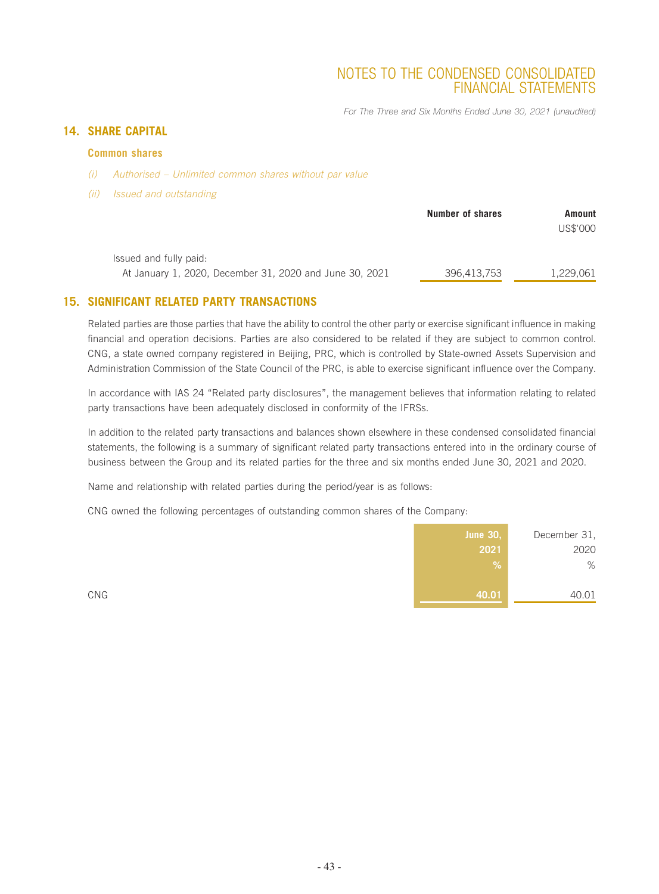*For The Three and Six Months Ended June 30, 2021 (unaudited)*

### **14. SHARE CAPITAL**

### **Common shares**

- *(i) Authorised Unlimited common shares without par value*
- *(ii) Issued and outstanding*

|                                                                                   | Number of shares | Amount<br>US\$'000 |
|-----------------------------------------------------------------------------------|------------------|--------------------|
| Issued and fully paid:<br>At January 1, 2020, December 31, 2020 and June 30, 2021 | 396,413,753      | 1,229,061          |

### **15. SIGNIFICANT RELATED PARTY TRANSACTIONS**

Related parties are those parties that have the ability to control the other party or exercise significant influence in making financial and operation decisions. Parties are also considered to be related if they are subject to common control. CNG, a state owned company registered in Beijing, PRC, which is controlled by State-owned Assets Supervision and Administration Commission of the State Council of the PRC, is able to exercise significant influence over the Company.

In accordance with IAS 24 "Related party disclosures", the management believes that information relating to related party transactions have been adequately disclosed in conformity of the IFRSs.

In addition to the related party transactions and balances shown elsewhere in these condensed consolidated financial statements, the following is a summary of significant related party transactions entered into in the ordinary course of business between the Group and its related parties for the three and six months ended June 30, 2021 and 2020.

Name and relationship with related parties during the period/year is as follows:

CNG owned the following percentages of outstanding common shares of the Company:

| <b>June 30,</b> | December 31, |
|-----------------|--------------|
| 2021            | 2020         |
| %               | %            |
|                 |              |
| CNG<br>40.01    | 40.01        |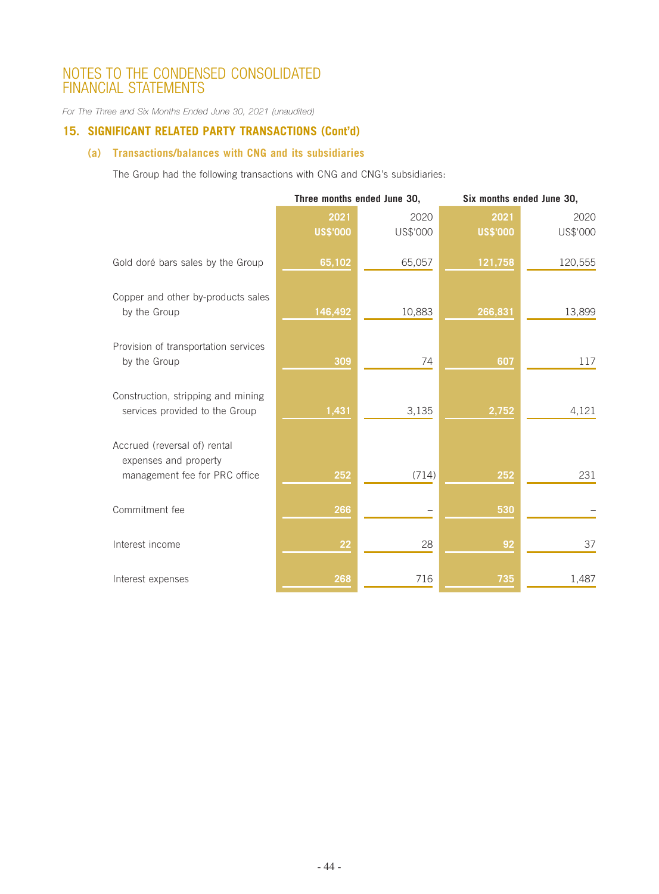*For The Three and Six Months Ended June 30, 2021 (unaudited)*

### **15. SIGNIFICANT RELATED PARTY TRANSACTIONS (Cont'd)**

### **(a) Transactions/balances with CNG and its subsidiaries**

The Group had the following transactions with CNG and CNG's subsidiaries:

|                                                                                        | Three months ended June 30, |          |                 | Six months ended June 30, |
|----------------------------------------------------------------------------------------|-----------------------------|----------|-----------------|---------------------------|
|                                                                                        | 2021                        | 2020     | 2021            | 2020                      |
|                                                                                        | <b>US\$'000</b>             | US\$'000 | <b>US\$'000</b> | US\$'000                  |
| Gold doré bars sales by the Group                                                      | 65,102                      | 65,057   | 121,758         | 120,555                   |
| Copper and other by-products sales<br>by the Group                                     | 146,492                     | 10,883   | 266,831         | 13,899                    |
| Provision of transportation services<br>by the Group                                   | 309                         | 74       | 607             | 117                       |
| Construction, stripping and mining<br>services provided to the Group                   | 1,431                       | 3,135    | 2,752           | 4,121                     |
| Accrued (reversal of) rental<br>expenses and property<br>management fee for PRC office | 252                         | (714)    | 252             | 231                       |
| Commitment fee                                                                         | 266                         |          | 530             |                           |
| Interest income                                                                        | 22                          | 28       | 92              | 37                        |
| Interest expenses                                                                      | 268                         | 716      | 735             | 1,487                     |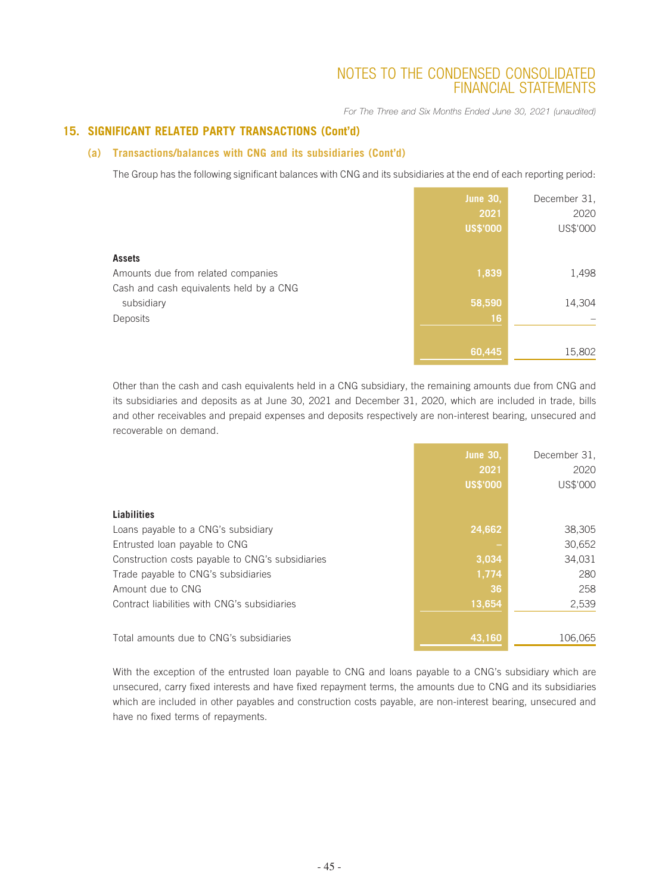*For The Three and Six Months Ended June 30, 2021 (unaudited)*

### **15. SIGNIFICANT RELATED PARTY TRANSACTIONS (Cont'd)**

### **(a) Transactions/balances with CNG and its subsidiaries (Cont'd)**

The Group has the following significant balances with CNG and its subsidiaries at the end of each reporting period:

|                                         | <b>June 30,</b> | December 31, |
|-----------------------------------------|-----------------|--------------|
|                                         | 2021            | 2020         |
|                                         | <b>US\$'000</b> | US\$'000     |
| <b>Assets</b>                           |                 |              |
| Amounts due from related companies      | 1,839           | 1,498        |
| Cash and cash equivalents held by a CNG |                 |              |
| subsidiary                              | 58,590          | 14,304       |
| Deposits                                | 16              |              |
|                                         |                 |              |
|                                         | 60,445          | 15,802       |

Other than the cash and cash equivalents held in a CNG subsidiary, the remaining amounts due from CNG and its subsidiaries and deposits as at June 30, 2021 and December 31, 2020, which are included in trade, bills and other receivables and prepaid expenses and deposits respectively are non-interest bearing, unsecured and recoverable on demand.

|                                                  | <b>June 30,</b><br>2021 | December 31.<br>2020 |
|--------------------------------------------------|-------------------------|----------------------|
|                                                  | <b>US\$'000</b>         | US\$'000             |
| Liabilities                                      |                         |                      |
| Loans payable to a CNG's subsidiary              | 24,662                  | 38,305               |
| Entrusted loan payable to CNG                    |                         | 30,652               |
| Construction costs payable to CNG's subsidiaries | 3,034                   | 34,031               |
| Trade payable to CNG's subsidiaries              | 1,774                   | 280                  |
| Amount due to CNG                                | 36                      | 258                  |
| Contract liabilities with CNG's subsidiaries     | 13,654                  | 2,539                |
|                                                  |                         |                      |
| Total amounts due to CNG's subsidiaries          | 43,160                  | 106,065              |

With the exception of the entrusted loan payable to CNG and loans payable to a CNG's subsidiary which are unsecured, carry fixed interests and have fixed repayment terms, the amounts due to CNG and its subsidiaries which are included in other payables and construction costs payable, are non-interest bearing, unsecured and have no fixed terms of repayments.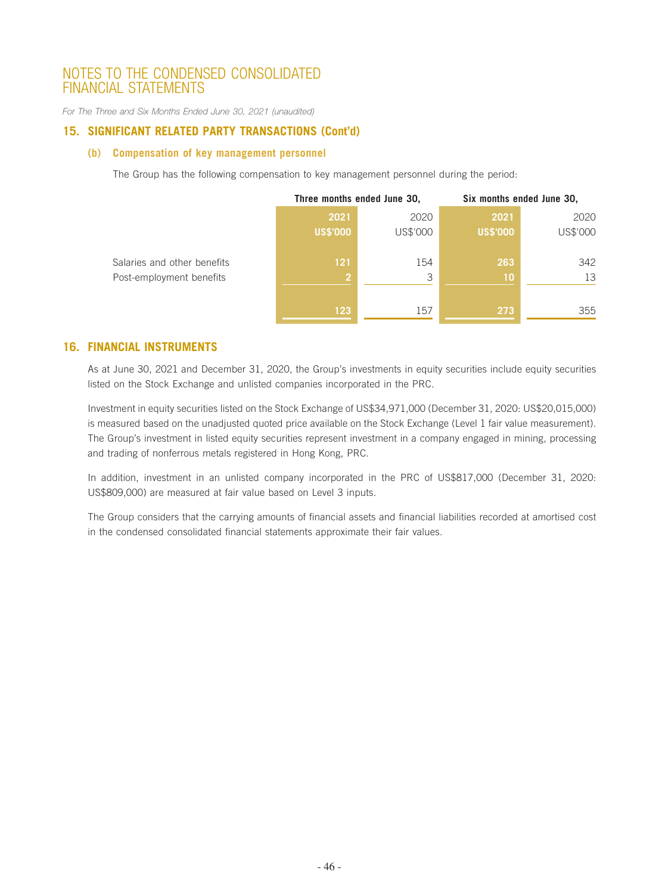*For The Three and Six Months Ended June 30, 2021 (unaudited)*

### **15. SIGNIFICANT RELATED PARTY TRANSACTIONS (Cont'd)**

#### **(b) Compensation of key management personnel**

The Group has the following compensation to key management personnel during the period:

|                             | Three months ended June 30, |          | Six months ended June 30, |          |
|-----------------------------|-----------------------------|----------|---------------------------|----------|
|                             | 2021                        | 2020     | 2021                      | 2020     |
|                             | <b>US\$'000</b>             | US\$'000 | <b>US\$'000</b>           | US\$'000 |
|                             |                             |          |                           |          |
| Salaries and other benefits | 121                         | 154      | 263                       | 342      |
| Post-employment benefits    | $\overline{2}$              | 3        | 10                        | 13       |
|                             |                             |          |                           |          |
|                             | 123                         | 157      | 273                       | 355      |

### **16. FINANCIAL INSTRUMENTS**

As at June 30, 2021 and December 31, 2020, the Group's investments in equity securities include equity securities listed on the Stock Exchange and unlisted companies incorporated in the PRC.

Investment in equity securities listed on the Stock Exchange of US\$34,971,000 (December 31, 2020: US\$20,015,000) is measured based on the unadjusted quoted price available on the Stock Exchange (Level 1 fair value measurement). The Group's investment in listed equity securities represent investment in a company engaged in mining, processing and trading of nonferrous metals registered in Hong Kong, PRC.

In addition, investment in an unlisted company incorporated in the PRC of US\$817,000 (December 31, 2020: US\$809,000) are measured at fair value based on Level 3 inputs.

The Group considers that the carrying amounts of financial assets and financial liabilities recorded at amortised cost in the condensed consolidated financial statements approximate their fair values.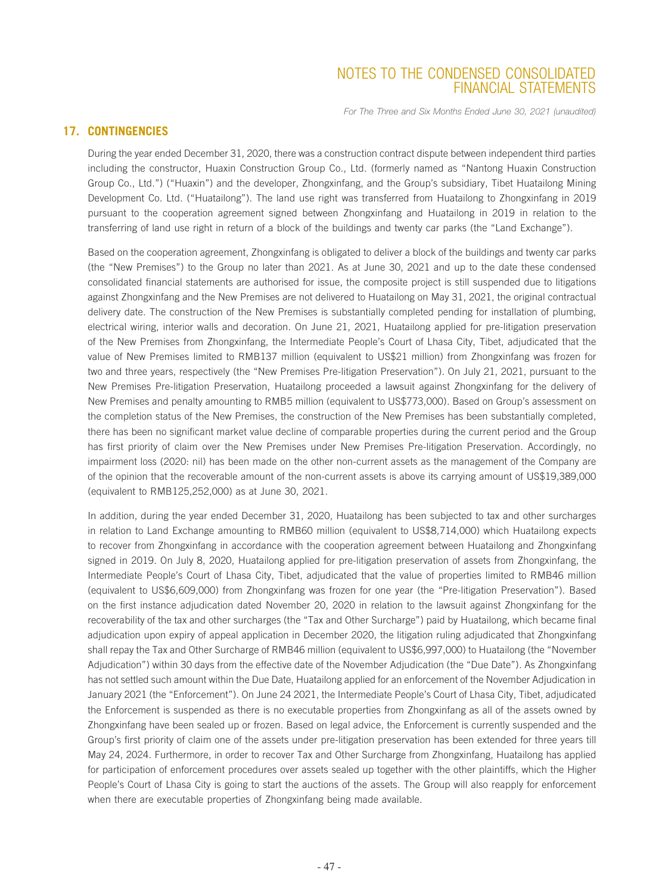*For The Three and Six Months Ended June 30, 2021 (unaudited)*

### **17. CONTINGENCIES**

During the year ended December 31, 2020, there was a construction contract dispute between independent third parties including the constructor, Huaxin Construction Group Co., Ltd. (formerly named as "Nantong Huaxin Construction Group Co., Ltd.") ("Huaxin") and the developer, Zhongxinfang, and the Group's subsidiary, Tibet Huatailong Mining Development Co. Ltd. ("Huatailong"). The land use right was transferred from Huatailong to Zhongxinfang in 2019 pursuant to the cooperation agreement signed between Zhongxinfang and Huatailong in 2019 in relation to the transferring of land use right in return of a block of the buildings and twenty car parks (the "Land Exchange").

Based on the cooperation agreement, Zhongxinfang is obligated to deliver a block of the buildings and twenty car parks (the "New Premises") to the Group no later than 2021. As at June 30, 2021 and up to the date these condensed consolidated financial statements are authorised for issue, the composite project is still suspended due to litigations against Zhongxinfang and the New Premises are not delivered to Huatailong on May 31, 2021, the original contractual delivery date. The construction of the New Premises is substantially completed pending for installation of plumbing, electrical wiring, interior walls and decoration. On June 21, 2021, Huatailong applied for pre-litigation preservation of the New Premises from Zhongxinfang, the Intermediate People's Court of Lhasa City, Tibet, adjudicated that the value of New Premises limited to RMB137 million (equivalent to US\$21 million) from Zhongxinfang was frozen for two and three years, respectively (the "New Premises Pre-litigation Preservation"). On July 21, 2021, pursuant to the New Premises Pre-litigation Preservation, Huatailong proceeded a lawsuit against Zhongxinfang for the delivery of New Premises and penalty amounting to RMB5 million (equivalent to US\$773,000). Based on Group's assessment on the completion status of the New Premises, the construction of the New Premises has been substantially completed, there has been no significant market value decline of comparable properties during the current period and the Group has first priority of claim over the New Premises under New Premises Pre-litigation Preservation. Accordingly, no impairment loss (2020: nil) has been made on the other non-current assets as the management of the Company are of the opinion that the recoverable amount of the non-current assets is above its carrying amount of US\$19,389,000 (equivalent to RMB125,252,000) as at June 30, 2021.

In addition, during the year ended December 31, 2020, Huatailong has been subjected to tax and other surcharges in relation to Land Exchange amounting to RMB60 million (equivalent to US\$8,714,000) which Huatailong expects to recover from Zhongxinfang in accordance with the cooperation agreement between Huatailong and Zhongxinfang signed in 2019. On July 8, 2020, Huatailong applied for pre-litigation preservation of assets from Zhongxinfang, the Intermediate People's Court of Lhasa City, Tibet, adjudicated that the value of properties limited to RMB46 million (equivalent to US\$6,609,000) from Zhongxinfang was frozen for one year (the "Pre-litigation Preservation"). Based on the first instance adjudication dated November 20, 2020 in relation to the lawsuit against Zhongxinfang for the recoverability of the tax and other surcharges (the "Tax and Other Surcharge") paid by Huatailong, which became final adjudication upon expiry of appeal application in December 2020, the litigation ruling adjudicated that Zhongxinfang shall repay the Tax and Other Surcharge of RMB46 million (equivalent to US\$6,997,000) to Huatailong (the "November Adjudication") within 30 days from the effective date of the November Adjudication (the "Due Date"). As Zhongxinfang has not settled such amount within the Due Date, Huatailong applied for an enforcement of the November Adjudication in January 2021 (the "Enforcement"). On June 24 2021, the Intermediate People's Court of Lhasa City, Tibet, adjudicated the Enforcement is suspended as there is no executable properties from Zhongxinfang as all of the assets owned by Zhongxinfang have been sealed up or frozen. Based on legal advice, the Enforcement is currently suspended and the Group's first priority of claim one of the assets under pre-litigation preservation has been extended for three years till May 24, 2024. Furthermore, in order to recover Tax and Other Surcharge from Zhongxinfang, Huatailong has applied for participation of enforcement procedures over assets sealed up together with the other plaintiffs, which the Higher People's Court of Lhasa City is going to start the auctions of the assets. The Group will also reapply for enforcement when there are executable properties of Zhongxinfang being made available.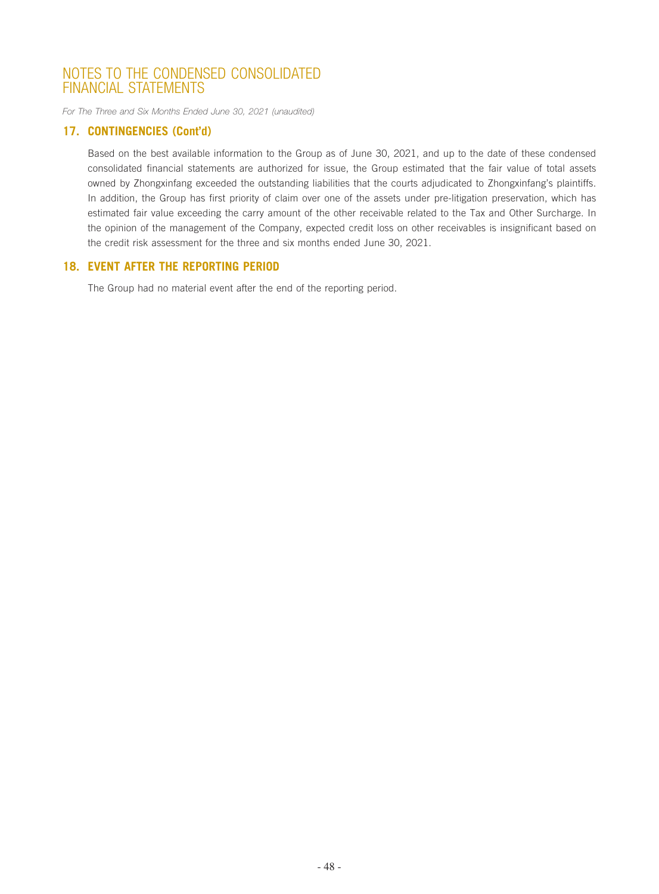*For The Three and Six Months Ended June 30, 2021 (unaudited)*

### **17. CONTINGENCIES (Cont'd)**

Based on the best available information to the Group as of June 30, 2021, and up to the date of these condensed consolidated financial statements are authorized for issue, the Group estimated that the fair value of total assets owned by Zhongxinfang exceeded the outstanding liabilities that the courts adjudicated to Zhongxinfang's plaintiffs. In addition, the Group has first priority of claim over one of the assets under pre-litigation preservation, which has estimated fair value exceeding the carry amount of the other receivable related to the Tax and Other Surcharge. In the opinion of the management of the Company, expected credit loss on other receivables is insignificant based on the credit risk assessment for the three and six months ended June 30, 2021.

### **18. EVENT AFTER THE REPORTING PERIOD**

The Group had no material event after the end of the reporting period.